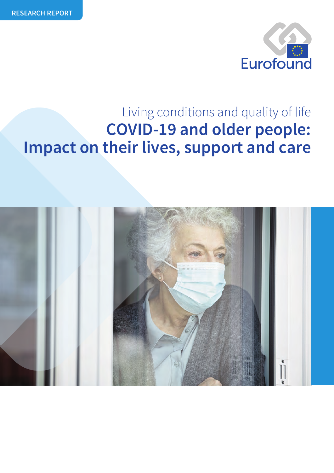

## **COVID-19 and older people: Impact on their lives, support and care** Living conditions and quality of life

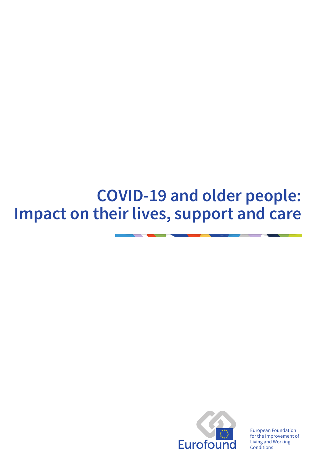# **COVID-19 and older people: Impact on their lives, support and care**



European Foundation for the Improvement of Living and Working Conditions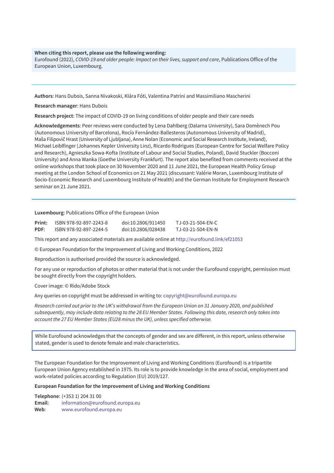### **When citing this report, please use the following wording:**

Eurofound (2022), *COVID-19 and older people: Impact on their lives, support and care*, Publications Office of the European Union, Luxembourg.

**Authors**: Hans Dubois, Sanna Nivakoski, Klára Fóti, Valentina Patrini and Massimiliano Mascherini

**Research manager**: Hans Dubois

**Research project**: The impact of COVID-19 on living conditions of older people and their care needs

**Acknowledgements**: Peer reviews were conducted by Lena Dahlberg (Dalarna University), Sara Domènech Pou (Autonomous University of Barcelona), Rocío Fernández-Ballesteros (Autonomous University of Madrid), Maša Filipovič Hrast (University of Ljubljana), Anne Nolan (Economic and Social Research Institute, Ireland), Michael Leiblfinger (Johannes Kepler University Linz), Ricardo Rodrigues (European Centre for Social Welfare Policy and Research), Agnieszka Sowa-Kofta (Institute of Labour and Social Studies, Poland), David Stuckler (Bocconi University) and Anna Wanka (Goethe University Frankfurt). The report also benefited from comments received at the online workshops that took place on 30 November 2020 and 11 June 2021, the European Health Policy Group meeting at the London School of Economics on 21 May 2021 (discussant: Valérie Moran, Luxembourg Institute of Socio-Economic Research and Luxembourg Institute of Health) and the German Institute for Employment Research seminar on 21 June 2021.

**Luxembourg**: Publications Office of the European Union

| Print:      | ISBN 978-92-897-2243-8 | doi:10.2806/911450 | TJ-03-21-504-EN-C |
|-------------|------------------------|--------------------|-------------------|
| <b>PDF:</b> | ISBN 978-92-897-2244-5 | doi:10.2806/028438 | TJ-03-21-504-EN-N |

This report and any associated materials are available online at <http://eurofound.link/ef21053>

© European Foundation for the Improvement of Living and Working Conditions, 2022

Reproduction is authorised provided the source is acknowledged.

For any use or reproduction of photos or other material that is not under the Eurofound copyright, permission must be sought directly from the copyright holders.

Cover image: © Rido/Adobe Stock

Any queries on copyright must be addressed in writing to: [copyright@eurofound.europa.eu](mailto:copyright@eurofound.europa.eu)

*Research carried out prior to the UK's withdrawal from the European Union on 31 January 2020, and published subsequently, may include data relating to the 28 EU Member States. Following this date, research only takes into account the 27 EU Member States (EU28 minus the UK), unless specified otherwise.*

While Eurofound acknowledges that the concepts of gender and sex are different, in this report, unless otherwise stated, gender is used to denote female and male characteristics.

The European Foundation for the Improvement of Living and Working Conditions (Eurofound) is a tripartite European Union Agency established in 1975. Its role is to provide knowledge in the area of social, employment and work-related policies according to Regulation (EU) 2019/127.

**European Foundation for the Improvement of Living and Working Conditions**

**Telephone**: (+353 1) 204 31 00 **Email**: [information@eurofound.europa.eu](mailto:information@eurofound.europa.eu) **Web**: [www.eurofound.europa.eu](http://www.eurofound.europa.eu)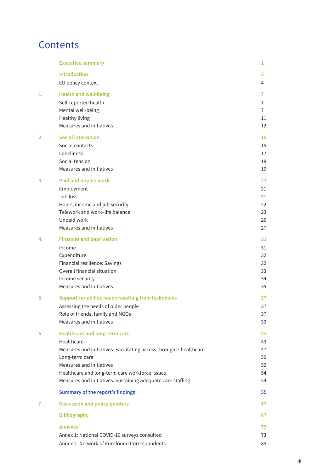## **Contents**

|    | <b>Executive summary</b>                                           | 1              |
|----|--------------------------------------------------------------------|----------------|
|    | <b>Introduction</b>                                                | 3              |
|    | EU policy context                                                  | 4              |
| 1. | <b>Health and well-being</b>                                       | 7              |
|    | Self-reported health                                               | $\overline{7}$ |
|    | Mental well-being                                                  | $\overline{7}$ |
|    | <b>Healthy living</b>                                              | 11             |
|    | Measures and initiatives                                           | 12             |
| 2. | <b>Social interaction</b>                                          | 15             |
|    | Social contacts                                                    | 15             |
|    | Loneliness                                                         | 17             |
|    | Social tension                                                     | 18             |
|    | Measures and initiatives                                           | 19             |
| 3. | Paid and unpaid work                                               | 21             |
|    | Employment                                                         | 21             |
|    | Job loss                                                           | 21             |
|    | Hours, income and job security                                     | 22             |
|    | Telework and work-life balance                                     | 23             |
|    | Unpaid work<br>Measures and initiatives                            | 25<br>27       |
|    |                                                                    |                |
| 4. | <b>Finances and deprivation</b>                                    | 31             |
|    | Income                                                             | 31             |
|    | Expenditure<br>Financial resilience: Savings                       | 32<br>32       |
|    | Overall financial situation                                        | 33             |
|    | Income security                                                    | 34             |
|    | Measures and initiatives                                           | 35             |
| 5. | Support for ad hoc needs resulting from lockdowns                  | 37             |
|    | Assessing the needs of older people                                | 37             |
|    | Role of friends, family and NGOs                                   | 37             |
|    | Measures and initiatives                                           | 39             |
| 6. | <b>Healthcare and long-term care</b>                               | 43             |
|    | Healthcare                                                         | 43             |
|    | Measures and initiatives: Facilitating access through e-healthcare | 47             |
|    | Long-term care                                                     | 50             |
|    | Measures and initiatives                                           | 52             |
|    | Healthcare and long-term care workforce issues                     | 54             |
|    | Measures and initiatives: Sustaining adequate care staffing        | 54             |
|    | Summary of the report's findings                                   | 55             |
| 7. | <b>Discussion and policy pointers</b>                              | 57             |
|    | <b>Bibliography</b>                                                | 67             |
|    | Annexes                                                            | 73             |
|    | Annex 1: National COVID-19 surveys consulted                       | 73             |
|    | Annex 2: Network of Eurofound Correspondents                       | 83             |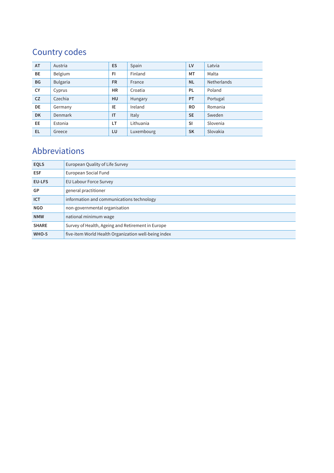## Country codes

| <b>AT</b> | Austria         | <b>ES</b> | Spain      | LV        | Latvia             |
|-----------|-----------------|-----------|------------|-----------|--------------------|
| BE        | Belgium         | FI.       | Finland    | MT        | Malta              |
| <b>BG</b> | <b>Bulgaria</b> | <b>FR</b> | France     | <b>NL</b> | <b>Netherlands</b> |
| CY        | Cyprus          | <b>HR</b> | Croatia    | PL.       | Poland             |
| <b>CZ</b> | Czechia         | HU        | Hungary    | PT        | Portugal           |
| DE        | Germany         | IE.       | Ireland    | <b>RO</b> | Romania            |
| <b>DK</b> | Denmark         | IT        | Italy      | <b>SE</b> | Sweden             |
| EE.       | Estonia         | LT        | Lithuania  | <b>SI</b> | Slovenia           |
| EL.       | Greece          | LU        | Luxembourg | <b>SK</b> | Slovakia           |

## Abbreviations

| <b>EQLS</b>   | European Quality of Life Survey                      |  |
|---------------|------------------------------------------------------|--|
| <b>ESF</b>    | European Social Fund                                 |  |
| <b>EU-LFS</b> | EU Labour Force Survey                               |  |
| GP            | general practitioner                                 |  |
| <b>ICT</b>    | information and communications technology            |  |
| <b>NGO</b>    | non-governmental organisation                        |  |
| <b>NMW</b>    | national minimum wage                                |  |
| <b>SHARE</b>  | Survey of Health, Ageing and Retirement in Europe    |  |
| WHO-5         | five-item World Health Organization well-being index |  |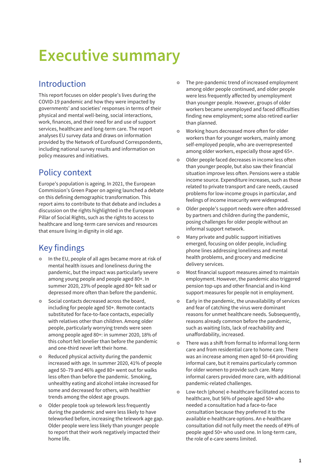# <span id="page-6-0"></span>**Executive summary**

## Introduction

This report focuses on older people's lives during the COVID-19 pandemic and how they were impacted by governments' and societies' responses in terms of their physical and mental well-being, social interactions, work, finances, and their need for and use of support services, healthcare and long-term care. The report analyses EU survey data and draws on information provided by the Network of Eurofound Correspondents, including national survey results and information on policy measures and initiatives.

## Policy context

Europe's population is ageing. In 2021, the European Commission's Green Paper on ageing launched a debate on this defining demographic transformation. This report aims to contribute to that debate and includes a discussion on the rights highlighted in the European Pillar of Social Rights, such as the rights to access to healthcare and long-term care services and resources that ensure living in dignity in old age.

## Key findings

- o In the EU, people of all ages became more at risk of mental health issues and loneliness during the pandemic, but the impact was particularly severe among young people and people aged 80+. In summer 2020, 23% of people aged 80+ felt sad or depressed more often than before the pandemic.
- Social contacts decreased across the board, including for people aged 50+. Remote contacts substituted for face-to-face contacts, especially with relatives other than children. Among older people, particularly worrying trends were seen among people aged 80+: in summer 2020, 18% of this cohort felt lonelier than before the pandemic and one-third never left their home.
- Reduced physical activity during the pandemic increased with age. In summer 2020, 41% of people aged 50–79 and 46% aged 80+ went out for walks less often than before the pandemic. Smoking, unhealthy eating and alcohol intake increased for some and decreased for others, with healthier trends among the oldest age groups.
- $\circ$  Older people took up telework less frequently during the pandemic and were less likely to have teleworked before, increasing the telework age gap. Older people were less likely than younger people to report that their work negatively impacted their home life.
- The pre-pandemic trend of increased employment among older people continued, and older people were less frequently affected by unemployment than younger people. However, groups of older workers became unemployed and faced difficulties finding new employment; some also retired earlier than planned.
- Working hours decreased more often for older workers than for younger workers, mainly among self-employed people, who are overrepresented among older workers, especially those aged 65+.
- $\bullet$  Older people faced decreases in income less often than younger people, but also saw their financial situation improve less often. Pensions were a stable income source. Expenditure increases, such as those related to private transport and care needs, caused problems for low-income groups in particular, and feelings of income insecurity were widespread.
- Older people's support needs were often addressed by partners and children during the pandemic, posing challenges for older people without an informal support network.
- Many private and public support initiatives emerged, focusing on older people, including phone lines addressing loneliness and mental health problems, and grocery and medicine delivery services.
- Most financial support measures aimed to maintain employment. However, the pandemic also triggered pension top-ups and other financial and in-kind support measures for people not in employment.
- **Early in the pandemic, the unavailability of services** and fear of catching the virus were dominant reasons for unmet healthcare needs. Subsequently, reasons already common before the pandemic, such as waiting lists, lack of reachability and unaffordability, increased.
- There was a shift from formal to informal long-term care and from residential care to home care. There was an increase among men aged 50–64 providing informal care, but it remains particularly common for older women to provide such care. Many informal carers provided more care, with additional pandemic-related challenges.
- £ Low-tech (phone) e-healthcare facilitated access to healthcare, but 56% of people aged 50+ who needed a consultation had a face-to-face consultation because they preferred it to the available e-healthcare options. An e-healthcare consultation did not fully meet the needs of 49% of people aged 50+ who used one. In long-term care, the role of e-care seems limited.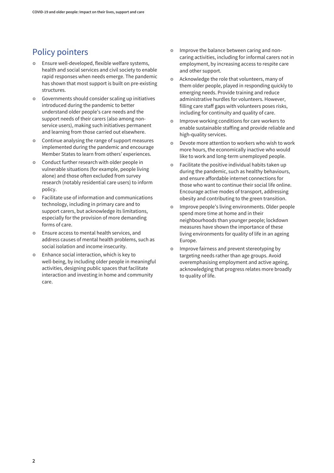## Policy pointers

- **Ensure well-developed, flexible welfare systems,** health and social services and civil society to enable rapid responses when needs emerge. The pandemic has shown that most support is built on pre-existing structures.
- £ Governments should consider scaling up initiatives introduced during the pandemic to better understand older people's care needs and the support needs of their carers (also among nonservice users), making such initiatives permanent and learning from those carried out elsewhere.
- Continue analysing the range of support measures implemented during the pandemic and encourage Member States to learn from others' experiences.
- Conduct further research with older people in vulnerable situations (for example, people living alone) and those often excluded from survey research (notably residential care users) to inform policy.
- **•** Facilitate use of information and communications technology, including in primary care and to support carers, but acknowledge its limitations, especially for the provision of more demanding forms of care.
- **•** Ensure access to mental health services, and address causes of mental health problems, such as social isolation and income insecurity.
- **Enhance social interaction, which is key to** well-being, by including older people in meaningful activities, designing public spaces that facilitate interaction and investing in home and community care.
- **•** Improve the balance between caring and noncaring activities, including for informal carers not in employment, by increasing access to respite care and other support.
- Acknowledge the role that volunteers, many of them older people, played in responding quickly to emerging needs. Provide training and reduce administrative hurdles for volunteers. However, filling care staff gaps with volunteers poses risks, including for continuity and quality of care.
- **•** Improve working conditions for care workers to enable sustainable staffing and provide reliable and high-quality services.
- **•** Devote more attention to workers who wish to work more hours, the economically inactive who would like to work and long-term unemployed people.
- Facilitate the positive individual habits taken up during the pandemic, such as healthy behaviours, and ensure affordable internet connections for those who want to continue their social life online. Encourage active modes of transport, addressing obesity and contributing to the green transition.
- £ Improve people's living environments. Older people spend more time at home and in their neighbourhoods than younger people; lockdown measures have shown the importance of these living environments for quality of life in an ageing Europe.
- **o** Improve fairness and prevent stereotyping by targeting needs rather than age groups. Avoid overemphasising employment and active ageing, acknowledging that progress relates more broadly to quality of life.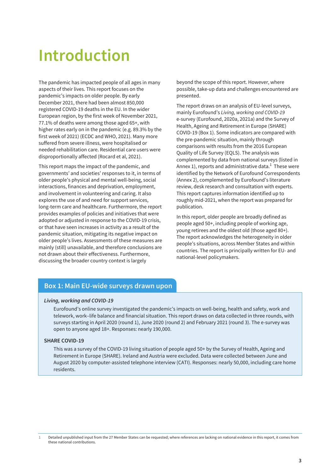## <span id="page-8-0"></span>**Introduction**

The pandemic has impacted people of all ages in many aspects of their lives. This report focuses on the pandemic's impacts on older people. By early December 2021, there had been almost 850,000 registered COVID-19 deaths in the EU. In the wider European region, by the first week of November 2021, 77.1% of deaths were among those aged 65+, with higher rates early on in the pandemic (e.g. 89.3% by the first week of 2021) (ECDC and WHO, 2021). Many more suffered from severe illness, were hospitalised or needed rehabilitation care. Residential care users were disproportionally affected (Rocard et al, 2021).

This report maps the impact of the pandemic, and governments' and societies' responses to it, in terms of older people's physical and mental well-being, social interactions, finances and deprivation, employment, and involvement in volunteering and caring. It also explores the use of and need for support services, long-term care and healthcare. Furthermore, the report provides examples of policies and initiatives that were adopted or adjusted in response to the COVID-19 crisis, or that have seen increases in activity as a result of the pandemic situation, mitigating its negative impact on older people's lives. Assessments of these measures are mainly (still) unavailable, and therefore conclusions are not drawn about their effectiveness. Furthermore, discussing the broader country context is largely

beyond the scope of this report. However, where possible, take-up data and challenges encountered are presented.

The report draws on an analysis of EU-level surveys, mainly Eurofound's *Living, working and COVID-19* e-survey (Eurofound, 2020a, 2021a) and the Survey of Health, Ageing and Retirement in Europe (SHARE) COVID-19 (Box 1). Some indicators are compared with the pre-pandemic situation, mainly through comparisons with results from the 2016 European Quality of Life Survey (EQLS). The analysis was complemented by data from national surveys (listed in Annex 1), reports and administrative data. $^1$  These were identified by the Network of Eurofound Correspondents (Annex 2), complemented by Eurofound's literature review, desk research and consultation with experts. This report captures information identified up to roughly mid-2021, when the report was prepared for publication.

In this report, older people are broadly defined as people aged 50+, including people of working age, young retirees and the oldest old (those aged 80+). The report acknowledges the heterogeneity in older people's situations, across Member States and within countries. The report is principally written for EU- and national-level policymakers.

### **Box 1: Main EU-wide surveys drawn upon**

### *Living, working and COVID-19*

Eurofound's online survey investigated the pandemic's impacts on well-being, health and safety, work and telework, work–life balance and financial situation. This report draws on data collected in three rounds, with surveys starting in April 2020 (round 1), June 2020 (round 2) and February 2021 (round 3). The e-survey was open to anyone aged 18+. Responses: nearly 190,000.

### **SHARE COVID-19**

This was a survey of the COVID-19 living situation of people aged 50+ by the Survey of Health, Ageing and Retirement in Europe (SHARE). Ireland and Austria were excluded. Data were collected between June and August 2020 by computer-assisted telephone interview (CATI). Responses: nearly 50,000, including care home residents.

**<sup>1</sup>** Detailed unpublished input from the 27 Member States can be requested; where references are lacking on national evidence in this report, it comes from these national contributions.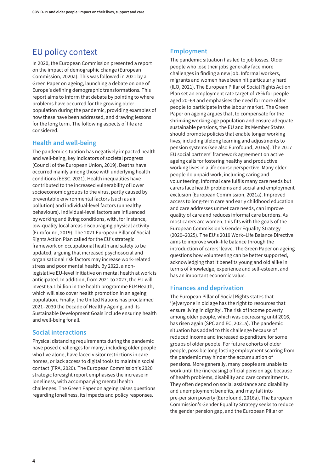## <span id="page-9-0"></span>EU policy context

In 2020, the European Commission presented a report on the impact of demographic change (European Commission, 2020a). This was followed in 2021 by a Green Paper on ageing, launching a debate on one of Europe's defining demographic transformations. This report aims to inform that debate by pointing to where problems have occurred for the growing older population during the pandemic, providing examples of how these have been addressed, and drawing lessons for the long term. The following aspects of life are considered.

### **Health and well-being**

The pandemic situation has negatively impacted health and well-being, key indicators of societal progress (Council of the European Union, 2019). Deaths have occurred mainly among those with underlying health conditions (EESC, 2021). Health inequalities have contributed to the increased vulnerability of lower socioeconomic groups to the virus, partly caused by preventable environmental factors (such as air pollution) and individual-level factors (unhealthy behaviours). Individual-level factors are influenced by working and living conditions, with, for instance, low-quality local areas discouraging physical activity (Eurofound, 2019). The 2021 European Pillar of Social Rights Action Plan called for the EU's strategic framework on occupational health and safety to be updated, arguing that increased psychosocial and organisational risk factors may increase work-related stress and poor mental health. By 2022, a nonlegislative EU-level initiative on mental health at work is anticipated. In addition, from 2021 to 2027, the EU will invest €5.1 billion in the health programme EU4Health, which will also cover health promotion in an ageing population. Finally, the United Nations has proclaimed 2021–2030 the Decade of Healthy Ageing, and its Sustainable Development Goals include ensuring health and well-being for all.

### **Social interactions**

Physical distancing requirements during the pandemic have posed challenges for many, including older people who live alone, have faced visitor restrictions in care homes, or lack access to digital tools to maintain social contact (FRA, 2020). The European Commission's 2020 strategic foresight report emphasises the increase in loneliness, with accompanying mental health challenges. The Green Paper on ageing raises questions regarding loneliness, its impacts and policy responses.

### **Employment**

The pandemic situation has led to job losses. Older people who lose their jobs generally face more challenges in finding a new job. Informal workers, migrants and women have been hit particularly hard (ILO, 2021). The European Pillar of Social Rights Action Plan set an employment rate target of 78% for people aged 20–64 and emphasises the need for more older people to participate in the labour market. The Green Paper on ageing argues that, to compensate for the shrinking working age population and ensure adequate sustainable pensions, the EU and its Member States should promote policies that enable longer working lives, including lifelong learning and adjustments to pension systems (see also Eurofound, 2016a). The 2017 EU social partners' framework agreement on active ageing calls for fostering healthy and productive working lives in a life course perspective. Many older people do unpaid work, including caring and volunteering. Informal care fulfils many care needs but carers face health problems and social and employment exclusion (European Commission, 2021a). Improved access to long-term care and early childhood education and care addresses unmet care needs, can improve quality of care and reduces informal care burdens. As most carers are women, this fits with the goals of the European Commission's Gender Equality Strategy (2020–2025). The EU's 2019 Work–Life Balance Directive aims to improve work–life balance through the introduction of carers' leave. The Green Paper on ageing questions how volunteering can be better supported, acknowledging that it benefits young and old alike in terms of knowledge, experience and self-esteem, and has an important economic value.

### **Finances and deprivation**

The European Pillar of Social Rights states that '[e]veryone in old age has the right to resources that ensure living in dignity'. The risk of income poverty among older people, which was decreasing until 2016, has risen again (SPC and EC, 2021a). The pandemic situation has added to this challenge because of reduced income and increased expenditure for some groups of older people. For future cohorts of older people, possible long-lasting employment scarring from the pandemic may hinder the accumulation of pensions. More generally, many people are unable to work until the (increasing) official pension age because of health problems, disability and care commitments. They often depend on social assistance and disability and unemployment benefits, and may fall into pre-pension poverty (Eurofound, 2016a). The European Commission's Gender Equality Strategy seeks to reduce the gender pension gap, and the European Pillar of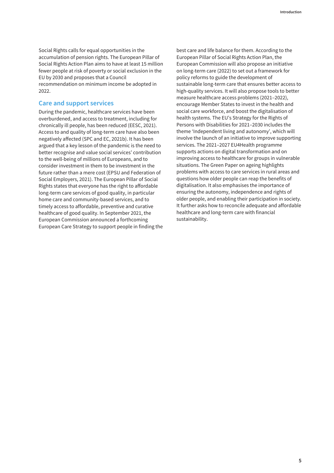Social Rights calls for equal opportunities in the accumulation of pension rights. The European Pillar of Social Rights Action Plan aims to have at least 15 million fewer people at risk of poverty or social exclusion in the EU by 2030 and proposes that a Council recommendation on minimum income be adopted in 2022.

### **Care and support services**

During the pandemic, healthcare services have been overburdened, and access to treatment, including for chronically ill people, has been reduced (EESC, 2021). Access to and quality of long-term care have also been negatively affected (SPC and EC, 2021b). It has been argued that a key lesson of the pandemic is the need to better recognise and value social services' contribution to the well-being of millions of Europeans, and to consider investment in them to be investment in the future rather than a mere cost (EPSU and Federation of Social Employers, 2021). The European Pillar of Social Rights states that everyone has the right to affordable long-term care services of good quality, in particular home care and community-based services, and to timely access to affordable, preventive and curative healthcare of good quality. In September 2021, the European Commission announced a forthcoming European Care Strategy to support people in finding the best care and life balance for them. According to the European Pillar of Social Rights Action Plan, the European Commission will also propose an initiative on long-term care (2022) to set out a framework for policy reforms to guide the development of sustainable long-term care that ensures better access to high-quality services. It will also propose tools to better measure healthcare access problems (2021–2022), encourage Member States to invest in the health and social care workforce, and boost the digitalisation of health systems. The EU's Strategy for the Rights of Persons with Disabilities for 2021–2030 includes the theme 'Independent living and autonomy', which will involve the launch of an initiative to improve supporting services. The 2021–2027 EU4Health programme supports actions on digital transformation and on improving access to healthcare for groups in vulnerable situations. The Green Paper on ageing highlights problems with access to care services in rural areas and questions how older people can reap the benefits of digitalisation. It also emphasises the importance of ensuring the autonomy, independence and rights of older people, and enabling their participation in society. It further asks how to reconcile adequate and affordable healthcare and long-term care with financial sustainability.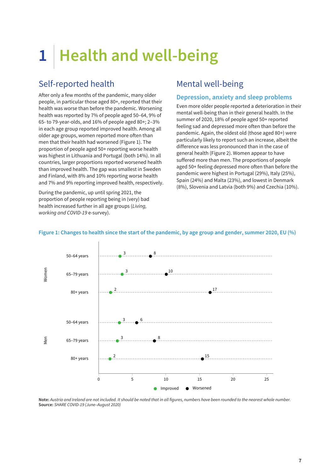# <span id="page-12-0"></span>**1 Health and well-being**

## Self-reported health

After only a few months of the pandemic, many older people, in particular those aged 80+, reported that their health was worse than before the pandemic. Worsening health was reported by 7% of people aged 50–64, 9% of 65- to 79-year-olds, and 16% of people aged 80+; 2–3% in each age group reported improved health. Among all older age groups, women reported more often than men that their health had worsened (Figure 1). The proportion of people aged 50+ reporting worse health was highest in Lithuania and Portugal (both 14%). In all countries, larger proportions reported worsened health than improved health. The gap was smallest in Sweden and Finland, with 8% and 10% reporting worse health and 7% and 9% reporting improved health, respectively.

During the pandemic, up until spring 2021, the proportion of people reporting being in (very) bad health increased further in all age groups (*Living, working and COVID-19* e-survey).

## Mental well-being

### **Depression, anxiety and sleep problems**

Even more older people reported a deterioration in their mental well-being than in their general health. In the summer of 2020, 18% of people aged 50+ reported feeling sad and depressed more often than before the pandemic. Again, the oldest old (those aged 80+) were particularly likely to report such an increase, albeit the difference was less pronounced than in the case of general health (Figure 2). Women appear to have suffered more than men. The proportions of people aged 50+ feeling depressed more often than before the pandemic were highest in Portugal (29%), Italy (25%), Spain (24%) and Malta (23%), and lowest in Denmark (8%), Slovenia and Latvia (both 9%) and Czechia (10%).



### **Figure 1: Changes to health since the start of the pandemic, by age group and gender, summer 2020, EU (%)**

**Note:** *Austria and Ireland are not included. It should be noted that in all figures, numbers have been rounded to the nearest whole number.* **Source:** *SHARE COVID-19 (June–August 2020)*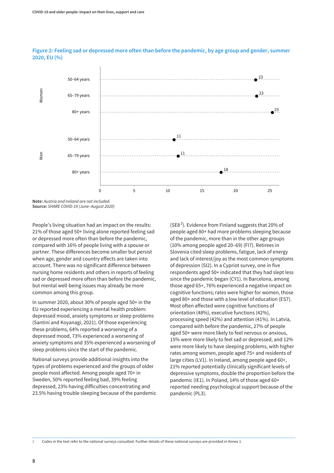

### **Figure 2: Feeling sad or depressed more often than before the pandemic, by age group and gender, summer 2020, EU (%)**

**Note:** *Austria and Ireland are not included.* **Source:** *SHARE COVID-19 (June–August 2020)*

People's living situation had an impact on the results: 21% of those aged 50+ living alone reported feeling sad or depressed more often than before the pandemic, compared with 16% of people living with a spouse or partner. These differences become smaller but persist when age, gender and country effects are taken into account. There was no significant difference between nursing home residents and others in reports of feeling sad or depressed more often than before the pandemic, but mental well-being issues may already be more common among this group.

In summer 2020, about 30% of people aged 50+ in the EU reported experiencing a mental health problem: depressed mood, anxiety symptoms or sleep problems (Santini and Koyanagi, 2021). Of those experiencing these problems, 64% reported a worsening of a depressed mood, 73% experienced a worsening of anxiety symptoms and 35% experienced a worsening of sleep problems since the start of the pandemic.

National surveys provide additional insights into the types of problems experienced and the groups of older people most affected. Among people aged 70+ in Sweden, 50% reported feeling bad, 39% feeling depressed, 23% having difficulties concentrating and 23.5% having trouble sleeping because of the pandemic

(SE8<sup>2</sup>). Evidence from Finland suggests that 20% of people aged 80+ had more problems sleeping because of the pandemic, more than in the other age groups (10% among people aged 20–69) (FI7). Retirees in Slovenia cited sleep problems, fatigue, lack of energy and lack of interest/joy as the most common symptoms of depression (SI2). In a Cypriot survey, one in five respondents aged 50+ indicated that they had slept less since the pandemic began (CY1). In Barcelona, among those aged 65+, 76% experienced a negative impact on cognitive functions; rates were higher for women, those aged 80+ and those with a low level of education (ES7). Most often affected were cognitive functions of orientation (48%), executive functions (42%), processing speed (42%) and attention (41%). In Latvia, compared with before the pandemic, 27% of people aged 50+ were more likely to feel nervous or anxious, 15% were more likely to feel sad or depressed, and 12% were more likely to have sleeping problems, with higher rates among women, people aged 75+ and residents of large cities (LV1). In Ireland, among people aged 60+, 21% reported potentially clinically significant levels of depressive symptoms, double the proportion before the pandemic (IE1). In Poland, 14% of those aged 60+ reported needing psychological support because of the pandemic (PL3).

**2** Codes in the text refer to the national surveys consulted. Further details of these national surveys are provided in Annex 1.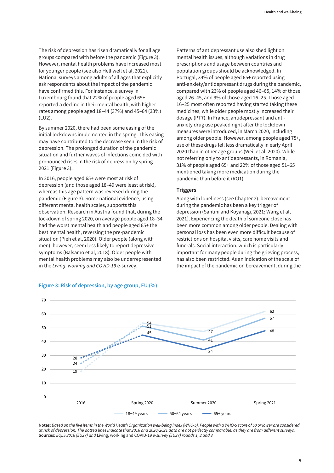The risk of depression has risen dramatically for all age groups compared with before the pandemic (Figure 3). However, mental health problems have increased most for younger people (see also Helliwell et al, 2021). National surveys among adults of all ages that explicitly ask respondents about the impact of the pandemic have confirmed this. For instance, a survey in Luxembourg found that 22% of people aged 65+ reported a decline in their mental health, with higher rates among people aged 18–44 (37%) and 45–64 (33%) (LU2).

By summer 2020, there had been some easing of the initial lockdowns implemented in the spring. This easing may have contributed to the decrease seen in the risk of depression. The prolonged duration of the pandemic situation and further waves of infections coincided with pronounced rises in the risk of depression by spring 2021 (Figure 3).

In 2016, people aged 65+ were most at risk of depression (and those aged 18–49 were least at risk), whereas this age pattern was reversed during the pandemic (Figure 3). Some national evidence, using different mental health scales, supports this observation. Research in Austria found that, during the lockdown of spring 2020, on average people aged 18–34 had the worst mental health and people aged 65+ the best mental health, reversing the pre-pandemic situation (Pieh et al, 2020). Older people (along with men), however, seem less likely to report depressive symptoms (Balsamo et al, 2018). Older people with mental health problems may also be underrepresented in the *Living, working and COVID-19* e-survey.

Patterns of antidepressant use also shed light on mental health issues, although variations in drug prescriptions and usage between countries and population groups should be acknowledged. In Portugal, 34% of people aged 65+ reported using anti-anxiety/antidepressant drugs during the pandemic, compared with 23% of people aged 46–65, 14% of those aged 26–45, and 9% of those aged 16–25. Those aged 16–25 most often reported having started taking these medicines, while older people mostly increased their dosage (PT7). In France, antidepressant and antianxiety drug use peaked right after the lockdown measures were introduced, in March 2020, including among older people. However, among people aged 75+, use of these drugs fell less dramatically in early April 2020 than in other age groups (Weil et al, 2020). While not referring only to antidepressants, in Romania, 31% of people aged 65+ and 22% of those aged 51–65 mentioned taking more medication during the pandemic than before it (RO1).

### **Triggers**

Along with loneliness (see Chapter 2), bereavement during the pandemic has been a key trigger of depression (Santini and Koyanagi, 2021; Wang et al, 2021). Experiencing the death of someone close has been more common among older people. Dealing with personal loss has been even more difficult because of restrictions on hospital visits, care home visits and funerals. Social interaction, which is particularly important for many people during the grieving process, has also been restricted. As an indication of the scale of the impact of the pandemic on bereavement, during the



### **Figure 3: Risk of depression, by age group, EU (%)**

**Notes:** *Based on the five items in the World Health Organization well-being index (WHO-5). People with a WHO-5 score of 50 or lower are considered at risk of depression. The dotted lines indicate that 2016 and 2020/2021 data are not perfectly comparable, as they are from different surveys.* **Sources:** *EQLS 2016 (EU27) and* Living, working and COVID-19 *e-survey (EU27) rounds 1, 2 and 3*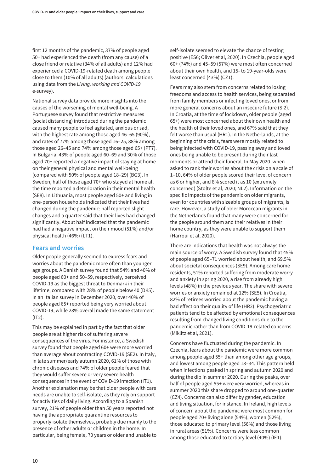first 12 months of the pandemic, 37% of people aged 50+ had experienced the death (from any cause) of a close friend or relative (34% of all adults) and 12% had experienced a COVID-19-related death among people close to them (10% of all adults) (authors' calculations using data from the *Living, working and COVID-19* e-survey).

National survey data provide more insights into the causes of the worsening of mental well-being. A Portuguese survey found that restrictive measures (social distancing) introduced during the pandemic caused many people to feel agitated, anxious or sad, with the highest rate among those aged 46–65 (90%), and rates of 77% among those aged 16–25, 88% among those aged 26–45 and 74% among those aged 65+ (PT7). In Bulgaria, 43% of people aged 60–69 and 30% of those aged 70+ reported a negative impact of staying at home on their general physical and mental well-being (compared with 50% of people aged 18–29) (BG3). In Sweden, half of those aged 70+ who stayed at home all the time reported a deterioration in their mental health (SE8). In Lithuania, most people aged 50+ and living in one-person households indicated that their lives had changed during the pandemic: half reported slight changes and a quarter said that their lives had changed significantly. About half indicated that the pandemic had had a negative impact on their mood (51%) and/or physical health (46%) (LT1).

### **Fears and worries**

Older people generally seemed to express fears and worries about the pandemic more often than younger age groups. A Danish survey found that 54% and 40% of people aged 60+ and 50–59, respectively, perceived COVID-19 as the biggest threat to Denmark in their lifetime, compared with 28% of people below 40 (DK5). In an Italian survey in December 2020, over 40% of people aged 65+ reported being very worried about COVID-19, while 28% overall made the same statement  $(IT2)$ .

This may be explained in part by the fact that older people are at higher risk of suffering severe consequences of the virus. For instance, a Swedish survey found that people aged 60+ were more worried than average about contracting COVID-19 (SE2). In Italy, in late summer/early autumn 2020, 61% of those with chronic diseases and 74% of older people feared that they would suffer severe or very severe health consequences in the event of COVID-19 infection (IT1). Another explanation may be that older people with care needs are unable to self-isolate, as they rely on support for activities of daily living. According to a Spanish survey, 21% of people older than 50 years reported not having the appropriate quarantine resources to properly isolate themselves, probably due mainly to the presence of other adults or children in the home. In particular, being female, 70 years or older and unable to

self-isolate seemed to elevate the chance of testing positive (ES6; Oliver et al, 2020). In Czechia, people aged 60+ (74%) and 45–59 (57%) were most often concerned about their own health, and 15- to 19-year-olds were least concerned (43%) (CZ1).

Fears may also stem from concerns related to losing freedoms and access to health services, being separated from family members or infecting loved ones, or from more general concerns about an insecure future (SI2). In Croatia, at the time of lockdown, older people (aged 65+) were most concerned about their own health and the health of their loved ones, and 67% said that they felt worse than usual (HR1). In the Netherlands, at the beginning of the crisis, fears were mostly related to being infected with COVID-19, passing away and loved ones being unable to be present during their last moments or attend their funeral. In May 2020, when asked to rank their worries about the crisis on a scale of 1–10, 64% of older people scored their level of concern as 6 or higher, and 8% scored it as 10 (extremely concerned) (Stolte et al, 2020; NL2). Information on the specific impacts of the pandemic on older migrants, even for countries with sizeable groups of migrants, is rare. However, a study of older Moroccan migrants in the Netherlands found that many were concerned for the people around them and their relatives in their home country, as they were unable to support them (Harroui et al, 2020).

There are indications that health was not always the main source of worry. A Swedish survey found that 45% of people aged 65–71 worried about health, and 69.5% about societal consequences (SE9). Among care home residents, 51% reported suffering from moderate worry and anxiety in spring 2020, a rise from already high levels (48%) in the previous year. The share with severe worries or anxiety remained at 12% (SE5). In Croatia, 82% of retirees worried about the pandemic having a bad effect on their quality of life (HR2). Psychogeriatric patients tend to be affected by emotional consequences resulting from changed living conditions due to the pandemic rather than from COVID-19-related concerns (Miklitz et al, 2021).

Concerns have fluctuated during the pandemic. In Czechia, fears about the pandemic were more common among people aged 55+ than among other age groups, and lowest among people aged 18–34. This pattern held when infections peaked in spring and autumn 2020 and during the dip in summer 2020. During the peaks, over half of people aged 55+ were very worried, whereas in summer 2020 this share dropped to around one-quarter (CZ4). Concerns can also differ by gender, education and living situation, for instance. In Ireland, high levels of concern about the pandemic were most common for people aged 70+ living alone (54%), women (52%), those educated to primary level (56%) and those living in rural areas (51%). Concerns were less common among those educated to tertiary level (40%) (IE1).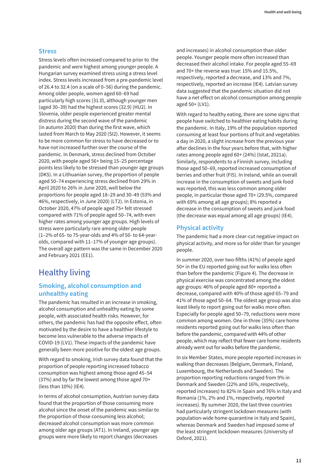### <span id="page-16-0"></span>**Stress**

Stress levels often increased compared to prior to the pandemic and were highest among younger people. A Hungarian survey examined stress using a stress level index. Stress levels increased from a pre-pandemic level of 26.4 to 32.4 (on a scale of 0–56) during the pandemic. Among older people, women aged 60–69 had particularly high scores (31.0), although younger men (aged 30–39) had the highest scores (32.9) (HU2). In Slovenia, older people experienced greater mental distress during the second wave of the pandemic (in autumn 2020) than during the first wave, which lasted from March to May 2020 (SI2). However, it seems to be more common for stress to have decreased or to have not increased further over the course of the pandemic. In Denmark, stress declined from October 2020, with people aged 56+ being 15–25 percentage points less likely to be stressed than younger age groups (DK5). In a Lithuanian survey, the proportion of people aged 50–74 experiencing stress declined from 29% in April 2020 to 26% in June 2020, well below the proportions for people aged 18–29 and 30–49 (53% and 46%, respectively, in June 2020) (LT2). In Estonia, in October 2020, 47% of people aged 75+ felt stressed compared with 71% of people aged 50–74, with even higher rates among younger age groups. High levels of stress were particularly rare among older people (1–2% of 65- to 75-year-olds and 4% of 50- to 64-yearolds, compared with 11–17% of younger age groups). The overall age pattern was the same in December 2020 and February 2021 (EE1).

## Healthy living

### **Smoking, alcohol consumption and unhealthy eating**

The pandemic has resulted in an increase in smoking, alcohol consumption and unhealthy eating by some people, with associated health risks. However, for others, the pandemic has had the opposite effect, often motivated by the desire to have a healthier lifestyle to become less vulnerable to the adverse impacts of COVID-19 (LV1). These impacts of the pandemic have generally been more positive for the oldest age groups.

With regard to smoking, Irish survey data found that the proportion of people reporting increased tobacco consumption was highest among those aged 45–54 (37%) and by far the lowest among those aged 70+ (less than 10%) (IE4).

In terms of alcohol consumption, Austrian survey data found that the proportion of those consuming more alcohol since the onset of the pandemic was similar to the proportion of those consuming less alcohol; decreased alcohol consumption was more common among older age groups (AT1). In Ireland, younger age groups were more likely to report changes (decreases

and increases) in alcohol consumption than older people. Younger people more often increased than decreased their alcohol intake. For people aged 55–69 and 70+ the reverse was true: 15% and 15.5%, respectively, reported a decrease, and 13% and 7%, respectively, reported an increase (IE4). Latvian survey data suggested that the pandemic situation did not have a net effect on alcohol consumption among people aged 50+ (LV1).

With regard to healthy eating, there are some signs that people have switched to healthier eating habits during the pandemic. In Italy, 19% of the population reported consuming at least four portions of fruit and vegetables a day in 2020, a slight increase from the previous year after declines in the four years before that, with higher rates among people aged 60+ (24%) (Istat, 2021a). Similarly, respondents to a Finnish survey, including those aged 50–69, reported increased consumption of berries and other fruit (FI5). In Ireland, while an overall increase in the consumption of sweets and junk food was reported, this was less common among older people, in particular those aged 70+ (29.5%, compared with 69% among all age groups); 8% reported a decrease in the consumption of sweets and junk food (the decrease was equal among all age groups) (IE4).

### **Physical activity**

The pandemic had a more clear-cut negative impact on physical activity, and more so for older than for younger people.

In summer 2020, over two-fifths (41%) of people aged 50+ in the EU reported going out for walks less often than before the pandemic (Figure 4). The decrease in physical exercise was concentrated among the oldest age groups: 46% of people aged 80+ reported a decrease, compared with 40% of those aged 65–79 and 41% of those aged 50–64. The oldest age group was also least likely to report going out for walks more often. Especially for people aged 50–79, reductions were more common among women. One in three (35%) care home residents reported going out for walks less often than before the pandemic, compared with 44% of other people, which may reflect that fewer care home residents already went out for walks before the pandemic.

In six Member States, more people reported increases in walking than decreases (Belgium, Denmark, Finland, Luxembourg, the Netherlands and Sweden). The proportion reporting reductions ranged from 9% in Denmark and Sweden (22% and 16%, respectively, reported increases) to 82% in Spain and 76% in Italy and Romania (1%, 2% and 1%, respectively, reported increases). By summer 2020, the last three countries had particularly stringent lockdown measures (with population-wide home quarantine in Italy and Spain), whereas Denmark and Sweden had imposed some of the least stringent lockdown measures (University of Oxford, 2021).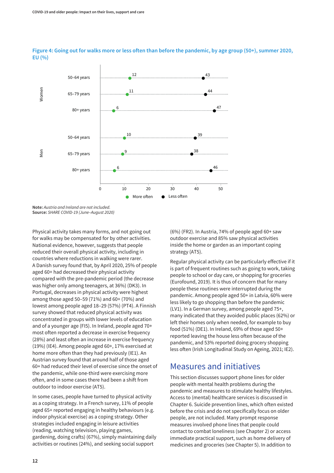

<span id="page-17-0"></span>**Figure 4: Going out for walks more or less often than before the pandemic, by age group (50+), summer 2020, EU (%)**

**Note:** *Austria and Ireland are not included.* **Source:** *SHARE COVID-19 (June–August 2020)*

Physical activity takes many forms, and not going out for walks may be compensated for by other activities. National evidence, however, suggests that people reduced their overall physical activity, including in countries where reductions in walking were rarer. A Danish survey found that, by April 2020, 25% of people aged 60+ had decreased their physical activity compared with the pre-pandemic period (the decrease was higher only among teenagers, at 36%) (DK3). In Portugal, decreases in physical activity were highest among those aged 50–59 (71%) and 60+ (70%) and lowest among people aged 18–29 (57%) (PT4). A Finnish survey showed that reduced physical activity was concentrated in groups with lower levels of education and of a younger age (FI5). In Ireland, people aged 70+ most often reported a decrease in exercise frequency (28%) and least often an increase in exercise frequency (19%) (IE4). Among people aged 60+, 17% exercised at home more often than they had previously (IE1). An Austrian survey found that around half of those aged 60+ had reduced their level of exercise since the onset of the pandemic, while one-third were exercising more often, and in some cases there had been a shift from outdoor to indoor exercise (AT5).

In some cases, people have turned to physical activity as a coping strategy. In a French survey, 11% of people aged 65+ reported engaging in healthy behaviours (e.g. indoor physical exercise) as a coping strategy. Other strategies included engaging in leisure activities (reading, watching television, playing games, gardening, doing crafts) (67%), simply maintaining daily activities or routines (24%), and seeking social support

(6%) (FR2). In Austria, 74% of people aged 60+ saw outdoor exercise and 85% saw physical activities inside the home or garden as an important coping strategy (AT5).

Regular physical activity can be particularly effective if it is part of frequent routines such as going to work, taking people to school or day care, or shopping for groceries (Eurofound, 2019). It is thus of concern that for many people these routines were interrupted during the pandemic. Among people aged 50+ in Latvia, 60% were less likely to go shopping than before the pandemic (LV1). In a German survey, among people aged 75+, many indicated that they avoided public places (62%) or left their homes only when needed, for example to buy food (51%) (DE1). In Ireland, 69% of those aged 50+ reported leaving the house less often because of the pandemic, and 53% reported doing grocery shopping less often (Irish Longitudinal Study on Ageing, 2021; IE2).

## Measures and initiatives

This section discusses support phone lines for older people with mental health problems during the pandemic and measures to stimulate healthy lifestyles. Access to (mental) healthcare services is discussed in Chapter 6. Suicide prevention lines, which often existed before the crisis and do not specifically focus on older people, are not included. Many prompt response measures involved phone lines that people could contact to combat loneliness (see Chapter 2) or access immediate practical support, such as home delivery of medicines and groceries (see Chapter 5). In addition to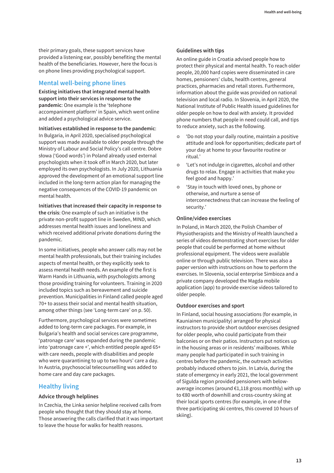their primary goals, these support services have provided a listening ear, possibly benefiting the mental health of the beneficiaries. However, here the focus is on phone lines providing psychological support.

### **Mental well-being phone lines**

**Existing initiatives that integrated mental health support into their services in response to the pandemic**: One example is the 'telephone accompaniment platform' in Spain, which went online and added a psychological advice service.

**Initiatives established in response to the pandemic**: In Bulgaria, in April 2020, specialised psychological support was made available to older people through the Ministry of Labour and Social Policy's call centre. Dobre słowa ('Good words') in Poland already used external psychologists when it took off in March 2020, but later employed its own psychologists. In July 2020, Lithuania approved the development of an emotional support line included in the long-term action plan for managing the negative consequences of the COVID-19 pandemic on mental health.

**Initiatives that increased their capacity in response to the crisis**: One example of such an initiative is the private non-profit support line in Sweden, MIND, which addresses mental health issues and loneliness and which received additional private donations during the pandemic.

In some initiatives, people who answer calls may not be mental health professionals, but their training includes aspects of mental health, or they explicitly seek to assess mental health needs. An example of the first is Warm Hands in Lithuania, with psychologists among those providing training for volunteers. Training in 2020 included topics such as bereavement and suicide prevention. Municipalities in Finland called people aged 70+ to assess their social and mental health situation, among other things (see 'Long-term care' on p. 50).

Furthermore, psychological services were sometimes added to long-term care packages. For example, in Bulgaria's health and social services care programme, 'patronage care' was expanded during the pandemic into 'patronage care +', which entitled people aged 65+ with care needs, people with disabilities and people who were quarantining to up to two hours' care a day. In Austria, psychosocial telecounselling was added to home care and day care packages.

### **Healthy living**

### **Advice through helplines**

In Czechia, the Linka senior helpline received calls from people who thought that they should stay at home. Those answering the calls clarified that it was important to leave the house for walks for health reasons.

### **Guidelines with tips**

An online guide in Croatia advised people how to protect their physical and mental health. To reach older people, 20,000 hard copies were disseminated in care homes, pensioners' clubs, health centres, general practices, pharmacies and retail stores. Furthermore, information about the guide was provided on national television and local radio. In Slovenia, in April 2020, the National Institute of Public Health issued guidelines for older people on how to deal with anxiety. It provided phone numbers that people in need could call, and tips to reduce anxiety, such as the following.

- **•** 'Do not stop your daily routine, maintain a positive attitude and look for opportunities; dedicate part of your day at home to your favourite routine or ritual.'
- **o** 'Let's not indulge in cigarettes, alcohol and other drugs to relax. Engage in activities that make you feel good and happy.'
- **o** 'Stay in touch with loved ones, by phone or otherwise, and nurture a sense of interconnectedness that can increase the feeling of security.'

### **Online/video exercises**

In Poland, in March 2020, the Polish Chamber of Physiotherapists and the Ministry of Health launched a series of videos demonstrating short exercises for older people that could be performed at home without professional equipment. The videos were available online or through public television. There was also a paper version with instructions on how to perform the exercises. In Slovenia, social enterprise Simbioza and a private company developed the Magda mobile application (app) to provide exercise videos tailored to older people.

### **Outdoor exercises and sport**

In Finland, social housing associations (for example, in Kauniainen municipality) arranged for physical instructors to provide short outdoor exercises designed for older people, who could participate from their balconies or on their patios. Instructors put notices up in the housing areas or in residents' mailboxes. While many people had participated in such training in centres before the pandemic, the outreach activities probably induced others to join. In Latvia, during the state of emergency in early 2021, the local government of Sigulda region provided pensioners with belowaverage incomes (around €1,118 gross monthly) with up to €80 worth of downhill and cross-country skiing at their local sports centres (for example, in one of the three participating ski centres, this covered 10 hours of skiing).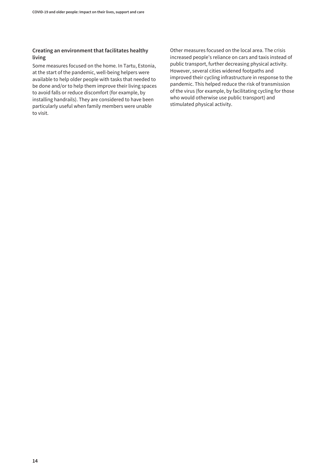### **Creating an environment that facilitates healthy living**

Some measures focused on the home. In Tartu, Estonia, at the start of the pandemic, well-being helpers were available to help older people with tasks that needed to be done and/or to help them improve their living spaces to avoid falls or reduce discomfort (for example, by installing handrails). They are considered to have been particularly useful when family members were unable to visit.

Other measures focused on the local area. The crisis increased people's reliance on cars and taxis instead of public transport, further decreasing physical activity. However, several cities widened footpaths and improved their cycling infrastructure in response to the pandemic. This helped reduce the risk of transmission of the virus (for example, by facilitating cycling for those who would otherwise use public transport) and stimulated physical activity.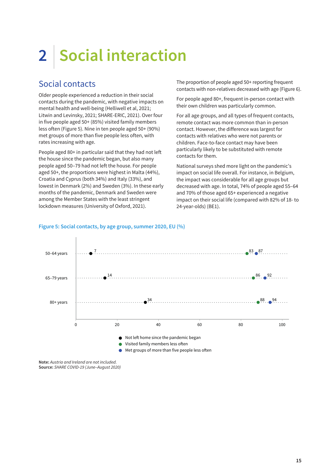# <span id="page-20-0"></span>**2 Social interaction**

## Social contacts

Older people experienced a reduction in their social contacts during the pandemic, with negative impacts on mental health and well-being (Helliwell et al, 2021; Litwin and Levinsky, 2021; SHARE-ERIC, 2021). Over four in five people aged 50+ (85%) visited family members less often (Figure 5). Nine in ten people aged 50+ (90%) met groups of more than five people less often, with rates increasing with age.

People aged 80+ in particular said that they had not left the house since the pandemic began, but also many people aged 50–79 had not left the house. For people aged 50+, the proportions were highest in Malta (44%), Croatia and Cyprus (both 34%) and Italy (33%), and lowest in Denmark (2%) and Sweden (3%). In these early months of the pandemic, Denmark and Sweden were among the Member States with the least stringent lockdown measures (University of Oxford, 2021).

The proportion of people aged 50+ reporting frequent contacts with non-relatives decreased with age (Figure 6).

For people aged 80+, frequent in-person contact with their own children was particularly common.

For all age groups, and all types of frequent contacts, remote contact was more common than in-person contact. However, the difference was largest for contacts with relatives who were not parents or children. Face-to-face contact may have been particularly likely to be substituted with remote contacts for them.

National surveys shed more light on the pandemic's impact on social life overall. For instance, in Belgium, the impact was considerable for all age groups but decreased with age. In total, 74% of people aged 55–64 and 70% of those aged 65+ experienced a negative impact on their social life (compared with 82% of 18- to 24-year-olds) (BE1).



### **Figure 5: Social contacts, by age group, summer 2020, EU (%)**

**Note:** *Austria and Ireland are not included.* **Source:** *SHARE COVID-19 (June–August 2020)*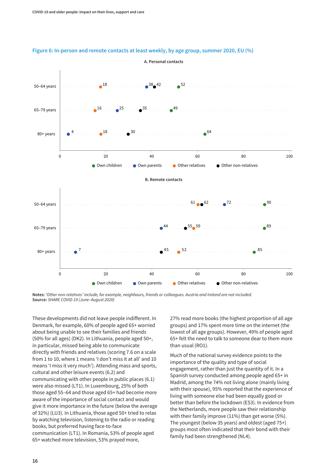

#### **Figure 6: In-person and remote contacts at least weekly, by age group, summer 2020, EU (%)**

**Notes:** *'Other non-relatives' include, for example, neighbours, friends or colleagues. Austria and Ireland are not included.* **Source:** *SHARE COVID-19 (June–August 2020)*

These developments did not leave people indifferent. In Denmark, for example, 60% of people aged 65+ worried about being unable to see their families and friends (50% for all ages) (DK2). In Lithuania, people aged 50+, in particular, missed being able to communicate directly with friends and relatives (scoring 7.6 on a scale from 1 to 10, where 1 means 'I don't miss it at all' and 10 means 'I miss it very much'). Attending mass and sports, cultural and other leisure events (6.2) and communicating with other people in public places (6.1) were also missed (LT1). In Luxembourg, 25% of both those aged 55–64 and those aged 65+ had become more aware of the importance of social contact and would give it more importance in the future (below the average of 32%) (LU3). In Lithuania, those aged 50+ tried to relax by watching television, listening to the radio or reading books, but preferred having face-to-face communication (LT1). In Romania, 53% of people aged 65+ watched more television, 53% prayed more,

27% read more books (the highest proportion of all age groups) and 17% spent more time on the internet (the lowest of all age groups). However, 49% of people aged 65+ felt the need to talk to someone dear to them more than usual (RO1).

Much of the national survey evidence points to the importance of the quality and type of social engagement, rather than just the quantity of it. In a Spanish survey conducted among people aged 65+ in Madrid, among the 74% not living alone (mainly living with their spouse), 95% reported that the experience of living with someone else had been equally good or better than before the lockdown (ES3). In evidence from the Netherlands, more people saw their relationship with their family improve (11%) than get worse (5%). The youngest (below 35 years) and oldest (aged 75+) groups most often indicated that their bond with their family had been strengthened (NL4).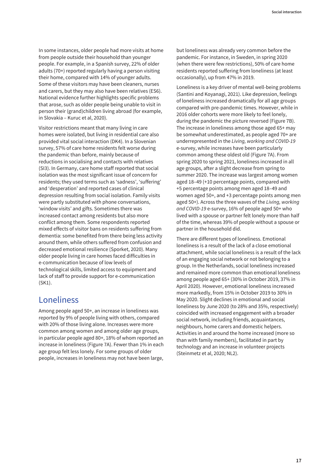<span id="page-22-0"></span>In some instances, older people had more visits at home from people outside their household than younger people. For example, in a Spanish survey, 22% of older adults (70+) reported regularly having a person visiting their home, compared with 14% of younger adults. Some of these visitors may have been cleaners, nurses and carers, but they may also have been relatives (ES6). National evidence further highlights specific problems that arose, such as older people being unable to visit in person their (grand)children living abroad (for example, in Slovakia – Kuruc et al, 2020).

Visitor restrictions meant that many living in care homes were isolated, but living in residential care also provided vital social interaction (DK4). In a Slovenian survey, 57% of care home residents felt worse during the pandemic than before, mainly because of reductions in socialising and contacts with relatives (SI3). In Germany, care home staff reported that social isolation was the most significant issue of concern for residents; they used terms such as 'sadness', 'suffering' and 'desperation' and reported cases of clinical depression resulting from social isolation. Family visits were partly substituted with phone conversations, 'window visits' and gifts. Sometimes there was increased contact among residents but also more conflict among them. Some respondents reported mixed effects of visitor bans on residents suffering from dementia: some benefited from there being less activity around them, while others suffered from confusion and decreased emotional resilience (Sporket, 2020). Many older people living in care homes faced difficulties in e-communication because of low levels of technological skills, limited access to equipment and lack of staff to provide support for e-communication (SK1).

## Loneliness

Among people aged 50+, an increase in loneliness was reported by 9% of people living with others, compared with 20% of those living alone. Increases were more common among women and among older age groups, in particular people aged 80+, 18% of whom reported an increase in loneliness (Figure 7A). Fewer than 1% in each age group felt less lonely. For some groups of older people, increases in loneliness may not have been large, but loneliness was already very common before the pandemic. For instance, in Sweden, in spring 2020 (when there were few restrictions), 50% of care home residents reported suffering from loneliness (at least occasionally), up from 47% in 2019.

Loneliness is a key driver of mental well-being problems (Santini and Koyanagi, 2021). Like depression, feelings of loneliness increased dramatically for all age groups compared with pre-pandemic times. However, while in 2016 older cohorts were more likely to feel lonely, during the pandemic the picture reversed (Figure 7B). The increase in loneliness among those aged 65+ may be somewhat underestimated, as people aged 70+ are underrepresented in the *Living, working and COVID-19* e-survey, while increases have been particularly common among these oldest old (Figure 7A). From spring 2020 to spring 2021, loneliness increased in all age groups, after a slight decrease from spring to summer 2020. The increase was largest among women aged 18–49 (+10 percentage points, compared with +5 percentage points among men aged 18–49 and women aged 50+, and +3 percentage points among men aged 50+). Across the three waves of the *Living, working and COVID-19* e-survey, 16% of people aged 50+ who lived with a spouse or partner felt lonely more than half of the time, whereas 39% of people without a spouse or partner in the household did.

There are different types of loneliness. Emotional loneliness is a result of the lack of a close emotional attachment, while social loneliness is a result of the lack of an engaging social network or not belonging to a group. In the Netherlands, social loneliness increased and remained more common than emotional loneliness among people aged 65+ (30% in October 2019, 37% in April 2020). However, emotional loneliness increased more markedly, from 15% in October 2019 to 30% in May 2020. Slight declines in emotional and social loneliness by June 2020 (to 28% and 35%, respectively) coincided with increased engagement with a broader social network, including friends, acquaintances, neighbours, home carers and domestic helpers. Activities in and around the home increased (more so than with family members), facilitated in part by technology and an increase in volunteer projects (Steinmetz et al, 2020; NL2).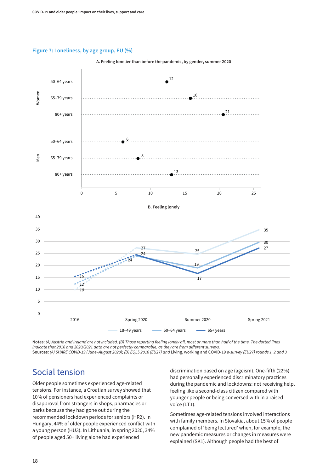### <span id="page-23-0"></span>**Figure 7: Loneliness, by age group, EU (%)**



**A. Feeling lonelier than before the pandemic, by gender, summer 2020**

**Notes:** *(A) Austria and Ireland are not included. (B) Those reporting feeling lonely all, most or more than half of the time. The dotted lines indicate that 2016 and 2020/2021 data are not perfectly comparable, as they are from different surveys.* **Sources:** *(A) SHARE COVID-19 (June–August 2020); (B) EQLS 2016 (EU27) and* Living, working and COVID-19 *e-survey (EU27) rounds 1, 2 and 3*

## Social tension

Older people sometimes experienced age-related tensions. For instance, a Croatian survey showed that 10% of pensioners had experienced complaints or disapproval from strangers in shops, pharmacies or parks because they had gone out during the recommended lockdown periods for seniors (HR2). In Hungary, 44% of older people experienced conflict with a young person (HU3). In Lithuania, in spring 2020, 34% of people aged 50+ living alone had experienced

discrimination based on age (ageism). One-fifth (22%) had personally experienced discriminatory practices during the pandemic and lockdowns: not receiving help, feeling like a second-class citizen compared with younger people or being conversed with in a raised voice (LT1).

Sometimes age-related tensions involved interactions with family members. In Slovakia, about 15% of people complained of 'being lectured' when, for example, the new pandemic measures or changes in measures were explained (SK1). Although people had the best of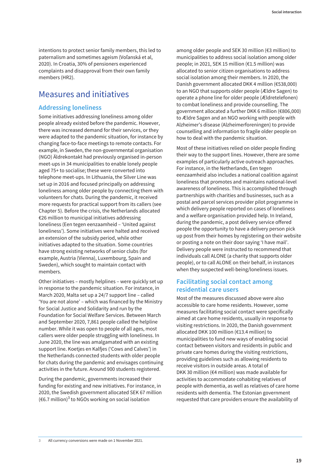<span id="page-24-0"></span>intentions to protect senior family members, this led to paternalism and sometimes ageism (Voľanská et al, 2020). In Croatia, 30% of pensioners experienced complaints and disapproval from their own family members (HR2).

## Measures and initiatives

### **Addressing loneliness**

Some initiatives addressing loneliness among older people already existed before the pandemic. However, there was increased demand for their services, or they were adapted to the pandemic situation, for instance by changing face-to-face meetings to remote contacts. For example, in Sweden, the non-governmental organisation (NGO) Äldrekontakt had previously organised in-person meet-ups in 34 municipalities to enable lonely people aged 75+ to socialise; these were converted into telephone meet-ups. In Lithuania, the Silver Line was set up in 2016 and focused principally on addressing loneliness among older people by connecting them with volunteers for chats. During the pandemic, it received more requests for practical support from its callers (see Chapter 5). Before the crisis, the Netherlands allocated €26 million to municipal initiatives addressing loneliness (Een tegen eenzaamheid – 'United against loneliness'). Some initiatives were halted and received an extension of the subsidy period, while other initiatives adapted to the situation. Some countries have strong existing networks of senior clubs (for example, Austria (Vienna), Luxembourg, Spain and Sweden), which sought to maintain contact with members.

Other initiatives – mostly helplines – were quickly set up in response to the pandemic situation. For instance, in March 2020, Malta set up a 24/7 support line – called 'You are not alone' – which was financed by the Ministry for Social Justice and Solidarity and run by the Foundation for Social Welfare Services. Between March and September 2020, 7,861 people called the helpline number. While it was open to people of all ages, most callers were older people struggling with loneliness. In June 2020, the line was amalgamated with an existing support line. Koetjes en Kalfjes ('Cows and Calves') in the Netherlands connected students with older people for chats during the pandemic and envisages continuing activities in the future. Around 900 students registered.

During the pandemic, governments increased their funding for existing and new initiatives. For instance, in 2020, the Swedish government allocated SEK 67 million (€6.7 million)<sup>3</sup> to NGOs working on social isolation

among older people and SEK 30 million (€3 million) to municipalities to address social isolation among older people; in 2021, SEK 15 million (€1.5 million) was allocated to senior citizen organisations to address social isolation among their members. In 2020, the Danish government allocated DKK 4 million (€538,000) to an NGO that supports older people (Ældre Sagen) to operate a phone line for older people (Ældretelefonen) to combat loneliness and provide counselling. The government allocated a further DKK 6 million (€806,000) to Ældre Sagen and an NGO working with people with Alzheimer's disease (Alzheimerforeningen) to provide counselling and information to fragile older people on how to deal with the pandemic situation.

Most of these initiatives relied on older people finding their way to the support lines. However, there are some examples of particularly active outreach approaches. For instance, in the Netherlands, Een tegen eenzaamheid also includes a national coalition against loneliness that promotes and maintains national-level awareness of loneliness. This is accomplished through partnerships with charities and businesses, such as a postal and parcel services provider pilot programme in which delivery people reported on cases of loneliness and a welfare organisation provided help. In Ireland, during the pandemic, a post delivery service offered people the opportunity to have a delivery person pick up post from their homes by registering on their website or posting a note on their door saying 'I have mail'. Delivery people were instructed to recommend that individuals call ALONE (a charity that supports older people), or to call ALONE on their behalf, in instances when they suspected well-being/loneliness issues.

### **Facilitating social contact among residential care users**

Most of the measures discussed above were also accessible to care home residents. However, some measures facilitating social contact were specifically aimed at care home residents, usually in response to visiting restrictions. In 2020, the Danish government allocated DKK 100 million (€13.4 million) to municipalities to fund new ways of enabling social contact between visitors and residents in public and private care homes during the visiting restrictions, providing guidelines such as allowing residents to receive visitors in outside areas. A total of DKK 30 million (€4 million) was made available for activities to accommodate cohabiting relatives of people with dementia, as well as relatives of care home residents with dementia. The Estonian government requested that care providers ensure the availability of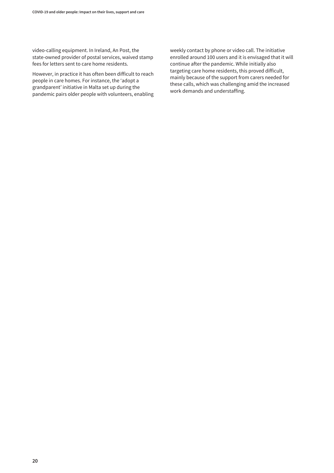video-calling equipment. In Ireland, An Post, the state-owned provider of postal services, waived stamp fees for letters sent to care home residents.

However, in practice it has often been difficult to reach people in care homes. For instance, the 'adopt a grandparent' initiative in Malta set up during the pandemic pairs older people with volunteers, enabling weekly contact by phone or video call. The initiative enrolled around 100 users and it is envisaged that it will continue after the pandemic. While initially also targeting care home residents, this proved difficult, mainly because of the support from carers needed for these calls, which was challenging amid the increased work demands and understaffing.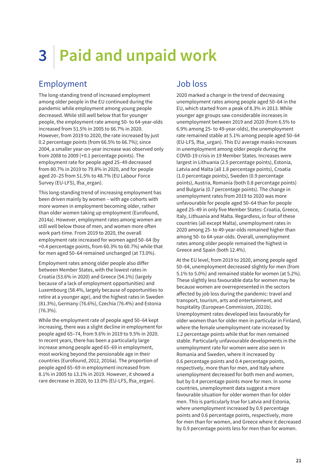# <span id="page-26-0"></span>**3 Paid and unpaid work**

## Employment

The long-standing trend of increased employment among older people in the EU continued during the pandemic while employment among young people decreased. While still well below that for younger people, the employment rate among 50- to 64-year-olds increased from 51.5% in 2005 to 66.7% in 2020. However, from 2019 to 2020, the rate increased by just 0.2 percentage points (from 66.5% to 66.7%); since 2004, a smaller year-on-year increase was observed only from 2008 to 2009 (+0.1 percentage points). The employment rate for people aged 25–49 decreased from 80.7% in 2019 to 79.8% in 2020, and for people aged 20–25 from 51.5% to 48.7% (EU Labour Force Survey (EU-LFS), lfsa\_ergan).

This long-standing trend of increasing employment has been driven mainly by women – with age cohorts with more women in employment becoming older, rather than older women taking up employment (Eurofound, 2014a). However, employment rates among women are still well below those of men, and women more often work part-time. From 2019 to 2020, the overall employment rate increased for women aged 50–64 (by +0.4 percentage points, from 60.3% to 60.7%) while that for men aged 50–64 remained unchanged (at 73.0%).

Employment rates among older people also differ between Member States, with the lowest rates in Croatia (53.6% in 2020) and Greece (54.1%) (largely because of a lack of employment opportunities) and Luxembourg (58.4%, largely because of opportunities to retire at a younger age), and the highest rates in Sweden (81.3%), Germany (76.6%), Czechia (76.4%) and Estonia (76.3%).

While the employment rate of people aged 50–64 kept increasing, there was a slight decline in employment for people aged 65–74, from 9.6% in 2019 to 9.5% in 2020. In recent years, there has been a particularly large increase among people aged 65–69 in employment, most working beyond the pensionable age in their countries (Eurofound, 2012, 2016a). The proportion of people aged 65–69 in employment increased from 8.1% in 2005 to 13.1% in 2019. However, it showed a rare decrease in 2020, to 13.0% (EU-LFS, lfsa\_ergan).

## Job loss

2020 marked a change in the trend of decreasing unemployment rates among people aged 50–64 in the EU, which started from a peak of 8.3% in 2013. While younger age groups saw considerable increases in unemployment between 2019 and 2020 (from 6.5% to 6.9% among 25- to 49-year-olds), the unemployment rate remained stable at 5.1% among people aged 50–64 (EU-LFS, lfsa\_urgan). This EU average masks increases in unemployment among older people during the COVID-19 crisis in 19 Member States. Increases were largest in Lithuania (2.5 percentage points), Estonia, Latvia and Malta (all 1.8 percentage points), Croatia (1.0 percentage points), Sweden (0.9 percentage points), Austria, Romania (both 0.8 percentage points) and Bulgaria (0.7 percentage points). The change in unemployment rates from 2019 to 2020 was more unfavourable for people aged 50–64 than for people aged 25–49 in only five Member States: Croatia, Greece, Italy, Lithuania and Malta. Regardless, in four of these countries (all except Malta), unemployment rates in 2020 among 25- to 49-year-olds remained higher than among 50- to 64-year-olds. Overall, unemployment rates among older people remained the highest in Greece and Spain (both 12.4%).

At the EU level, from 2019 to 2020, among people aged 50–64, unemployment decreased slightly for men (from 5.1% to 5.0%) and remained stable for women (at 5.2%). These slightly less favourable data for women may be because women are overrepresented in the sectors affected by job loss during the pandemic: travel and transport, tourism, arts and entertainment, and hospitality (European Commission, 2021b). Unemployment rates developed less favourably for older women than for older men in particular in Finland, where the female unemployment rate increased by 1.2 percentage points while that for men remained stable. Particularly unfavourable developments in the unemployment rate for women were also seen in Romania and Sweden, where it increased by 0.6 percentage points and 0.4 percentage points, respectively, more than for men, and Italy where unemployment decreased for both men and women, but by 0.4 percentage points more for men. In some countries, unemployment data suggest a more favourable situation for older women than for older men. This is particularly true for Latvia and Estonia, where unemployment increased by 0.9 percentage points and 0.6 percentage points, respectively, more for men than for women, and Greece where it decreased by 0.9 percentage points less for men than for women.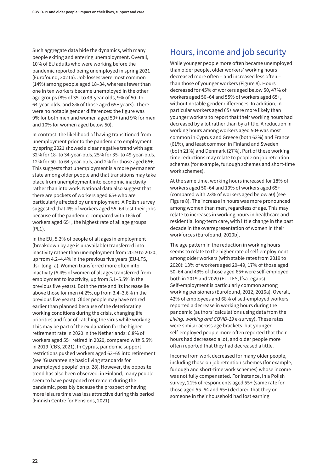<span id="page-27-0"></span>Such aggregate data hide the dynamics, with many people exiting and entering unemployment. Overall, 10% of EU adults who were working before the pandemic reported being unemployed in spring 2021 (Eurofound, 2021a). Job losses were most common (14%) among people aged 18–34, whereas fewer than one in ten workers became unemployed in the other age groups (8% of 35- to 49-year-olds, 9% of 50- to 64-year-olds, and 8% of those aged 65+ years). There were no notable gender differences: the figure was 9% for both men and women aged 50+ (and 9% for men and 10% for women aged below 50).

In contrast, the likelihood of having transitioned from unemployment prior to the pandemic to employment by spring 2021 showed a clear negative trend with age: 32% for 18- to 34-year-olds, 25% for 35- to 49-year-olds, 12% for 50- to 64-year-olds, and 2% for those aged 65+. This suggests that unemployment is a more permanent state among older people and that transitions may take place from unemployment into economic inactivity rather than into work. National data also suggest that there are pockets of workers aged 65+ who are particularly affected by unemployment. A Polish survey suggested that 4% of workers aged 55–64 lost their jobs because of the pandemic, compared with 16% of workers aged 65+, the highest rate of all age groups (PL1).

In the EU, 5.2% of people of all ages in employment (breakdown by age is unavailable) transferred into inactivity rather than unemployment from 2019 to 2020, up from 4.2–4.4% in the previous five years (EU-LFS, lfsi\_long\_a). Women transferred more often into inactivity (6.4% of women of all ages transferred from employment to inactivity, up from 5.1–5.5% in the previous five years). Both the rate and its increase lie above those for men (4.2%, up from 3.4–3.6% in the previous five years). Older people may have retired earlier than planned because of the deteriorating working conditions during the crisis, changing life priorities and fear of catching the virus while working. This may be part of the explanation for the higher retirement rate in 2020 in the Netherlands: 6.8% of workers aged 55+ retired in 2020, compared with 5.5% in 2019 (CBS, 2021). In Cyprus, pandemic support restrictions pushed workers aged 63–65 into retirement (see 'Guaranteeing basic living standards for unemployed people' on p. 28). However, the opposite trend has also been observed: in Finland, many people seem to have postponed retirement during the pandemic, possibly because the prospect of having more leisure time was less attractive during this period (Finnish Centre for Pensions, 2021).

## Hours, income and job security

While younger people more often became unemployed than older people, older workers' working hours decreased more often – and increased less often – than those of younger workers (Figure 8). Hours decreased for 45% of workers aged below 50, 47% of workers aged 50–64 and 55% of workers aged 65+, without notable gender differences. In addition, in particular workers aged 65+ were more likely than younger workers to report that their working hours had decreased by a lot rather than by a little. A reduction in working hours among workers aged 50+ was most common in Cyprus and Greece (both 62%) and France (61%), and least common in Finland and Sweden (both 21%) and Denmark (27%). Part of these working time reductions may relate to people on job retention schemes (for example, furlough schemes and short-time work schemes).

At the same time, working hours increased for 18% of workers aged 50–64 and 19% of workers aged 65+ (compared with 23% of workers aged below 50) (see Figure 8). The increase in hours was more pronounced among women than men, regardless of age. This may relate to increases in working hours in healthcare and residential long-term care, with little change in the past decade in the overrepresentation of women in their workforces (Eurofound, 2020b).

The age pattern in the reduction in working hours seems to relate to the higher rate of self-employment among older workers (with stable rates from 2019 to 2020): 13% of workers aged 20–49, 17% of those aged 50–64 and 43% of those aged 65+ were self-employed both in 2019 and 2020 (EU-LFS, lfsa\_egaps). Self-employment is particularly common among working pensioners (Eurofound, 2012, 2016a). Overall, 42% of employees and 68% of self-employed workers reported a decrease in working hours during the pandemic (authors' calculations using data from the *Living, working and COVID-19* e-survey). These rates were similar across age brackets, but younger self-employed people more often reported that their hours had decreased a lot, and older people more often reported that they had decreased a little.

Income from work decreased for many older people, including those on job retention schemes (for example, furlough and short-time work schemes) whose income was not fully compensated. For instance, in a Polish survey, 21% of respondents aged 55+ (same rate for those aged 55–64 and 65+) declared that they or someone in their household had lost earning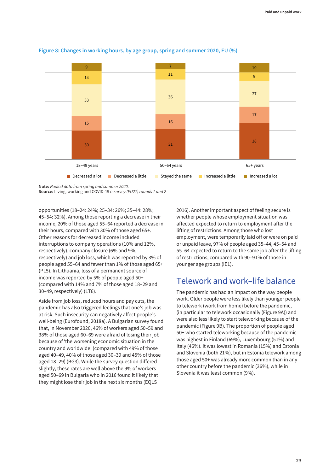

### <span id="page-28-0"></span>**Figure 8: Changes in working hours, by age group, spring and summer 2020, EU (%)**

**Note:** *Pooled data from spring and summer 2020.*

**Source:** Living, working and COVID-19 *e-survey (EU27) rounds 1 and 2*

opportunities (18–24: 24%; 25–34: 26%; 35–44: 28%; 45–54: 32%). Among those reporting a decrease in their income, 20% of those aged 55–64 reported a decrease in their hours, compared with 30% of those aged 65+. Other reasons for decreased income included interruptions to company operations (10% and 12%, respectively), company closure (6% and 9%, respectively) and job loss, which was reported by 3% of people aged 55–64 and fewer than 1% of those aged 65+ (PL5). In Lithuania, loss of a permanent source of income was reported by 5% of people aged 50+ (compared with 14% and 7% of those aged 18–29 and 30–49, respectively) (LT6).

Aside from job loss, reduced hours and pay cuts, the pandemic has also triggered feelings that one's job was at risk. Such insecurity can negatively affect people's well-being (Eurofound, 2018a). A Bulgarian survey found that, in November 2020, 46% of workers aged 50–59 and 38% of those aged 60–69 were afraid of losing their job because of 'the worsening economic situation in the country and worldwide' (compared with 49% of those aged 40–49, 40% of those aged 30–39 and 45% of those aged 18–29) (BG3). While the survey question differed slightly, these rates are well above the 9% of workers aged 50–69 in Bulgaria who in 2016 found it likely that they might lose their job in the next six months (EQLS

2016). Another important aspect of feeling secure is whether people whose employment situation was affected expected to return to employment after the lifting of restrictions. Among those who lost employment, were temporarily laid off or were on paid or unpaid leave, 97% of people aged 35–44, 45–54 and 55–64 expected to return to the same job after the lifting of restrictions, compared with 90–91% of those in younger age groups (IE1).

## Telework and work–life balance

The pandemic has had an impact on the way people work. Older people were less likely than younger people to telework (work from home) before the pandemic, (in particular to telework occasionally (Figure 9A)) and were also less likely to start teleworking because of the pandemic (Figure 9B). The proportion of people aged 50+ who started teleworking because of the pandemic was highest in Finland (69%), Luxembourg (51%) and Italy (46%). It was lowest in Romania (15%) and Estonia and Slovenia (both 21%), but in Estonia telework among those aged 50+ was already more common than in any other country before the pandemic (36%), while in Slovenia it was least common (9%).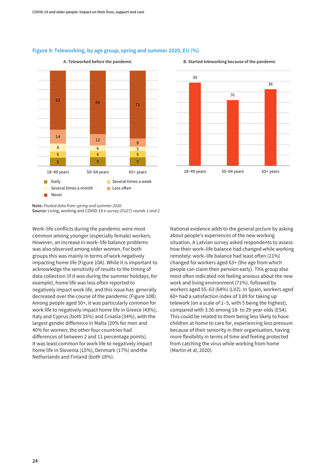

### **Figure 9: Teleworking, by age group, spring and summer 2020, EU (%)**

### **A. Teleworked before the pandemic**



18−49 years 50−64 years 65+ years

#### **B. Started teleworking because of the pandemic**

**Note:** *Pooled data from spring and summer 2020.* **Source:** Living, working and COVID-19 *e-survey (EU27) rounds 1 and 2*

Work–life conflicts during the pandemic were most common among younger (especially female) workers. However, an increase in work–life balance problems was also observed among older women. For both groups this was mainly in terms of work negatively impacting home life (Figure 10A). While it is important to acknowledge the sensitivity of results to the timing of data collection (if it was during the summer holidays, for example), home life was less often reported to negatively impact work life, and this issue has generally decreased over the course of the pandemic (Figure 10B). Among people aged 50+, it was particularly common for work life to negatively impact home life in Greece (43%), Italy and Cyprus (both 35%) and Croatia (34%), with the largest gender difference in Malta (20% for men and 40% for women; the other four countries had differences of between 2 and 11 percentage points). It was least common for work life to negatively impact home life in Slovenia (15%), Denmark (17%) and the Netherlands and Finland (both 18%).

National evidence adds to the general picture by asking about people's experiences of the new working situation. A Latvian survey asked respondents to assess how their work–life balance had changed while working remotely: work–life balance had least often (21%) changed for workers aged 63+ (the age from which people can claim their pension early). This group also most often indicated not feeling anxious about the new work and living environment (71%), followed by workers aged 55–63 (64%) (LV2). In Spain, workers aged 60+ had a satisfaction index of 3.89 for taking up telework (on a scale of 1–5, with 5 being the highest), compared with 3.56 among 18- to 29-year-olds (ES4). This could be related to them being less likely to have children at home to care for, experiencing less pressure because of their seniority in their organisation, having more flexibility in terms of time and feeling protected from catching the virus while working from home (Martín et al, 2020).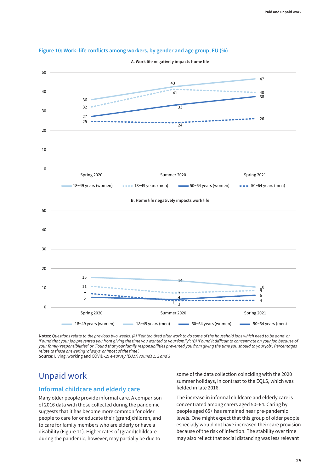

### <span id="page-30-0"></span>**Figure 10: Work–life conflicts among workers, by gender and age group, EU (%)**

**A. Work life negatively impacts home life**

**Notes:** *Questions relate to the previous two weeks. (A) 'Felt too tired after work to do some of the household jobs which need to be done' or 'Found that your job prevented you from giving the time you wanted to your family'; (B) 'Found it difficult to concentrate on your job because of your family responsibilities' or 'Found that your family responsibilities prevented you from giving the time you should to your job'. Percentages relate to those answering 'always' or 'most of the time'.*

**Source:** Living, working and COVID-19 *e-survey (EU27) rounds 1, 2 and 3*

## Unpaid work

### **Informal childcare and elderly care**

Many older people provide informal care. A comparison of 2016 data with those collected during the pandemic suggests that it has become more common for older people to care for or educate their (grand)children, and to care for family members who are elderly or have a disability (Figure 11). Higher rates of (grand)childcare during the pandemic, however, may partially be due to

some of the data collection coinciding with the 2020 summer holidays, in contrast to the EQLS, which was fielded in late 2016.

The increase in informal childcare and elderly care is concentrated among carers aged 50–64. Caring by people aged 65+ has remained near pre-pandemic levels. One might expect that this group of older people especially would not have increased their care provision because of the risk of infection. The stability over time may also reflect that social distancing was less relevant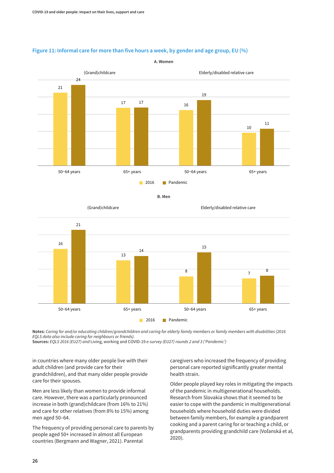

**A. Women**

### **Figure 11: Informal care for more than five hours a week, by gender and age group, EU (%)**



Elderly/disabled relative care



**Notes:** *Caring for and/or educating children/grandchildren and caring for elderly family members or family members with disabilities (2016 EQLS data also include caring for neighbours or friends).*

**Sources:** *EQLS 2016 (EU27) and* Living, working and COVID-19 *e-survey (EU27) rounds 2 and 3 ('Pandemic')*

in countries where many older people live with their adult children (and provide care for their grandchildren), and that many older people provide care for their spouses.

(Grand)childcare

Men are less likely than women to provide informal care. However, there was a particularly pronounced increase in both (grand)childcare (from 16% to 21%) and care for other relatives (from 8% to 15%) among men aged 50–64.

The frequency of providing personal care to parents by people aged 50+ increased in almost all European countries (Bergmann and Wagner, 2021). Parental

caregivers who increased the frequency of providing personal care reported significantly greater mental health strain.

Older people played key roles in mitigating the impacts of the pandemic in multigenerational households. Research from Slovakia shows that it seemed to be easier to cope with the pandemic in multigenerational households where household duties were divided between family members, for example a grandparent cooking and a parent caring for or teaching a child, or grandparents providing grandchild care (Voľanská et al, 2020).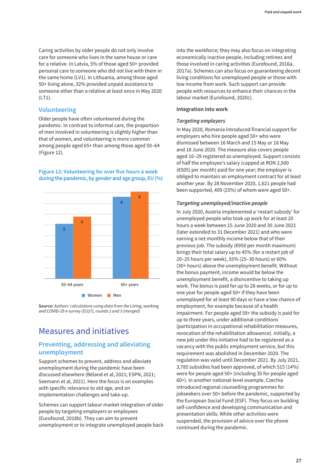<span id="page-32-0"></span>Caring activities by older people do not only involve care for someone who lives in the same house or care for a relative. In Latvia, 5% of those aged 50+ provided personal care to someone who did not live with them in the same home (LV1). In Lithuania, among those aged 50+ living alone, 32% provided unpaid assistance to someone other than a relative at least once in May 2020 (LT1).

### **Volunteering**

Older people have often volunteered during the pandemic. In contrast to informal care, the proportion of men involved in volunteering is slightly higher than that of women, and volunteering is more common among people aged 65+ than among those aged 50–64 (Figure 12).

### **Figure 12: Volunteering for over five hours a week during the pandemic, by gender and age group, EU (%)**



**Source:** *Authors' calculations using data from the* Living, working and COVID-19 *e-survey (EU27), rounds 2 and 3 (merged)*

## Measures and initiatives

### **Preventing, addressing and alleviating unemployment**

Support schemes to prevent, address and alleviate unemployment during the pandemic have been discussed elsewhere (Béland et al, 2021; ESPN, 2021; Seemann et al, 2021). Here the focus is on examples with specific relevance to old age, and on implementation challenges and take-up.

Schemes can support labour market integration of older people by targeting employers or employees (Eurofound, 2018b). They can aim to prevent unemployment or to integrate unemployed people back into the workforce; they may also focus on integrating economically inactive people, including retirees and those involved in caring activities (Eurofound, 2016a, 2017a). Schemes can also focus on guaranteeing decent living conditions for unemployed people or those with low income from work. Such support can provide people with resources to enhance their chances in the labour market (Eurofound, 2020c).

### **Integration into work**

### *Targeting employers*

In May 2020, Romania introduced financial support for employers who hire people aged 50+ who were dismissed between 16 March and 15 May or 18 May and 18 June 2020. The measure also covers people aged 16–29 registered as unemployed. Support consists of half the employee's salary (capped at RON 2,500 (€505) per month) paid for one year; the employer is obliged to maintain an employment contract for at least another year. By 28 November 2020, 1,621 people had been supported, 409 (25%) of whom were aged 50+.

### *Targeting unemployed/inactive people*

In July 2020, Austria implemented a 'restart subsidy' for unemployed people who took up work for at least 20 hours a week between 15 June 2020 and 30 June 2021 (later extended to 31 December 2021) and who were earning a net monthly income below that of their previous job. The subsidy (€950 per month maximum) brings their total salary up to 45% (for a restart job of 20–25 hours per week), 55% (25–30 hours) or 60% (30+ hours) above the unemployment benefit. Without the bonus payment, income would be below the unemployment benefit, a disincentive to taking up work. The bonus is paid for up to 28 weeks, or for up to one year for people aged 50+ if they have been unemployed for at least 90 days or have a low chance of employment, for example because of a health impairment. For people aged 59+ the subsidy is paid for up to three years, under additional conditions (participation in occupational rehabilitation measures, revocation of the rehabilitation allowance). Initially, a new job under this initiative had to be registered as a vacancy with the public employment service, but this requirement was abolished in December 2020. The regulation was valid until December 2021. By July 2021, 3,785 subsidies had been approved, of which 515 (14%) were for people aged 50+ (including 35 for people aged 60+). In another national-level example, Czechia introduced regional counselling programmes for jobseekers over 50+ before the pandemic, supported by the European Social Fund (ESF). They focus on building self-confidence and developing communication and presentation skills. While other activities were suspended, the provision of advice over the phone continued during the pandemic.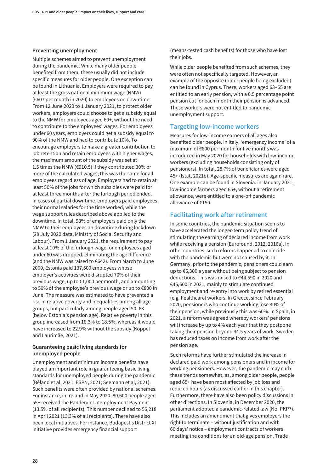### **Preventing unemployment**

Multiple schemes aimed to prevent unemployment during the pandemic. While many older people benefited from them, these usually did not include specific measures for older people. One exception can be found in Lithuania. Employers were required to pay at least the gross national minimum wage (NMW) (€607 per month in 2020) to employees on downtime. From 12 June 2020 to 1 January 2021, to protect older workers, employers could choose to get a subsidy equal to the NMW for employees aged 60+, without the need to contribute to the employees' wages. For employees under 60 years, employers could get a subsidy equal to 90% of the NMW and had to contribute 10%. To encourage employers to make a greater contribution to job retention and retain employees with higher wages, the maximum amount of the subsidy was set at 1.5 times the NMW (€910.5) if they contributed 30% or more of the calculated wages; this was the same for all employees regardless of age. Employers had to retain at least 50% of the jobs for which subsidies were paid for at least three months after the furlough period ended. In cases of partial downtime, employers paid employees their normal salaries for the time worked, while the wage support rules described above applied to the downtime. In total, 93% of employers paid only the NMW to their employees on downtime during lockdown (28 July 2020 data, Ministry of Social Security and Labour). From 1 January 2021, the requirement to pay at least 10% of the furlough wage for employees aged under 60 was dropped, eliminating the age difference (and the NMW was raised to €642). From March to June 2000, Estonia paid 137,500 employees whose employer's activities were disrupted 70% of their previous wage, up to €1,000 per month, and amounting to 50% of the employee's previous wage or up to €800 in June. The measure was estimated to have prevented a rise in relative poverty and inequalities among all age groups, but particularly among people aged 50–63 (below Estonia's pension age). Relative poverty in this group increased from 18.3% to 18.5%, whereas it would have increased to 22.9% without the subsidy (Koppel and Laurimäe, 2021).

### **Guaranteeing basic living standards for unemployed people**

Unemployment and minimum income benefits have played an important role in guaranteeing basic living standards for unemployed people during the pandemic (Béland et al, 2021; ESPN, 2021; Seemann et al, 2021). Such benefits were often provided by national schemes. For instance, in Ireland in May 2020, 80,600 people aged 55+ received the Pandemic Unemployment Payment (13.5% of all recipients). This number declined to 56,218 in April 2021 (13.3% of all recipients). There have also been local initiatives. For instance, Budapest's District XI initiative provides emergency financial support

(means-tested cash benefits) for those who have lost their jobs.

While older people benefited from such schemes, they were often not specifically targeted. However, an example of the opposite (older people being excluded) can be found in Cyprus. There, workers aged 63–65 are entitled to an early pension, with a 0.5 percentage point pension cut for each month their pension is advanced. These workers were not entitled to pandemic unemployment support.

### **Targeting low-income workers**

Measures for low-income earners of all ages also benefited older people. In Italy, 'emergency income' of a maximum of €800 per month for five months was introduced in May 2020 for households with low-income workers (excluding households consisting only of pensioners). In total, 28.7% of beneficiaries were aged 45+ (Istat, 2021b). Age-specific measures are again rare. One example can be found in Slovenia: in January 2021, low-income farmers aged 65+, without a retirement allowance, were entitled to a one-off pandemic allowance of €150.

### **Facilitating work after retirement**

In some countries, the pandemic situation seems to have accelerated the longer-term policy trend of stimulating the earning of declared income from work while receiving a pension (Eurofound, 2012, 2016a). In other countries, such reforms happened to coincide with the pandemic but were not caused by it. In Germany, prior to the pandemic, pensioners could earn up to €6,300 a year without being subject to pension deductions. This was raised to €44,590 in 2020 and €46,600 in 2021, mainly to stimulate continued employment and re-entry into work by retired essential (e.g. healthcare) workers. In Greece, since February 2020, pensioners who continue working lose 30% of their pension, while previously this was 60%. In Spain, in 2021, a reform was agreed whereby workers' pensions will increase by up to 4% each year that they postpone taking their pension beyond 44.5 years of work. Sweden has reduced taxes on income from work after the pension age.

Such reforms have further stimulated the increase in declared paid work among pensioners and in income for working pensioners. However, the pandemic may curb these trends somewhat, as, among older people, people aged 65+ have been most affected by job loss and reduced hours (as discussed earlier in this chapter). Furthermore, there have also been policy discussions in other directions. In Slovenia, in December 2020, the parliament adopted a pandemic-related law (No. PKP7). This includes an amendment that gives employers the right to terminate – without justification and with 60 days' notice – employment contracts of workers meeting the conditions for an old-age pension. Trade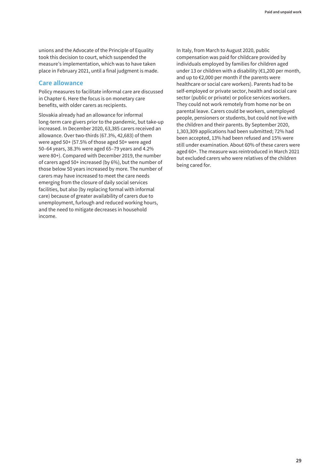unions and the Advocate of the Principle of Equality took this decision to court, which suspended the measure's implementation, which was to have taken place in February 2021, until a final judgment is made.

### **Care allowance**

Policy measures to facilitate informal care are discussed in Chapter 6. Here the focus is on monetary care benefits, with older carers as recipients.

Slovakia already had an allowance for informal long-term care givers prior to the pandemic, but take-up increased. In December 2020, 63,385 carers received an allowance. Over two-thirds (67.3%, 42,683) of them were aged 50+ (57.5% of those aged 50+ were aged 50–64 years, 38.3% were aged 65–79 years and 4.2% were 80+). Compared with December 2019, the number of carers aged 50+ increased (by 6%), but the number of those below 50 years increased by more. The number of carers may have increased to meet the care needs emerging from the closure of daily social services facilities, but also (by replacing formal with informal care) because of greater availability of carers due to unemployment, furlough and reduced working hours, and the need to mitigate decreases in household income.

In Italy, from March to August 2020, public compensation was paid for childcare provided by individuals employed by families for children aged under 13 or children with a disability (€1,200 per month, and up to €2,000 per month if the parents were healthcare or social care workers). Parents had to be self-employed or private sector, health and social care sector (public or private) or police services workers. They could not work remotely from home nor be on parental leave. Carers could be workers, unemployed people, pensioners or students, but could not live with the children and their parents. By September 2020, 1,303,309 applications had been submitted; 72% had been accepted, 13% had been refused and 15% were still under examination. About 60% of these carers were aged 60+. The measure was reintroduced in March 2021 but excluded carers who were relatives of the children being cared for.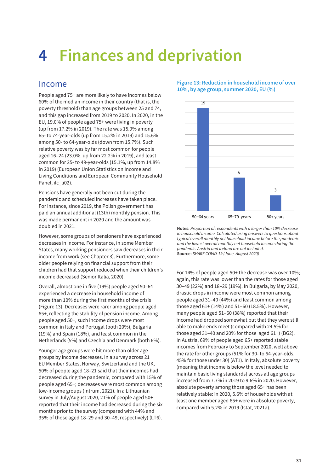# **4 Finances and deprivation**

# Income

People aged 75+ are more likely to have incomes below 60% of the median income in their country (that is, the poverty threshold) than age groups between 25 and 74, and this gap increased from 2019 to 2020. In 2020, in the EU, 19.0% of people aged 75+ were living in poverty (up from 17.2% in 2019). The rate was 15.9% among 65- to 74-year-olds (up from 15.2% in 2019) and 15.6% among 50- to 64-year-olds (down from 15.7%). Such relative poverty was by far most common for people aged 16–24 (23.0%, up from 22.2% in 2019), and least common for 25- to 49-year-olds (15.1%, up from 14.8% in 2019) (European Union Statistics on Income and Living Conditions and European Community Household Panel, ilc\_li02).

Pensions have generally not been cut during the pandemic and scheduled increases have taken place. For instance, since 2019, the Polish government has paid an annual additional (13th) monthly pension. This was made permanent in 2020 and the amount was doubled in 2021.

However, some groups of pensioners have experienced decreases in income. For instance, in some Member States, many working pensioners saw decreases in their income from work (see Chapter 3). Furthermore, some older people relying on financial support from their children had that support reduced when their children's income decreased (Senior Italia, 2020).

Overall, almost one in five (19%) people aged 50–64 experienced a decrease in household income of more than 10% during the first months of the crisis (Figure 13). Decreases were rarer among people aged 65+, reflecting the stability of pension income. Among people aged 50+, such income drops were most common in Italy and Portugal (both 20%), Bulgaria (19%) and Spain (18%), and least common in the Netherlands (5%) and Czechia and Denmark (both 6%).

Younger age groups were hit more than older age groups by income decreases. In a survey across 21 EU Member States, Norway, Switzerland and the UK, 50% of people aged 18–21 said that their incomes had decreased during the pandemic, compared with 15% of people aged 65+; decreases were most common among low-income groups (Intrum, 2021). In a Lithuanian survey in July/August 2020, 21% of people aged 50+ reported that their income had decreased during the six months prior to the survey (compared with 44% and 35% of those aged 18–29 and 30–49, respectively) (LT6).

### **Figure 13: Reduction in household income of over 10%, by age group, summer 2020, EU (%)**



**Notes:** *Proportion of respondents with a larger than 10% decrease in household income. Calculated using answers to questions about typical overall monthly net household income before the pandemic and the lowest overall monthly net household income during the pandemic. Austria and Ireland are not included.* **Source:** *SHARE COVID-19 (June–August 2020)*

For 14% of people aged 50+ the decrease was over 10%; again, this rate was lower than the rates for those aged 30–49 (22%) and 18–29 (19%). In Bulgaria, by May 2020, drastic drops in income were most common among people aged 31–40 (44%) and least common among those aged 61+ (14%) and 51–60 (18.5%). However, many people aged 51–60 (38%) reported that their income had dropped somewhat but that they were still able to make ends meet (compared with 24.5% for those aged 31–40 and 20% for those aged 61+) (BG2). In Austria, 69% of people aged 65+ reported stable incomes from February to September 2020, well above the rate for other groups (51% for 30- to 64-year-olds, 45% for those under 30) (AT1). In Italy, absolute poverty (meaning that income is below the level needed to maintain basic living standards) across all age groups increased from 7.7% in 2019 to 9.6% in 2020. However, absolute poverty among those aged 65+ has been relatively stable: in 2020, 5.6% of households with at least one member aged 65+ were in absolute poverty, compared with 5.2% in 2019 (Istat, 2021a).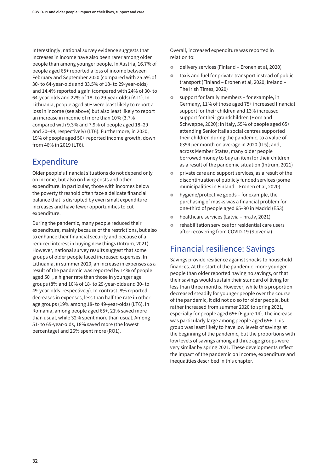Interestingly, national survey evidence suggests that increases in income have also been rarer among older people than among younger people. In Austria, 16.7% of people aged 65+ reported a loss of income between February and September 2020 (compared with 25.5% of 30- to 64-year-olds and 33.5% of 18- to 29-year-olds) and 14.4% reported a gain (compared with 24% of 30- to 64-year-olds and 22% of 18- to 29-year-olds) (AT1). In Lithuania, people aged 50+ were least likely to report a loss in income (see above) but also least likely to report an increase in income of more than 10% (3.7% compared with 9.3% and 7.9% of people aged 18–29 and 30–49, respectively) (LT6). Furthermore, in 2020, 19% of people aged 50+ reported income growth, down from 46% in 2019 (LT6).

# Expenditure

Older people's financial situations do not depend only on income, but also on living costs and other expenditure. In particular, those with incomes below the poverty threshold often face a delicate financial balance that is disrupted by even small expenditure increases and have fewer opportunities to cut expenditure.

During the pandemic, many people reduced their expenditure, mainly because of the restrictions, but also to enhance their financial security and because of a reduced interest in buying new things (Intrum, 2021). However, national survey results suggest that some groups of older people faced increased expenses. In Lithuania, in summer 2020, an increase in expenses as a result of the pandemic was reported by 14% of people aged 50+, a higher rate than those in younger age groups (8% and 10% of 18- to 29-year-olds and 30- to 49-year-olds, respectively). In contrast, 8% reported decreases in expenses, less than half the rate in other age groups (19% among 18- to 49-year-olds) (LT6). In Romania, among people aged 65+, 21% saved more than usual, while 32% spent more than usual. Among 51- to 65-year-olds, 18% saved more (the lowest percentage) and 26% spent more (RO1).

Overall, increased expenditure was reported in relation to:

- o delivery services (Finland Eronen et al, 2020)
- **•** taxis and fuel for private transport instead of public transport (Finland – Eronen et al, 2020; Ireland – The Irish Times, 2020)
- £ support for family members for example, in Germany, 11% of those aged 75+ increased financial support for their children and 13% increased support for their grandchildren (Horn and Schweppe, 2020); in Italy, 55% of people aged 65+ attending Senior Italia social centres supported their children during the pandemic, to a value of €354 per month on average in 2020 (IT5); and, across Member States, many older people borrowed money to buy an item for their children as a result of the pandemic situation (Intrum, 2021)
- o private care and support services, as a result of the discontinuation of publicly funded services (some municipalities in Finland – Eronen et al, 2020)
- $\bullet$  hygiene/protective goods for example, the purchasing of masks was a financial problem for one-third of people aged 65–90 in Madrid (ES3)
- **•** healthcare services (Latvia nra.lv, 2021)
- o rehabilitation services for residential care users after recovering from COVID-19 (Slovenia)

# Financial resilience: Savings

Savings provide resilience against shocks to household finances. At the start of the pandemic, more younger people than older reported having no savings, or that their savings would sustain their standard of living for less than three months. However, while this proportion decreased steadily for younger people over the course of the pandemic, it did not do so for older people, but rather increased from summer 2020 to spring 2021, especially for people aged 65+ (Figure 14). The increase was particularly large among people aged 65+. This group was least likely to have low levels of savings at the beginning of the pandemic, but the proportions with low levels of savings among all three age groups were very similar by spring 2021. These developments reflect the impact of the pandemic on income, expenditure and inequalities described in this chapter.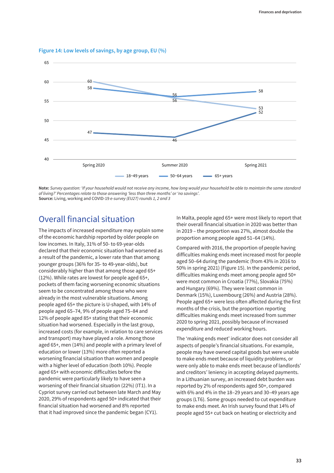

**Figure 14: Low levels of savings, by age group, EU (%)**

**Note:** *Survey question: 'If your household would not receive any income, how long would your household be able to maintain the same standard of living?' Percentages relate to those answering 'less than three months' or 'no savings'.* **Source:** Living, working and COVID-19 *e-survey (EU27) rounds 1, 2 and 3*

# Overall financial situation

The impacts of increased expenditure may explain some of the economic hardship reported by older people on low incomes. In Italy, 31% of 50- to 69-year-olds declared that their economic situation had worsened as a result of the pandemic, a lower rate than that among younger groups (36% for 35- to 49-year-olds), but considerably higher than that among those aged 65+ (12%). While rates are lowest for people aged 65+, pockets of them facing worsening economic situations seem to be concentrated among those who were already in the most vulnerable situations. Among people aged 65+ the picture is U-shaped, with 14% of people aged 65–74, 9% of people aged 75–84 and 12% of people aged 85+ stating that their economic situation had worsened. Especially in the last group, increased costs (for example, in relation to care services and transport) may have played a role. Among those aged 65+, men (14%) and people with a primary level of education or lower (13%) more often reported a worsening financial situation than women and people with a higher level of education (both 10%). People aged 65+ with economic difficulties before the pandemic were particularly likely to have seen a worsening of their financial situation (22%) (IT1). In a Cypriot survey carried out between late March and May 2020, 29% of respondents aged 50+ indicated that their financial situation had worsened and 8% reported that it had improved since the pandemic began (CY1).

In Malta, people aged 65+ were most likely to report that their overall financial situation in 2020 was better than in 2019 – the proportion was 27%, almost double the proportion among people aged 51–64 (14%).

Compared with 2016, the proportion of people having difficulties making ends meet increased most for people aged 50–64 during the pandemic (from 43% in 2016 to 50% in spring 2021) (Figure 15). In the pandemic period, difficulties making ends meet among people aged 50+ were most common in Croatia (77%), Slovakia (75%) and Hungary (69%). They were least common in Denmark (15%), Luxembourg (26%) and Austria (28%). People aged 65+ were less often affected during the first months of the crisis, but the proportion reporting difficulties making ends meet increased from summer 2020 to spring 2021, possibly because of increased expenditure and reduced working hours.

The 'making ends meet' indicator does not consider all aspects of people's financial situations. For example, people may have owned capital goods but were unable to make ends meet because of liquidity problems, or were only able to make ends meet because of landlords' and creditors' leniency in accepting delayed payments. In a Lithuanian survey, an increased debt burden was reported by 2% of respondents aged 50+, compared with 6% and 4% in the 18–29 years and 30–49 years age groups (LT6). Some groups needed to cut expenditure to make ends meet. An Irish survey found that 14% of people aged 55+ cut back on heating or electricity and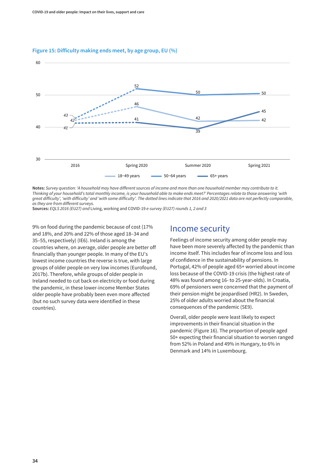#### **Figure 15: Difficulty making ends meet, by age group, EU (%)**



**Notes:** *Survey question: 'A household may have different sources of income and more than one household member may contribute to it. Thinking of your household's total monthly income, is your household able to make ends meet?' Percentages relate to those answering 'with great difficulty', 'with difficulty' and 'with some difficulty'. The dotted lines indicate that 2016 and 2020/2021 data are not perfectly comparable, as they are from different surveys.*

**Sources:** *EQLS 2016 (EU27) and* Living, working and COVID-19 *e-survey (EU27) rounds 1, 2 and 3*

9% on food during the pandemic because of cost (17% and 18%, and 20% and 22% of those aged 18–34 and 35–55, respectively) (IE6). Ireland is among the countries where, on average, older people are better off financially than younger people. In many of the EU's lowest income countries the reverse is true, with large groups of older people on very low incomes (Eurofound, 2017b). Therefore, while groups of older people in Ireland needed to cut back on electricity or food during the pandemic, in these lower-income Member States older people have probably been even more affected (but no such survey data were identified in these countries).

# Income security

Feelings of income security among older people may have been more severely affected by the pandemic than income itself. This includes fear of income loss and loss of confidence in the sustainability of pensions. In Portugal, 42% of people aged 65+ worried about income loss because of the COVID-19 crisis (the highest rate of 48% was found among 16- to 25-year-olds). In Croatia, 69% of pensioners were concerned that the payment of their pension might be jeopardised (HR2). In Sweden, 25% of older adults worried about the financial consequences of the pandemic (SE9).

Overall, older people were least likely to expect improvements in their financial situation in the pandemic (Figure 16). The proportion of people aged 50+ expecting their financial situation to worsen ranged from 52% in Poland and 49% in Hungary, to 6% in Denmark and 14% in Luxembourg.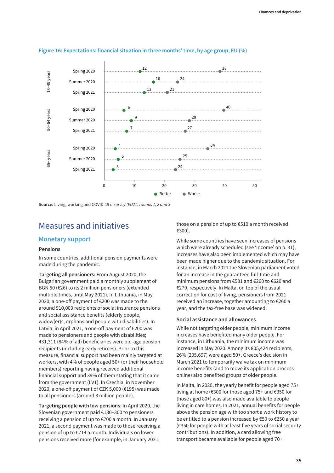

#### **Figure 16: Expectations: financial situation in three months' time, by age group, EU (%)**

**Source:** Living, working and COVID-19 *e-survey (EU27) rounds 1, 2 and 3*

# Measures and initiatives

### **Monetary support**

#### **Pensions**

In some countries, additional pension payments were made during the pandemic.

**Targeting all pensioners:** From August 2020, the Bulgarian government paid a monthly supplement of BGN 50 (€26) to its 2 million pensioners (extended multiple times, until May 2021). In Lithuania, in May 2020, a one-off payment of €200 was made to the around 910,000 recipients of social insurance pensions and social assistance benefits (elderly people, widow(er)s, orphans and people with disabilities). In Latvia, in April 2021, a one-off payment of €200 was made to pensioners and people with disabilities; 431,311 (84% of all) beneficiaries were old-age pension recipients (including early retirees). Prior to this measure, financial support had been mainly targeted at workers, with 4% of people aged 50+ (or their household members) reporting having received additional financial support and 39% of them stating that it came from the government (LV1). In Czechia, in November 2020, a one-off payment of CZK 5,000 (€195) was made to all pensioners (around 3 million people).

**Targeting people with low pensions**: In April 2020, the Slovenian government paid €130–300 to pensioners receiving a pension of up to €700 a month. In January 2021, a second payment was made to those receiving a pension of up to €714 a month. Individuals on lower pensions received more (for example, in January 2021,

those on a pension of up to €510 a month received €300).

While some countries have seen increases of pensions which were already scheduled (see 'Income' on p. 31), increases have also been implemented which may have been made higher due to the pandemic situation. For instance, in March 2021 the Slovenian parliament voted for an increase in the guaranteed full-time and minimum pensions from €581 and €260 to €620 and €279, respectively. In Malta, on top of the usual correction for cost of living, pensioners from 2021 received an increase, together amounting to €260 a year, and the tax-free base was widened.

#### **Social assistance and allowances**

While not targeting older people, minimum income increases have benefited many older people. For instance, in Lithuania, the minimum income was increased in May 2020. Among its 805,424 recipients, 26% (205,697) were aged 50+. Greece's decision in March 2021 to temporarily waive tax on minimum income benefits (and to move its application process online) also benefited groups of older people.

In Malta, in 2020, the yearly benefit for people aged 75+ living at home (€300 for those aged 75+ and €350 for those aged 80+) was also made available to people living in care homes. In 2021, annual benefits for people above the pension age with too short a work history to be entitled to a pension increased by €50 to €250 a year (€350 for people with at least five years of social security contributions). In addition, a card allowing free transport became available for people aged 70+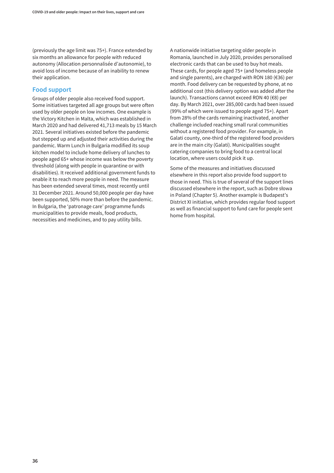(previously the age limit was 75+). France extended by six months an allowance for people with reduced autonomy (Allocation personnalisée d'autonomie), to avoid loss of income because of an inability to renew their application.

### **Food support**

Groups of older people also received food support. Some initiatives targeted all age groups but were often used by older people on low incomes. One example is the Victory Kitchen in Malta, which was established in March 2020 and had delivered 41,713 meals by 15 March 2021. Several initiatives existed before the pandemic but stepped up and adjusted their activities during the pandemic. Warm Lunch in Bulgaria modified its soup kitchen model to include home delivery of lunches to people aged 65+ whose income was below the poverty threshold (along with people in quarantine or with disabilities). It received additional government funds to enable it to reach more people in need. The measure has been extended several times, most recently until 31 December 2021. Around 50,000 people per day have been supported, 50% more than before the pandemic. In Bulgaria, the 'patronage care' programme funds municipalities to provide meals, food products, necessities and medicines, and to pay utility bills.

A nationwide initiative targeting older people in Romania, launched in July 2020, provides personalised electronic cards that can be used to buy hot meals. These cards, for people aged 75+ (and homeless people and single parents), are charged with RON 180 (€36) per month. Food delivery can be requested by phone, at no additional cost (this delivery option was added after the launch). Transactions cannot exceed RON 40 (€8) per day. By March 2021, over 285,000 cards had been issued (99% of which were issued to people aged 75+). Apart from 28% of the cards remaining inactivated, another challenge included reaching small rural communities without a registered food provider. For example, in Galati county, one-third of the registered food providers are in the main city (Galati). Municipalities sought catering companies to bring food to a central local location, where users could pick it up.

Some of the measures and initiatives discussed elsewhere in this report also provide food support to those in need. This is true of several of the support lines discussed elsewhere in the report, such as Dobre słowa in Poland (Chapter 5). Another example is Budapest's District XI initiative, which provides regular food support as well as financial support to fund care for people sent home from hospital.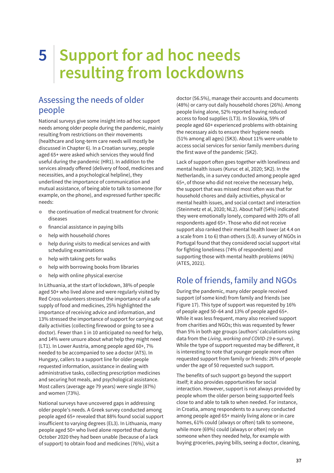# **5 Support for ad hoc needs resulting from lockdowns**

# Assessing the needs of older people

National surveys give some insight into ad hoc support needs among older people during the pandemic, mainly resulting from restrictions on their movements (healthcare and long-term care needs will mostly be discussed in Chapter 6). In a Croatian survey, people aged 65+ were asked which services they would find useful during the pandemic (HR1). In addition to the services already offered (delivery of food, medicines and necessities, and a psychological helpline), they underlined the importance of communication and mutual assistance, of being able to talk to someone (for example, on the phone), and expressed further specific needs:

- $\bullet$  the continuation of medical treatment for chronic diseases
- $\circ$  financial assistance in paying bills
- $\bullet$  help with household chores
- help during visits to medical services and with scheduling examinations
- help with taking pets for walks
- help with borrowing books from libraries
- help with online physical exercise

In Lithuania, at the start of lockdown, 38% of people aged 50+ who lived alone and were regularly visited by Red Cross volunteers stressed the importance of a safe supply of food and medicines, 25% highlighted the importance of receiving advice and information, and 13% stressed the importance of support for carrying out daily activities (collecting firewood or going to see a doctor). Fewer than 1 in 10 anticipated no need for help, and 14% were unsure about what help they might need (LT1). In Lower Austria, among people aged 60+, 7% needed to be accompanied to see a doctor (AT5). In Hungary, callers to a support line for older people requested information, assistance in dealing with administrative tasks, collecting prescription medicines and securing hot meals, and psychological assistance. Most callers (average age 79 years) were single (87%) and women (73%).

National surveys have uncovered gaps in addressing older people's needs. A Greek survey conducted among people aged 65+ revealed that 88% found social support insufficient to varying degrees (EL3). In Lithuania, many people aged 50+ who lived alone reported that during October 2020 they had been unable (because of a lack of support) to obtain food and medicines (76%), visit a

doctor (56.5%), manage their accounts and documents (48%) or carry out daily household chores (26%). Among people living alone, 52% reported having reduced access to food supplies (LT3). In Slovakia, 59% of people aged 60+ experienced problems with obtaining the necessary aids to ensure their hygiene needs (51% among all ages) (SK3). About 11% were unable to access social services for senior family members during the first wave of the pandemic (SK2).

Lack of support often goes together with loneliness and mental health issues (Kuruc et al, 2020; SK2). In the Netherlands, in a survey conducted among people aged 65+, of those who did not receive the necessary help, the support that was missed most often was that for household chores and daily activities, physical or mental health issues, and social contact and interaction (Steinmetz et al, 2020; NL2). About half (54%) indicated they were emotionally lonely, compared with 20% of all respondents aged 65+. Those who did not receive support also ranked their mental health lower (at 4.4 on a scale from 1 to 6) than others (5.0). A survey of NGOs in Portugal found that they considered social support vital for fighting loneliness (74% of respondents) and supporting those with mental health problems (46%) (ATES, 2021).

# Role of friends, family and NGOs

During the pandemic, many older people received support (of some kind) from family and friends (see Figure 17). This type of support was requested by 16% of people aged 50–64 and 13% of people aged 65+. While it was less frequent, many also received support from charities and NGOs; this was requested by fewer than 5% in both age groups (authors' calculations using data from the *Living, working and COVID-19* e-survey). While the type of support requested may be different, it is interesting to note that younger people more often requested support from family or friends: 26% of people under the age of 50 requested such support.

The benefits of such support go beyond the support itself; it also provides opportunities for social interaction. However, support is not always provided by people whom the older person being supported feels close to and able to talk to when needed. For instance, in Croatia, among respondents to a survey conducted among people aged 65+ mainly living alone or in care homes, 61% could (always or often) talk to someone, while more (69%) could (always or often) rely on someone when they needed help, for example with buying groceries, paying bills, seeing a doctor, cleaning,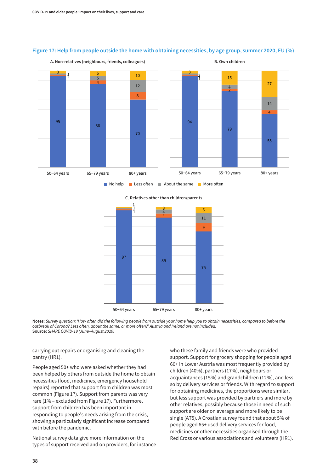

#### **Figure 17: Help from people outside the home with obtaining necessities, by age group, summer 2020, EU (%)**

**C. Relatives other than children/parents**



**Notes:** *Survey question: 'How often did the following people from outside your home help you to obtain necessities, compared to before the outbreak of Corona? Less often, about the same, or more often?' Austria and Ireland are not included.* **Source:** *SHARE COVID-19 (June–August 2020)*

carrying out repairs or organising and cleaning the pantry (HR1).

People aged 50+ who were asked whether they had been helped by others from outside the home to obtain necessities (food, medicines, emergency household repairs) reported that support from children was most common (Figure 17). Support from parents was very rare (1% – excluded from Figure 17). Furthermore, support from children has been important in responding to people's needs arising from the crisis, showing a particularly significant increase compared with before the pandemic.

National survey data give more information on the types of support received and on providers, for instance who these family and friends were who provided support. Support for grocery shopping for people aged 60+ in Lower Austria was most frequently provided by children (40%), partners (17%), neighbours or acquaintances (15%) and grandchildren (12%), and less so by delivery services or friends. With regard to support for obtaining medicines, the proportions were similar, but less support was provided by partners and more by other relatives, possibly because those in need of such support are older on average and more likely to be single (AT5). A Croatian survey found that about 5% of people aged 65+ used delivery services for food, medicines or other necessities organised through the Red Cross or various associations and volunteers (HR1).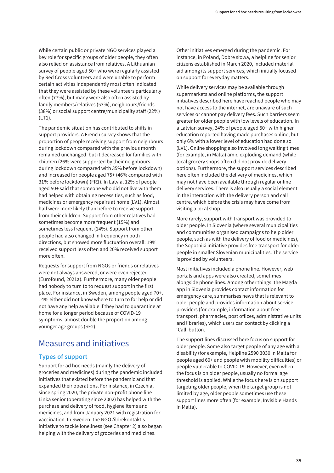While certain public or private NGO services played a key role for specific groups of older people, they often also relied on assistance from relatives. A Lithuanian survey of people aged 50+ who were regularly assisted by Red Cross volunteers and were unable to perform certain activities independently most often indicated that they were assisted by these volunteers particularly often (77%), but many were also often assisted by family members/relatives (53%), neighbours/friends (38%) or social support centre/municipality staff (22%) (LT1).

The pandemic situation has contributed to shifts in support providers. A French survey shows that the proportion of people receiving support from neighbours during lockdown compared with the previous month remained unchanged, but it decreased for families with children (26% were supported by their neighbours during lockdown compared with 35% before lockdown) and increased for people aged 75+ (46% compared with 31% before lockdown) (FR1). In Latvia, 12% of people aged 50+ said that someone who did not live with them had helped with obtaining necessities, such as food, medicines or emergency repairs at home (LV1). Almost half were more likely than before to receive support from their children. Support from other relatives had sometimes become more frequent (15%) and sometimes less frequent (14%). Support from other people had also changed in frequency in both directions, but showed more fluctuation overall: 19% received support less often and 20% received support more often.

Requests for support from NGOs or friends or relatives were not always answered, or were even rejected (Eurofound, 2021a). Furthermore, many older people had nobody to turn to to request support in the first place. For instance, in Sweden, among people aged 70+, 14% either did not know where to turn to for help or did not have any help available if they had to quarantine at home for a longer period because of COVID-19 symptoms, almost double the proportion among younger age groups (SE2).

# Measures and initiatives

### **Types of support**

Support for ad hoc needs (mainly the delivery of groceries and medicines) during the pandemic included initiatives that existed before the pandemic and that expanded their operations. For instance, in Czechia, since spring 2020, the private non-profit phone line Linka senior (operating since 2002) has helped with the purchase and delivery of food, hygiene items and medicines, and from January 2021 with registration for vaccination. In Sweden, the NGO Äldrekontakt's initiative to tackle loneliness (see Chapter 2) also began helping with the delivery of groceries and medicines.

Other initiatives emerged during the pandemic. For instance, in Poland, Dobre słowa, a helpline for senior citizens established in March 2020, included material aid among its support services, which initially focused on support for everyday matters.

While delivery services may be available through supermarkets and online platforms, the support initiatives described here have reached people who may not have access to the internet, are unaware of such services or cannot pay delivery fees. Such barriers seem greater for older people with low levels of education. In a Latvian survey, 24% of people aged 50+ with higher education reported having made purchases online, but only 6% with a lower level of education had done so (LV1). Online shopping also involved long waiting times (for example, in Malta) amid exploding demand (while local grocery shops often did not provide delivery options). Furthermore, the support services described here often included the delivery of medicines, which may not have been available through regular online delivery services. There is also usually a social element in the interaction with the delivery person and call centre, which before the crisis may have come from visiting a local shop.

More rarely, support with transport was provided to older people. In Slovenia (where several municipalities and communities organised campaigns to help older people, such as with the delivery of food or medicines), the Sopotniki initiative provides free transport for older people in smaller Slovenian municipalities. The service is provided by volunteers.

Most initiatives included a phone line. However, web portals and apps were also created, sometimes alongside phone lines. Among other things, the Magda app in Slovenia provides contact information for emergency care, summarises news that is relevant to older people and provides information about service providers (for example, information about free transport, pharmacies, post offices, administrative units and libraries), which users can contact by clicking a 'Call' button.

The support lines discussed here focus on support for older people. Some also target people of any age with a disability (for example, Helpline 2590 3030 in Malta for people aged 60+ and people with mobility difficulties) or people vulnerable to COVID-19. However, even when the focus is on older people, usually no formal age threshold is applied. While the focus here is on support targeting older people, when the target group is not limited by age, older people sometimes use these support lines more often (for example, Invisible Hands in Malta).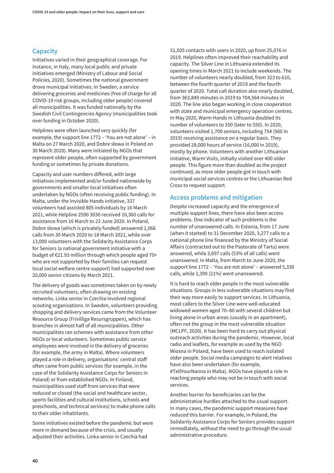## **Capacity**

Initiatives varied in their geographical coverage. For instance, in Italy, many local public and private initiatives emerged (Ministry of Labour and Social Policies, 2020). Sometimes the national government drove municipal initiatives. In Sweden, a service delivering groceries and medicines (free of charge for all COVID-19 risk groups, including older people) covered all municipalities. It was funded nationally by the Swedish Civil Contingencies Agency (municipalities took over funding in October 2020).

Helplines were often launched very quickly (for example, the support line 1772 – 'You are not alone' – in Malta on 27 March 2020, and Dobre słowa in Poland on 30 March 2020). Many were initiated by NGOs that represent older people, often supported by government funding or sometimes by private donations.

Capacity and user numbers differed, with large initiatives implemented and/or funded nationwide by governments and smaller local initiatives often undertaken by NGOs (often receiving public funding). In Malta, under the Invisible Hands initiative, 337 volunteers had assisted 805 individuals by 16 March 2021, while Helpline 2590 3030 received 10,360 calls for assistance from 16 March to 23 June 2020. In Poland, Dobre słowa (which is privately funded) answered 1,066 calls from 30 March 2020 to 18 March 2021, while over 13,000 volunteers with the Solidarity Assistance Corps for Seniors (a national government initiative with a budget of €21.93 million through which people aged 70+ who are not supported by their families can request local social welfare centre support) had supported over 20,000 senior citizens by March 2021.

The delivery of goods was sometimes taken on by newly recruited volunteers, often drawing on existing networks. Linka senior in Czechia involved regional scouting organisations. In Sweden, volunteers providing shopping and delivery services came from the Volunteer Resource Group (Frivilliga Resursgruppen), which has branches in almost half of all municipalities. Other municipalities ran schemes with assistance from other NGOs or local volunteers. Sometimes public service employees were involved in the delivery of groceries (for example, the army in Malta). Where volunteers played a role in delivery, organisations' central staff often came from public services (for example, in the case of the Solidarity Assistance Corps for Seniors in Poland) or from established NGOs. In Finland, municipalities used staff from services that were reduced or closed (the social and healthcare sector, sports facilities and cultural institutions, schools and preschools, and technical services) to make phone calls to their older inhabitants.

Some initiatives existed before the pandemic but were more in demand because of the crisis, and usually adjusted their activities. Linka senior in Czechia had

31,505 contacts with users in 2020, up from 25,076 in 2019. Helplines often improved their reachability and capacity. The Silver Line in Lithuania extended its opening times in March 2021 to include weekends. The number of volunteers nearly doubled, from 323 to 610, between the fourth quarter of 2019 and the fourth quarter of 2020. Total call duration also nearly doubled, from 363,849 minutes in 2019 to 704,564 minutes in 2020. The line also began working in close cooperation with state and municipal emergency operation centres. In May 2020, Warm Hands in Lithuania doubled its number of volunteers to 350 (later to 550). In 2020, volunteers visited 1,700 seniors, including 754 (560 in 2019) receiving assistance on a regular basis. They provided 28,000 hours of service (16,000 in 2019), mostly by phone. Volunteers with another Lithuanian initiative, Warm Visits, initially visited over 400 older people. This figure more than doubled as the project continued, as more older people got in touch with municipal social services centres or the Lithuanian Red Cross to request support.

### **Access problems and mitigation**

Despite increased capacity and the emergence of multiple support lines, there have also been access problems. One indicator of such problems is the number of unanswered calls. In Estonia, from 17 June (when it started) to 31 December 2020, 3,277 calls to a national phone line financed by the Ministry of Social Affairs (contracted out to the Pastorate of Tartu) were answered, while 3,697 calls (53% of all calls) went unanswered. In Malta, from March to June 2020, the support line 1772 – 'You are not alone' – answered 5,330 calls, while 1,390 (21%) went unanswered.

It is hard to reach older people in the most vulnerable situations. Groups in less vulnerable situations may find their way more easily to support services. In Lithuania, most callers to the Silver Line were well-educated widowed women aged 70–80 with several children but living alone in urban areas (usually in an apartment), often not the group in the most vulnerable situation (MCLPF, 2020). It has been hard to carry out physical outreach activities during the pandemic. However, local radio and leaflets, for example as used by the NGO Wiosna in Poland, have been used to reach isolated older people. Social media campaigns to alert relatives have also been undertaken (for example, #TellYourNanna in Malta). NGOs have played a role in reaching people who may not be in touch with social services.

Another barrier for beneficiaries can be the administrative hurdles attached to the usual support. In many cases, the pandemic support measures have reduced this barrier. For example, in Poland, the Solidarity Assistance Corps for Seniors provides support immediately, without the need to go through the usual administrative procedure.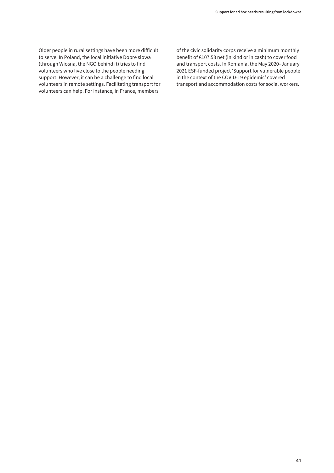Older people in rural settings have been more difficult to serve. In Poland, the local initiative Dobre słowa (through Wiosna, the NGO behind it) tries to find volunteers who live close to the people needing support. However, it can be a challenge to find local volunteers in remote settings. Facilitating transport for volunteers can help. For instance, in France, members

of the civic solidarity corps receive a minimum monthly benefit of €107.58 net (in kind or in cash) to cover food and transport costs. In Romania, the May 2020–January 2021 ESF-funded project 'Support for vulnerable people in the context of the COVID-19 epidemic' covered transport and accommodation costs for social workers.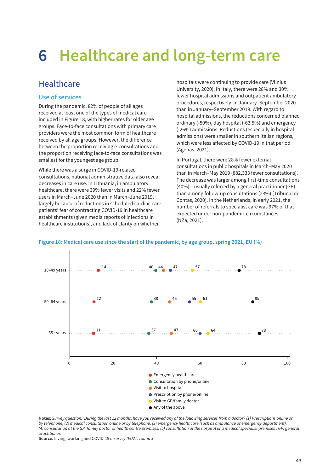# **6 Healthcare and long-term care**

# **Healthcare**

### **Use of services**

During the pandemic, 82% of people of all ages received at least one of the types of medical care included in Figure 18, with higher rates for older age groups. Face-to-face consultations with primary care providers were the most common form of healthcare received by all age groups. However, the difference between the proportion receiving e-consultations and the proportion receiving face-to-face consultations was smallest for the youngest age group.

While there was a surge in COVID-19-related consultations, national administrative data also reveal decreases in care use. In Lithuania, in ambulatory healthcare, there were 39% fewer visits and 22% fewer users in March–June 2020 than in March–June 2019, largely because of reductions in scheduled cardiac care, patients' fear of contracting COVID-19 in healthcare establishments (given media reports of infections in healthcare institutions), and lack of clarity on whether

hospitals were continuing to provide care (Vilnius University, 2020). In Italy, there were 28% and 30% fewer hospital admissions and outpatient ambulatory procedures, respectively, in January–September 2020 than in January–September 2019. With regard to hospital admissions, the reductions concerned planned ordinary (-50%), day hospital (-63.5%) and emergency (-26%) admissions. Reductions (especially in hospital admissions) were smaller in southern Italian regions, which were less affected by COVID-19 in that period (Agenas, 2021).

In Portugal, there were 28% fewer external consultations in public hospitals in March–May 2020 than in March–May 2019 (882,333 fewer consultations). The decrease was larger among first-time consultations (40%) – usually referred by a general practitioner (GP) – than among follow-up consultations (23%) (Tribunal de Contas, 2020). In the Netherlands, in early 2021, the number of referrals to specialist care was 97% of that expected under non-pandemic circumstances (NZa, 2021).



### **Figure 18: Medical care use since the start of the pandemic, by age group, spring 2021, EU (%)**

**Notes:** *Survey question: 'During the last 12 months, have you received any of the following services from a doctor? (1) Prescriptions online or by telephone, (2) medical consultation online or by telephone, (3) emergency healthcare (such as ambulance or emergency department), (4) consultation at the GP, family doctor or health centre premises, (5) consultation at the hospital or a medical specialist premises'. GP: general practitioner.*

**Source:** Living, working and COVID-19 *e-survey (EU27) round 3*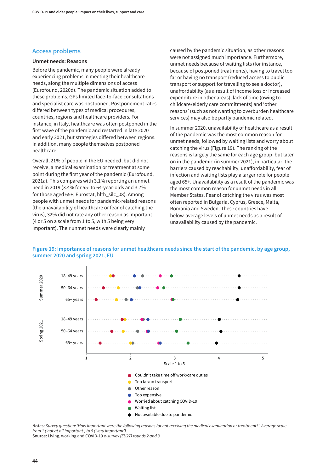### **Access problems**

#### **Unmet needs: Reasons**

Before the pandemic, many people were already experiencing problems in meeting their healthcare needs, along the multiple dimensions of access (Eurofound, 2020d). The pandemic situation added to these problems. GPs limited face-to-face consultations and specialist care was postponed. Postponement rates differed between types of medical procedures, countries, regions and healthcare providers. For instance, in Italy, healthcare was often postponed in the first wave of the pandemic and restarted in late 2020 and early 2021, but strategies differed between regions. In addition, many people themselves postponed healthcare.

Overall, 21% of people in the EU needed, but did not receive, a medical examination or treatment at some point during the first year of the pandemic (Eurofound, 2021a). This compares with 3.1% reporting an unmet need in 2019 (3.4% for 55- to 64-year-olds and 3.7% for those aged 65+; Eurostat, hlth\_silc\_08). Among people with unmet needs for pandemic-related reasons (the unavailability of healthcare or fear of catching the virus), 32% did not rate any other reason as important (4 or 5 on a scale from 1 to 5, with 5 being very important). Their unmet needs were clearly mainly

caused by the pandemic situation, as other reasons were not assigned much importance. Furthermore, unmet needs because of waiting lists (for instance, because of postponed treatments), having to travel too far or having no transport (reduced access to public transport or support for travelling to see a doctor), unaffordability (as a result of income loss or increased expenditure in other areas), lack of time (owing to childcare/elderly care commitments) and 'other reasons' (such as not wanting to overburden healthcare services) may also be partly pandemic related.

In summer 2020, unavailability of healthcare as a result of the pandemic was the most common reason for unmet needs, followed by waiting lists and worry about catching the virus (Figure 19). The ranking of the reasons is largely the same for each age group, but later on in the pandemic (in summer 2021), in particular, the barriers caused by reachability, unaffordability, fear of infection and waiting lists play a larger role for people aged 65+. Unavailability as a result of the pandemic was the most common reason for unmet needs in all Member States. Fear of catching the virus was most often reported in Bulgaria, Cyprus, Greece, Malta, Romania and Sweden. These countries have below-average levels of unmet needs as a result of unavailability caused by the pandemic.



### **Figure 19: Importance of reasons for unmet healthcare needs since the start of the pandemic, by age group, summer 2020 and spring 2021, EU**

**Notes:** *Survey question: 'How important were the following reasons for not receiving the medical examination or treatment?'. Average scale from 1 ('not at all important') to 5 ('very important').*

**Source:** Living, working and COVID-19 *e-survey (EU27) rounds 2 and 3*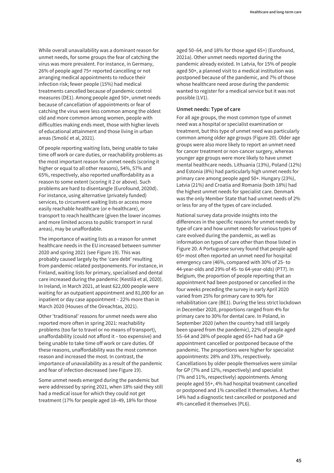While overall unavailability was a dominant reason for unmet needs, for some groups the fear of catching the virus was more prevalent. For instance, in Germany, 26% of people aged 75+ reported cancelling or not arranging medical appointments to reduce their infection risk; fewer people (15%) had medical treatments cancelled because of pandemic control measures (DE1). Among people aged 50+, unmet needs because of cancellation of appointments or fear of catching the virus were less common among the oldest old and more common among women, people with difficulties making ends meet, those with higher levels of educational attainment and those living in urban areas (Smolić et al, 2021).

Of people reporting waiting lists, being unable to take time off work or care duties, or reachability problems as the most important reason for unmet needs (scoring it higher or equal to all other reasons), 54%, 57% and 65%, respectively, also reported unaffordability as a reason to some extent (scoring it 2 or above). Such problems are hard to disentangle (Eurofound, 2020d). For instance, using alternative (privately funded) services, to circumvent waiting lists or access more easily reachable healthcare (or e-healthcare), or transport to reach healthcare (given the lower incomes and more limited access to public transport in rural areas), may be unaffordable.

The importance of waiting lists as a reason for unmet healthcare needs in the EU increased between summer 2020 and spring 2021 (see Figure 19). This was probably caused largely by the 'care debt' resulting from pandemic-related postponements. For instance, in Finland, waiting lists for primary, specialised and dental care increased during the pandemic (Kestilä et al, 2020). In Ireland, in March 2021, at least 622,000 people were waiting for an outpatient appointment and 81,000 for an inpatient or day case appointment – 22% more than in March 2020 (Houses of the Oireachtas, 2021).

Other 'traditional' reasons for unmet needs were also reported more often in spring 2021: reachability problems (too far to travel or no means of transport), unaffordability (could not afford it – too expensive) and being unable to take time off work or care duties. Of these reasons, unaffordability was the most common reason and increased the most. In contrast, the importance of unavailability as a result of the pandemic and fear of infection decreased (see Figure 19).

Some unmet needs emerged during the pandemic but were addressed by spring 2021, when 18% said they still had a medical issue for which they could not get treatment (17% for people aged 18–49, 18% for those

aged 50–64, and 18% for those aged 65+) (Eurofound, 2021a). Other unmet needs reported during the pandemic already existed. In Latvia, for 15% of people aged 50+, a planned visit to a medical institution was postponed because of the pandemic, and 7% of those whose healthcare need arose during the pandemic wanted to register for a medical service but it was not possible (LV1).

### **Unmet needs: Type of care**

For all age groups, the most common type of unmet need was a hospital or specialist examination or treatment, but this type of unmet need was particularly common among older age groups (Figure 20). Older age groups were also more likely to report an unmet need for cancer treatment or non-cancer surgery, whereas younger age groups were more likely to have unmet mental healthcare needs. Lithuania (13%), Poland (12%) and Estonia (8%) had particularly high unmet needs for primary care among people aged 50+. Hungary (23%), Latvia (21%) and Croatia and Romania (both 18%) had the highest unmet needs for specialist care. Denmark was the only Member State that had unmet needs of 2% or less for any of the types of care included.

National survey data provide insights into the differences in the specific reasons for unmet needs by type of care and how unmet needs for various types of care evolved during the pandemic, as well as information on types of care other than those listed in Figure 20. A Portuguese survey found that people aged 65+ most often reported an unmet need for hospital emergency care (46%, compared with 30% of 25- to 44-year-olds and 29% of 45- to 64-year-olds) (PT7). In Belgium, the proportion of people reporting that an appointment had been postponed or cancelled in the four weeks preceding the survey in early April 2020 varied from 25% for primary care to 90% for rehabilitation care (BE1). During the less strict lockdown in December 2020, proportions ranged from 4% for primary care to 30% for dental care. In Poland, in September 2020 (when the country had still largely been spared from the pandemic), 22% of people aged 55–64 and 28% of people aged 65+ had had a GP appointment cancelled or postponed because of the pandemic. The proportions were higher for specialist appointments: 28% and 33%, respectively. Cancellations by older people themselves were similar for GP (7% and 12%, respectively) and specialist (7% and 11%, respectively) appointments. Among people aged 55+, 4% had hospital treatment cancelled or postponed and 1% cancelled it themselves. A further 14% had a diagnostic test cancelled or postponed and 4% cancelled it themselves (PL6).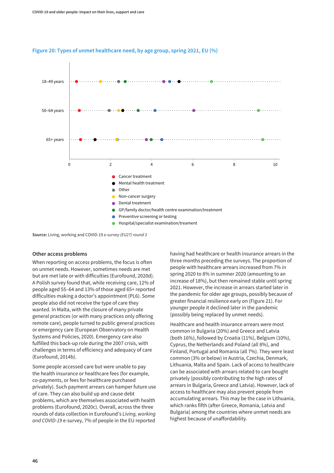

#### **Figure 20: Types of unmet healthcare need, by age group, spring 2021, EU (%)**

**Source:** Living, working and COVID-19 *e-survey (EU27) round 3*

#### **Other access problems**

When reporting on access problems, the focus is often on unmet needs. However, sometimes needs are met but are met late or with difficulties (Eurofound, 2020d). A Polish survey found that, while receiving care, 12% of people aged 55–64 and 13% of those aged 65+ reported difficulties making a doctor's appointment (PL6). Some people also did not receive the type of care they wanted. In Malta, with the closure of many private general practices (or with many practices only offering remote care), people turned to public general practices or emergency care (European Observatory on Health Systems and Policies, 2020). Emergency care also fulfilled this back-up role during the 2007 crisis, with challenges in terms of efficiency and adequacy of care (Eurofound, 2014b).

Some people accessed care but were unable to pay the health insurance or healthcare fees (for example, co-payments, or fees for healthcare purchased privately). Such payment arrears can hamper future use of care. They can also build up and cause debt problems, which are themselves associated with health problems (Eurofound, 2020c). Overall, across the three rounds of data collection in Eurofound's *Living, working and COVID-19* e-survey, 7% of people in the EU reported

having had healthcare or health insurance arrears in the three months preceding the surveys. The proportion of people with healthcare arrears increased from 7% in spring 2020 to 8% in summer 2020 (amounting to an increase of 18%), but then remained stable until spring 2021. However, the increase in arrears started later in the pandemic for older age groups, possibly because of greater financial resilience early on (Figure 21). For younger people it declined later in the pandemic (possibly being replaced by unmet needs).

Healthcare and health insurance arrears were most common in Bulgaria (20%) and Greece and Latvia (both 16%), followed by Croatia (11%), Belgium (10%), Cyprus, the Netherlands and Poland (all 8%), and Finland, Portugal and Romania (all 7%). They were least common (3% or below) in Austria, Czechia, Denmark, Lithuania, Malta and Spain. Lack of access to healthcare can be associated with arrears related to care bought privately (possibly contributing to the high rates of arrears in Bulgaria, Greece and Latvia). However, lack of access to healthcare may also prevent people from accumulating arrears. This may be the case in Lithuania, which ranks fifth (after Greece, Romania, Latvia and Bulgaria) among the countries where unmet needs are highest because of unaffordability.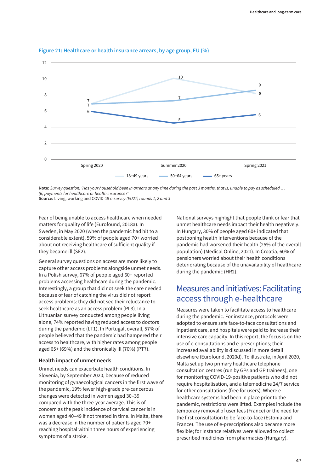

### **Figure 21: Healthcare or health insurance arrears, by age group, EU (%)**

**Note:** *Survey question: 'Has your household been in arrears at any time during the past 3 months, that is, unable to pay as scheduled … (6) payments for healthcare or health insurance?'* **Source:** Living, working and COVID-19 *e-survey (EU27) rounds 1, 2 and 3*

Fear of being unable to access healthcare when needed matters for quality of life (Eurofound, 2018a). In Sweden, in May 2020 (when the pandemic had hit to a considerable extent), 59% of people aged 70+ worried about not receiving healthcare of sufficient quality if they became ill (SE2).

General survey questions on access are more likely to capture other access problems alongside unmet needs. In a Polish survey, 67% of people aged 60+ reported problems accessing healthcare during the pandemic. Interestingly, a group that did not seek the care needed because of fear of catching the virus did not report access problems: they did not see their reluctance to seek healthcare as an access problem (PL3). In a Lithuanian survey conducted among people living alone, 74% reported having reduced access to doctors during the pandemic (LT1). In Portugal, overall, 57% of people believed that the pandemic had hampered their access to healthcare, with higher rates among people aged 65+ (69%) and the chronically ill (70%) (PT7).

#### **Health impact of unmet needs**

Unmet needs can exacerbate health conditions. In Slovenia, by September 2020, because of reduced monitoring of gynaecological cancers in the first wave of the pandemic, 19% fewer high-grade pre-cancerous changes were detected in women aged 30–39 compared with the three-year average. This is of concern as the peak incidence of cervical cancer is in women aged 40–49 if not treated in time. In Malta, there was a decrease in the number of patients aged 70+ reaching hospital within three hours of experiencing symptoms of a stroke.

National surveys highlight that people think or fear that unmet healthcare needs impact their health negatively. In Hungary, 30% of people aged 60+ indicated that postponing health interventions because of the pandemic had worsened their health (25% of the overall population) (Medical Online, 2021). In Croatia, 60% of pensioners worried about their health conditions deteriorating because of the unavailability of healthcare during the pandemic (HR2).

# Measures and initiatives: Facilitating access through e-healthcare

Measures were taken to facilitate access to healthcare during the pandemic. For instance, protocols were adopted to ensure safe face-to-face consultations and inpatient care, and hospitals were paid to increase their intensive care capacity. In this report, the focus is on the use of e-consultations and e-prescriptions; their increased availability is discussed in more detail elsewhere (Eurofound, 2020d). To illustrate, in April 2020, Malta set up two primary healthcare telephone consultation centres (run by GPs and GP trainees), one for monitoring COVID-19-positive patients who did not require hospitalisation, and a telemedicine 24/7 service for other consultations (free for users). Where ehealthcare systems had been in place prior to the pandemic, restrictions were lifted. Examples include the temporary removal of user fees (France) or the need for the first consultation to be face-to-face (Estonia and France). The use of e-prescriptions also became more flexible; for instance relatives were allowed to collect prescribed medicines from pharmacies (Hungary).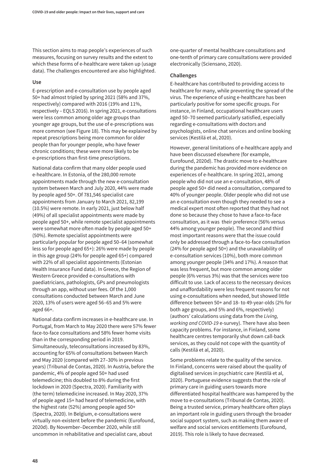This section aims to map people's experiences of such measures, focusing on survey results and the extent to which these forms of e-healthcare were taken up (usage data). The challenges encountered are also highlighted.

#### **Use**

E-prescription and e-consultation use by people aged 50+ had almost tripled by spring 2021 (58% and 37%, respectively) compared with 2016 (19% and 11%, respectively – EQLS 2016). In spring 2021, e-consultations were less common among older age groups than younger age groups, but the use of e-prescriptions was more common (see Figure 18). This may be explained by repeat prescriptions being more common for older people than for younger people, who have fewer chronic conditions; these were more likely to be e-prescriptions than first-time prescriptions.

National data confirm that many older people used e-healthcare. In Estonia, of the 280,000 remote appointments made through the new e-consultation system between March and July 2020, 44% were made by people aged 50+. Of 781,546 specialist care appointments from January to March 2021, 82,199 (10.5%) were remote. In early 2021, just below half (49%) of all specialist appointments were made by people aged 50+, while remote specialist appointments were somewhat more often made by people aged 50+ (50%). Remote specialist appointments were particularly popular for people aged 50–64 (somewhat less so for people aged 65+): 26% were made by people in this age group (24% for people aged 65+) compared with 22% of all specialist appointments (Estonian Health Insurance Fund data). In Greece, the Region of Western Greece provided e-consultations with paediatricians, pathologists, GPs and pneumologists through an app, without user fees. Of the 1,000 consultations conducted between March and June 2020, 13% of users were aged 56–65 and 5% were aged 66+.

National data confirm increases in e-healthcare use. In Portugal, from March to May 2020 there were 57% fewer face-to-face consultations and 58% fewer home visits than in the corresponding period in 2019. Simultaneously, teleconsultations increased by 83%, accounting for 65% of consultations between March and May 2020 (compared with 27–30% in previous years) (Tribunal de Contas, 2020). In Austria, before the pandemic, 4% of people aged 50+ had used telemedicine; this doubled to 8% during the first lockdown in 2020 (Spectra, 2020). Familiarity with (the term) telemedicine increased. In May 2020, 37% of people aged 15+ had heard of telemedicine, with the highest rate (52%) among people aged 50+ (Spectra, 2020). In Belgium, e-consultations were virtually non-existent before the pandemic (Eurofound, 2020d). By November–December 2020, while still uncommon in rehabilitative and specialist care, about

one-quarter of mental healthcare consultations and one-tenth of primary care consultations were provided electronically (Sciensano, 2020).

#### **Challenges**

E-healthcare has contributed to providing access to healthcare for many, while preventing the spread of the virus. The experience of using e-healthcare has been particularly positive for some specific groups. For instance, in Finland, occupational healthcare users aged 50–70 seemed particularly satisfied, especially regarding e-consultations with doctors and psychologists, online chat services and online booking services (Kestilä et al, 2020).

However, general limitations of e-healthcare apply and have been discussed elsewhere (for example, Eurofound, 2020d). The drastic move to e-healthcare during the pandemic has provided more evidence on experiences of e-healthcare. In spring 2021, among people who did not use an e-consultation, 48% of people aged 50+ did need a consultation, compared to 40% of younger people. Older people who did not use an e-consultation even though they needed to see a medical expert most often reported that they had not done so because they chose to have a face-to-face consultation, as it was their preference (56% versus 44% among younger people). The second and third most important reasons were that the issue could only be addressed through a face-to-face consultation (24% for people aged 50+) and the unavailability of e-consultation services (10%), both more common among younger people (34% and 17%). A reason that was less frequent, but more common among older people (6% versus 3%) was that the services were too difficult to use. Lack of access to the necessary devices and unaffordability were less frequent reasons for not using e-consultations when needed, but showed little difference between 50+ and 18- to 49-year-olds (2% for both age groups, and 5% and 6%, respectively) (authors' calculations using data from the *Living, working and COVID-19* e-survey). There have also been capacity problems. For instance, in Finland, some healthcare centres temporarily shut down call-back services, as they could not cope with the quantity of calls (Kestilä et al, 2020).

Some problems relate to the quality of the service. In Finland, concerns were raised about the quality of digitalised services in psychiatric care (Kestilä et al, 2020). Portuguese evidence suggests that the role of primary care in guiding users towards more differentiated hospital healthcare was hampered by the move to e-consultations (Tribunal de Contas, 2020). Being a trusted service, primary healthcare often plays an important role in guiding users through the broader social support system, such as making them aware of welfare and social services entitlements (Eurofound, 2019). This role is likely to have decreased.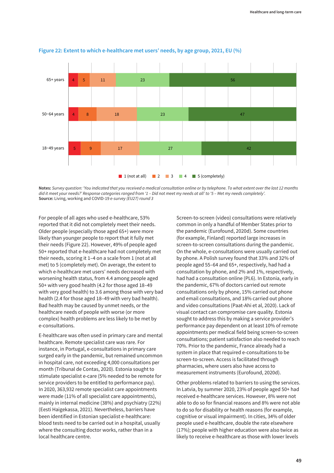

#### **Figure 22: Extent to which e-healthcare met users' needs, by age group, 2021, EU (%)**

**Notes:** *Survey question: 'You indicated that you received a medical consultation online or by telephone. To what extent over the last 12 months did it meet your needs?' Response categories ranged from '1 – Did not meet my needs at all' to '5 – Met my needs completely'.* **Source:** Living, working and COVID-19 *e-survey (EU27) round 3*

For people of all ages who used e-healthcare, 53% reported that it did not completely meet their needs. Older people (especially those aged 65+) were more likely than younger people to report that it fully met their needs (Figure 22). However, 49% of people aged 50+ reported that e-healthcare had not completely met their needs, scoring it 1–4 on a scale from 1 (not at all met) to 5 (completely met). On average, the extent to which e-healthcare met users' needs decreased with worsening health status, from 4.4 among people aged 50+ with very good health (4.2 for those aged 18–49 with very good health) to 3.6 among those with very bad health (2.4 for those aged 18–49 with very bad health). Bad health may be caused by unmet needs, or the healthcare needs of people with worse (or more complex) health problems are less likely to be met by e-consultations.

E-healthcare was often used in primary care and mental healthcare. Remote specialist care was rare. For instance, in Portugal, e-consultations in primary care surged early in the pandemic, but remained uncommon in hospital care, not exceeding 4,000 consultations per month (Tribunal de Contas, 2020). Estonia sought to stimulate specialist e-care (5% needed to be remote for service providers to be entitled to performance pay). In 2020, 363,932 remote specialist care appointments were made (11% of all specialist care appointments), mainly in internal medicine (38%) and psychiatry (22%) (Eesti Haigekassa, 2021). Nevertheless, barriers have been identified in Estonian specialist e-healthcare: blood tests need to be carried out in a hospital, usually where the consulting doctor works, rather than in a local healthcare centre.

Screen-to-screen (video) consultations were relatively common in only a handful of Member States prior to the pandemic (Eurofound, 2020d). Some countries (for example, Finland) reported large increases in screen-to-screen consultations during the pandemic. On the whole, e-consultations were usually carried out by phone. A Polish survey found that 33% and 32% of people aged 55–64 and 65+, respectively, had had a consultation by phone, and 2% and 1%, respectively, had had a consultation online (PL6). In Estonia, early in the pandemic, 67% of doctors carried out remote consultations only by phone, 15% carried out phone and email consultations, and 18% carried out phone and video consultations (Paat-Ahi et al, 2020). Lack of visual contact can compromise care quality. Estonia sought to address this by making a service provider's performance pay dependent on at least 10% of remote appointments per medical field being screen-to-screen consultations; patient satisfaction also needed to reach 70%. Prior to the pandemic, France already had a system in place that required e-consultations to be screen-to-screen. Access is facilitated through pharmacies, where users also have access to measurement instruments (Eurofound, 2020d).

Other problems related to barriers to using the services. In Latvia, by summer 2020, 23% of people aged 50+ had received e-healthcare services. However, 8% were not able to do so for financial reasons and 8% were not able to do so for disability or health reasons (for example, cognitive or visual impairment). In cities, 34% of older people used e-healthcare, double the rate elsewhere (17%); people with higher education were also twice as likely to receive e-healthcare as those with lower levels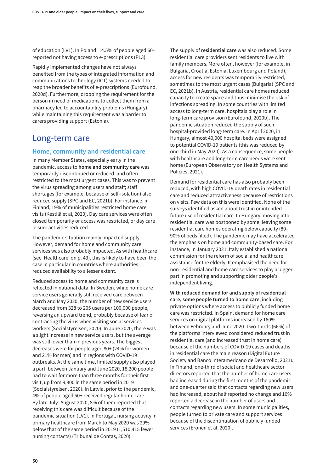of education (LV1). In Poland, 14.5% of people aged 60+ reported not having access to e-prescriptions (PL3).

Rapidly implemented changes have not always benefited from the types of integrated information and communications technology (ICT) systems needed to reap the broader benefits of e-prescriptions (Eurofound, 2020d). Furthermore, dropping the requirement for the person in need of medications to collect them from a pharmacy led to accountability problems (Hungary), while maintaining this requirement was a barrier to carers providing support (Estonia).

# Long-term care

## **Home, community and residential care**

In many Member States, especially early in the pandemic, access to **home and community care** was temporarily discontinued or reduced, and often restricted to the most urgent cases. This was to prevent the virus spreading among users and staff; staff shortages (for example, because of self-isolation) also reduced supply (SPC and EC, 2021b). For instance, in Finland, 19% of municipalities restricted home care visits (Kestilä et al, 2020). Day care services were often closed temporarily or access was restricted, or day care leisure activities reduced.

The pandemic situation mainly impacted supply. However, demand for home and community care services was also probably impacted. As with healthcare (see 'Healthcare' on p. 43), this is likely to have been the case in particular in countries where authorities reduced availability to a lesser extent.

Reduced access to home and community care is reflected in national data. In Sweden, while home care service users generally still received care between March and May 2020, the number of new service users decreased from 328 to 205 users per 100,000 people, reversing an upward trend, probably because of fear of contracting the virus when visiting social services workers (Socialstyrelsen, 2020). In June 2020, there was a slight increase in new service users, but the average was still lower than in previous years. The biggest decreases were for people aged 80+ (24% for women and 21% for men) and in regions with COVID-19 outbreaks. At the same time, limited supply also played a part: between January and June 2020, 18,200 people had to wait for more than three months for their first visit, up from 9,900 in the same period in 2019 (Socialstyrelsen, 2020). In Latvia, prior to the pandemic, 4% of people aged 50+ received regular home care. By late July–August 2020, 8% of them reported that receiving this care was difficult because of the pandemic situation (LV1). In Portugal, nursing activity in primary healthcare from March to May 2020 was 29% below that of the same period in 2019 (1,510,415 fewer nursing contacts) (Tribunal de Contas, 2020).

The supply of **residential care** was also reduced. Some residential care providers sent residents to live with family members. More often, however (for example, in Bulgaria, Croatia, Estonia, Luxembourg and Poland), access for new residents was temporarily restricted, sometimes to the most urgent cases (Bulgaria) (SPC and EC, 2021b). In Austria, residential care homes reduced capacity to create space and thus minimise the risk of infections spreading. In some countries with limited access to long-term care, hospitals play a role in long-term care provision (Eurofound, 2020b). The pandemic situation reduced the supply of such hospital-provided long-term care. In April 2020, in Hungary, almost 40,000 hospital beds were assigned to potential COVID-19 patients (this was reduced by one-third in May 2020). As a consequence, some people with healthcare and long-term care needs were sent home (European Observatory on Health Systems and Policies, 2021).

Demand for residential care has also probably been reduced, with high COVID-19 death rates in residential care and reduced attractiveness because of restrictions on visits. Few data on this were identified. None of the surveys identified asked about trust in or intended future use of residential care. In Hungary, moving into residential care was postponed by some, leaving some residential care homes operating below capacity (80– 90% of beds filled). The pandemic may have accelerated the emphasis on home and community-based care. For instance, in January 2021, Italy established a national commission for the reform of social and healthcare assistance for the elderly. It emphasised the need for non-residential and home care services to play a bigger part in promoting and supporting older people's independent living.

**With reduced demand for and supply of residential care, some people turned to home care**, including private options where access to publicly funded home care was restricted. In Spain, demand for home care services on digital platforms increased by 160% between February and June 2020. Two-thirds (66%) of the platforms interviewed considered reduced trust in residential care (and increased trust in home care) because of the numbers of COVID-19 cases and deaths in residential care the main reason (Digital Future Society and Banco Interamericano de Desarrollo, 2021). In Finland, one-third of social and healthcare sector directors reported that the number of home care users had increased during the first months of the pandemic and one-quarter said that contacts regarding new users had increased, about half reported no change and 10% reported a decrease in the number of users and contacts regarding new users. In some municipalities, people turned to private care and support services because of the discontinuation of publicly funded services (Eronen et al, 2020).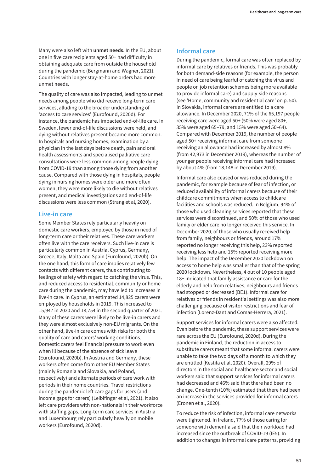Many were also left with **unmet needs**. In the EU, about one in five care recipients aged 50+ had difficulty in obtaining adequate care from outside the household during the pandemic (Bergmann and Wagner, 2021). Countries with longer stay-at-home orders had more unmet needs.

The quality of care was also impacted, leading to unmet needs among people who did receive long-term care services, alluding to the broader understanding of 'access to care services' (Eurofound, 2020d). For instance, the pandemic has impacted end-of-life care. In Sweden, fewer end-of-life discussions were held, and dying without relatives present became more common. In hospitals and nursing homes, examination by a physician in the last days before death, pain and oral health assessments and specialised palliative care consultations were less common among people dying from COVID-19 than among those dying from another cause. Compared with those dying in hospitals, people dying in nursing homes were older and more often women; they were more likely to die without relatives present, and medical investigations and end-of-life discussions were less common (Strang et al, 2020).

### **Live-in care**

Some Member States rely particularly heavily on domestic care workers, employed by those in need of long-term care or their relatives. These care workers often live with the care receivers. Such live-in care is particularly common in Austria, Cyprus, Germany, Greece, Italy, Malta and Spain (Eurofound, 2020b). On the one hand, this form of care implies relatively few contacts with different carers, thus contributing to feelings of safety with regard to catching the virus. This, and reduced access to residential, community or home care during the pandemic, may have led to increases in live-in care. In Cyprus, an estimated 14,825 carers were employed by households in 2019. This increased to 15,947 in 2020 and 18,754 in the second quarter of 2021. Many of these carers were likely to be live-in carers and they were almost exclusively non-EU migrants. On the other hand, live-in care comes with risks for both the quality of care and carers' working conditions. Domestic carers feel financial pressure to work even when ill because of the absence of sick leave (Eurofound, 2020b). In Austria and Germany, these workers often come from other EU Member States (mainly Romania and Slovakia, and Poland, respectively) and alternate periods of care work with periods in their home countries. Travel restrictions during the pandemic left care gaps for users (and income gaps for carers) (Leiblfinger et al, 2021). It also left care providers with non-nationals in their workforce with staffing gaps. Long-term care services in Austria and Luxembourg rely particularly heavily on mobile workers (Eurofound, 2020d).

### **Informal care**

During the pandemic, formal care was often replaced by informal care by relatives or friends. This was probably for both demand-side reasons (for example, the person in need of care being fearful of catching the virus and people on job retention schemes being more available to provide informal care) and supply-side reasons (see 'Home, community and residential care' on p. 50). In Slovakia, informal carers are entitled to a care allowance. In December 2020, 71% of the 65,197 people receiving care were aged 50+ (50% were aged 80+, 35% were aged 65–79, and 15% were aged 50–64). Compared with December 2019, the number of people aged 50+ receiving informal care from someone receiving an allowance had increased by almost 8% (from 42,973 in December 2019), whereas the number of younger people receiving informal care had increased by about 4% (from 18,148 in December 2019).

Informal care also ceased or was reduced during the pandemic, for example because of fear of infection, or reduced availability of informal carers because of their childcare commitments when access to childcare facilities and schools was reduced. In Belgium, 94% of those who used cleaning services reported that these services were discontinued, and 50% of those who used family or elder care no longer received this service. In December 2020, of those who usually received help from family, neighbours or friends, around 17% reported no longer receiving this help, 23% reported receiving less help and 15% reported receiving more help. The impact of the December 2020 lockdown on access to home help was smaller than that of the spring 2020 lockdown. Nevertheless, 4 out of 10 people aged 18+ indicated that family assistance or care for the elderly and help from relatives, neighbours and friends had stopped or decreased (BE1). Informal care for relatives or friends in residential settings was also more challenging because of visitor restrictions and fear of infection (Lorenz-Dant and Comas-Herrera, 2021).

Support services for informal carers were also affected. Even before the pandemic, these support services were rare across the EU (Eurofound, 2020d). During the pandemic in Finland, the reduction in access to substitute carers meant that some informal carers were unable to take the two days off a month to which they are entitled (Kestilä et al, 2020). Overall, 29% of directors in the social and healthcare sector and social workers said that support services for informal carers had decreased and 46% said that there had been no change. One-tenth (10%) estimated that there had been an increase in the services provided for informal carers (Eronen et al, 2020).

To reduce the risk of infection, informal care networks were tightened. In Ireland, 77% of those caring for someone with dementia said that their workload had increased since the outbreak of COVID-19 (IE5). In addition to changes in informal care patterns, providing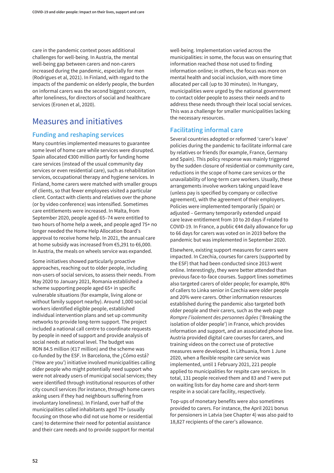care in the pandemic context poses additional challenges for well-being. In Austria, the mental well-being gap between carers and non-carers increased during the pandemic, especially for men (Rodrigues et al, 2021). In Finland, with regard to the impacts of the pandemic on elderly people, the burden on informal carers was the second biggest concern, after loneliness, for directors of social and healthcare services (Eronen et al, 2020).

# Measures and initiatives

## **Funding and reshaping services**

Many countries implemented measures to guarantee some level of home care while services were disrupted. Spain allocated €300 million partly for funding home care services (instead of the usual community day services or even residential care), such as rehabilitation services, occupational therapy and hygiene services. In Finland, home carers were matched with smaller groups of clients, so that fewer employees visited a particular client. Contact with clients and relatives over the phone (or by video conference) was intensified. Sometimes care entitlements were increased. In Malta, from September 2020, people aged 65–74 were entitled to two hours of home help a week, and people aged 75+ no longer needed the Home Help Allocation Board's approval to receive home help. In 2021, the annual care at home subsidy was increased from €5,291 to €6,000. In Austria, the meals on wheels service was expanded.

Some initiatives showed particularly proactive approaches, reaching out to older people, including non-users of social services, to assess their needs. From May 2020 to January 2021, Romania established a scheme supporting people aged 65+ in specific vulnerable situations (for example, living alone or without family support nearby). Around 1,000 social workers identified eligible people, established individual intervention plans and set up community networks to provide long-term support. The project included a national call centre to coordinate requests by people in need of support and provide analysis of social needs at national level. The budget was RON 84.5 million (€17 million) and the scheme was co-funded by the ESF. In Barcelona, the ¿Cómo está? ('How are you') initiative involved municipalities calling older people who might potentially need support who were not already users of municipal social services; they were identified through institutional resources of other city council services (for instance, through home carers asking users if they had neighbours suffering from involuntary loneliness). In Finland, over half of the municipalities called inhabitants aged 70+ (usually focusing on those who did not use home or residential care) to determine their need for potential assistance and their care needs and to provide support for mental

well-being. Implementation varied across the municipalities: in some, the focus was on ensuring that information reached those not used to finding information online; in others, the focus was more on mental health and social inclusion, with more time allocated per call (up to 30 minutes). In Hungary, municipalities were urged by the national government to contact older people to assess their needs and to address these needs through their local social services. This was a challenge for smaller municipalities lacking the necessary resources.

# **Facilitating informal care**

Several countries adopted or reformed 'carer's leave' policies during the pandemic to facilitate informal care by relatives or friends (for example, France, Germany and Spain). This policy response was mainly triggered by the sudden closure of residential or community care, reductions in the scope of home care services or the unavailability of long-term care workers. Usually, these arrangements involve workers taking unpaid leave (unless pay is specified by company or collective agreement), with the agreement of their employers. Policies were implemented temporarily (Spain) or adjusted – Germany temporarily extended unpaid care leave entitlement from 10 to 20 days if related to COVID-19. In France, a public €44 daily allowance for up to 66 days for carers was voted on in 2019 before the pandemic but was implemented in September 2020.

Elsewhere, existing support measures for carers were impacted. In Czechia, courses for carers (supported by the ESF) that had been conducted since 2013 went online. Interestingly, they were better attended than previous face-to-face courses. Support lines sometimes also targeted carers of older people; for example, 80% of callers to Linka senior in Czechia were older people and 20% were carers. Other information resources established during the pandemic also targeted both older people and their carers, such as the web page *Rompre l'isolement des personnes âgées* ('Breaking the isolation of older people') in France, which provides information and support, and an associated phone line. Austria provided digital care courses for carers, and training videos on the correct use of protective measures were developed. In Lithuania, from 1 June 2020, when a flexible respite care service was implemented, until 1 February 2021, 221 people applied to municipalities for respite care services. In total, 131 people received them and 83 and 7 were put on waiting lists for day home care and short-term respite in a social care facility, respectively.

Top-ups of monetary benefits were also sometimes provided to carers. For instance, the April 2021 bonus for pensioners in Latvia (see Chapter 4) was also paid to 18,827 recipients of the carer's allowance.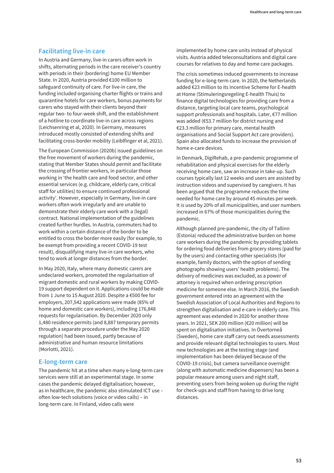### **Facilitating live-in care**

In Austria and Germany, live-in carers often work in shifts, alternating periods in the care receiver's country with periods in their (bordering) home EU Member State. In 2020, Austria provided €100 million to safeguard continuity of care. For live-in care, the funding included organising charter flights or trains and quarantine hotels for care workers, bonus payments for carers who stayed with their clients beyond their regular two- to four-week shift, and the establishment of a hotline to coordinate live-in care across regions (Leichsenring et al, 2020). In Germany, measures introduced mostly consisted of extending shifts and facilitating cross-border mobility (Leiblfinger et al, 2021).

The European Commission (2020b) issued guidelines on the free movement of workers during the pandemic, stating that Member States should permit and facilitate the crossing of frontier workers, in particular those working in 'the health care and food sector, and other essential services (e.g. childcare, elderly care, critical staff for utilities) to ensure continued professional activity'. However, especially in Germany, live-in care workers often work irregularly and are unable to demonstrate their elderly care work with a (legal) contract. National implementation of the guidelines created further hurdles. In Austria, commuters had to work within a certain distance of the border to be entitled to cross the border more easily (for example, to be exempt from providing a recent COVID-19 test result), disqualifying many live-in care workers, who tend to work at longer distances from the border.

In May 2020, Italy, where many domestic carers are undeclared workers, promoted the regularisation of migrant domestic and rural workers by making COVID-19 support dependent on it. Applications could be made from 1 June to 15 August 2020. Despite a €500 fee for employers, 207,542 applications were made (85% of home and domestic care workers), including 176,848 requests for regularisation. By December 2020 only 1,480 residence permits (and 8,887 temporary permits through a separate procedure under the May 2020 regulation) had been issued, partly because of administrative and human resource limitations (Morlotti, 2021).

### **E-long-term care**

The pandemic hit at a time when many e-long-term care services were still at an experimental stage. In some cases the pandemic delayed digitalisation; however, as in healthcare, the pandemic also stimulated ICT use – often low-tech solutions (voice or video calls) – in long-term care. In Finland, video calls were

implemented by home care units instead of physical visits. Austria added teleconsultations and digital care courses for relatives to day and home care packages.

The crisis sometimes induced governments to increase funding for e-long-term care. In 2020, the Netherlands added €23 million to its Incentive Scheme for E-health at Home (Stimuleringsregeling E-health Thuis) to finance digital technologies for providing care from a distance, targeting local care teams, psychological support professionals and hospitals. Later, €77 million was added (€53.7 million for district nursing and €23.3 million for primary care, mental health organisations and Social Support Act care providers). Spain also allocated funds to increase the provision of home e-care devices.

In Denmark, DigiRehab, a pre-pandemic programme of rehabilitation and physical exercises for the elderly receiving home care, saw an increase in take-up. Such courses typically last 12 weeks and users are assisted by instruction videos and supervised by caregivers. It has been argued that the programme reduces the time needed for home care by around 45 minutes per week. It is used by 20% of all municipalities, and user numbers increased in 67% of those municipalities during the pandemic.

Although planned pre-pandemic, the city of Tallinn (Estonia) reduced the administrative burden on home care workers during the pandemic by providing tablets for ordering food deliveries from grocery stores (paid for by the users) and contacting other specialists (for example, family doctors, with the option of sending photographs showing users' health problems). The delivery of medicines was excluded, as a power of attorney is required when ordering prescription medicine for someone else. In March 2016, the Swedish government entered into an agreement with the Swedish Association of Local Authorities and Regions to strengthen digitalisation and e-care in elderly care. This agreement was extended in 2020 for another three years. In 2021, SEK 200 million (€20 million) will be spent on digitalisation initiatives. In Övertorneå (Sweden), home care staff carry out needs assessments and provide relevant digital technologies to users. Most new technologies are at the testing stage (and implementation has been delayed because of the COVID-19 crisis), but camera surveillance overnight (along with automatic medicine dispensers) has been a popular measure among users and night staff, preventing users from being woken up during the night for check-ups and staff from having to drive long distances.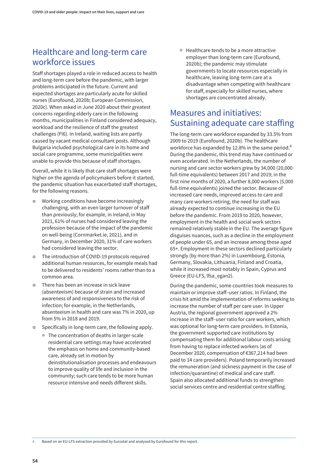# Healthcare and long-term care workforce issues

Staff shortages played a role in reduced access to health and long-term care before the pandemic, with larger problems anticipated in the future. Current and expected shortages are particularly acute for skilled nurses (Eurofound, 2020b; European Commission, 2020c). When asked in June 2020 about their greatest concerns regarding elderly care in the following months, municipalities in Finland considered adequacy, workload and the resilience of staff the greatest challenges (FI6). In Ireland, waiting lists are partly caused by vacant medical consultant posts. Although Bulgaria included psychological care in its home and social care programme, some municipalities were unable to provide this because of staff shortages.

Overall, while it is likely that care staff shortages were higher on the agenda of policymakers before it started, the pandemic situation has exacerbated staff shortages, for the following reasons.

- Working conditions have become increasingly challenging, with an even larger turnover of staff than previously; for example, in Ireland, in May 2021, 61% of nurses had considered leaving the profession because of the impact of the pandemic on well-being (Cornmarket.ie, 2021), and in Germany, in December 2020, 31% of care workers had considered leaving the sector.
- The introduction of COVID-19 protocols required additional human resources, for example meals had to be delivered to residents' rooms rather than to a common area.
- **•** There has been an increase in sick leave (absenteeism) because of strain and increased awareness of and responsiveness to the risk of infection; for example, in the Netherlands, absenteeism in health and care was 7% in 2020, up from 5% in 2018 and 2019.
- **•** Specifically in long-term care, the following apply.
	- The concentration of deaths in larger-scale residential care settings may have accelerated the emphasis on home and community-based care, already set in motion by deinstitutionalisation processes and endeavours to improve quality of life and inclusion in the community; such care tends to be more human resource intensive and needs different skills.

<sup>o</sup> Healthcare tends to be a more attractive employer than long-term care (Eurofound, 2020b); the pandemic may stimulate governments to locate resources especially in healthcare, leaving long-term care at a disadvantage when competing with healthcare for staff, especially for skilled nurses, where shortages are concentrated already.

# Measures and initiatives: Sustaining adequate care staffing

The long-term care workforce expanded by 33.5% from 2009 to 2019 (Eurofound, 2020b). The healthcare workforce has expanded by 12.8% in the same period.<sup>4</sup> During the pandemic, this trend may have continued or even accelerated. In the Netherlands, the number of nursing and care sector workers grew by 34,000 (20,000 full-time equivalents) between 2017 and 2019; in the first nine months of 2020, a further 8,000 workers (5,000 full-time equivalents) joined the sector. Because of increased care needs, improved access to care and many care workers retiring, the need for staff was already expected to continue increasing in the EU before the pandemic. From 2019 to 2020, however, employment in the health and social work sectors remained relatively stable in the EU. The average figure disguises nuances, such as a decline in the employment of people under 65, and an increase among those aged 65+. Employment in these sectors declined particularly strongly (by more than 2%) in Luxembourg, Estonia, Germany, Slovakia, Lithuania, Finland and Croatia, while it increased most notably in Spain, Cyprus and Greece (EU-LFS, lfsa\_egan2).

During the pandemic, some countries took measures to maintain or improve staff–user ratios. In Finland, the crisis hit amid the implementation of reforms seeking to increase the number of staff per care user. In Upper Austria, the regional government approved a 2% increase in the staff–user ratio for care workers, which was optional for long-term care providers. In Estonia, the government supported care institutions by compensating them for additional labour costs arising from having to replace infected workers (as of December 2020, compensation of €367,214 had been paid to 14 care providers). Poland temporarily increased the remuneration (and sickness payment in the case of infection/quarantine) of medical and care staff. Spain also allocated additional funds to strengthen social services centre and residential centre staffing.

**4** Based on an EU-LFS extraction provided by Eurostat and analysed by Eurofound for this report.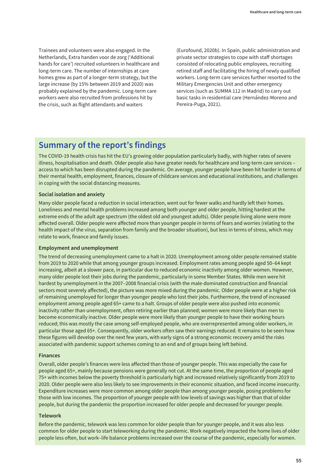Trainees and volunteers were also engaged. In the Netherlands, Extra handen voor de zorg ('Additional hands for care') recruited volunteers in healthcare and long-term care. The number of internships at care homes grew as part of a longer-term strategy, but the large increase (by 15% between 2019 and 2020) was probably explained by the pandemic. Long-term care workers were also recruited from professions hit by the crisis, such as flight attendants and waiters

(Eurofound, 2020b). In Spain, public administration and private sector strategies to cope with staff shortages consisted of relocating public employees, recruiting retired staff and facilitating the hiring of newly qualified workers. Long-term care services further resorted to the Military Emergencies Unit and other emergency services (such as SUMMA 112 in Madrid) to carry out basic tasks in residential care (Hernández-Moreno and Pereira-Puga, 2021).

# **Summary of the report's findings**

The COVID-19 health crisis has hit the EU's growing older population particularly badly, with higher rates of severe illness, hospitalisation and death. Older people also have greater needs for healthcare and long-term care services – access to which has been disrupted during the pandemic. On average, younger people have been hit harder in terms of their mental health, employment, finances, closure of childcare services and educational institutions, and challenges in coping with the social distancing measures.

### **Social isolation and anxiety**

Many older people faced a reduction in social interaction, went out for fewer walks and hardly left their homes. Loneliness and mental health problems increased among both younger and older people, hitting hardest at the extreme ends of the adult age spectrum (the oldest old and youngest adults). Older people living alone were more affected overall. Older people were affected more than younger people in terms of fears and worries (relating to the health impact of the virus, separation from family and the broader situation), but less in terms of stress, which may relate to work, finance and family issues.

### **Employment and unemployment**

The trend of decreasing unemployment came to a halt in 2020. Unemployment among older people remained stable from 2019 to 2020 while that among younger groups increased. Employment rates among people aged 50–64 kept increasing, albeit at a slower pace, in particular due to reduced economic inactivity among older women. However, many older people lost their jobs during the pandemic, particularly in some Member States. While men were hit hardest by unemployment in the 2007–2008 financial crisis (with the male-dominated construction and financial sectors most severely affected), the picture was more mixed during the pandemic. Older people were at a higher risk of remaining unemployed for longer than younger people who lost their jobs. Furthermore, the trend of increased employment among people aged 65+ came to a halt. Groups of older people were also pushed into economic inactivity rather than unemployment, often retiring earlier than planned; women were more likely than men to become economically inactive. Older people were more likely than younger people to have their working hours reduced; this was mostly the case among self-employed people, who are overrepresented among older workers, in particular those aged 65+. Consequently, older workers often saw their earnings reduced. It remains to be seen how these figures will develop over the next few years, with early signs of a strong economic recovery amid the risks associated with pandemic support schemes coming to an end and of groups being left behind.

### **Finances**

Overall, older people's finances were less affected than those of younger people. This was especially the case for people aged 65+, mainly because pensions were generally not cut. At the same time, the proportion of people aged 75+ with incomes below the poverty threshold is particularly high and increased relatively significantly from 2019 to 2020. Older people were also less likely to see improvements in their economic situation, and faced income insecurity. Expenditure increases were more common among older people than among younger people, posing problems for those with low incomes. The proportion of younger people with low levels of savings was higher than that of older people, but during the pandemic the proportion increased for older people and decreased for younger people.

### **Telework**

Before the pandemic, telework was less common for older people than for younger people, and it was also less common for older people to start teleworking during the pandemic. Work negatively impacted the home lives of older people less often, but work–life balance problems increased over the course of the pandemic, especially for women.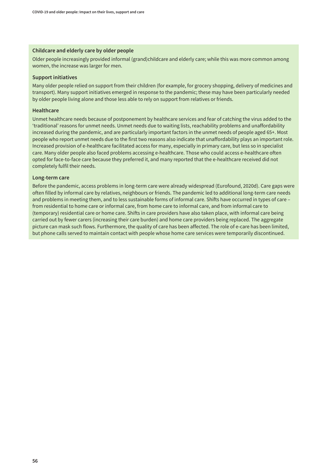### **Childcare and elderly care by older people**

Older people increasingly provided informal (grand)childcare and elderly care; while this was more common among women, the increase was larger for men.

### **Support initiatives**

Many older people relied on support from their children (for example, for grocery shopping, delivery of medicines and transport). Many support initiatives emerged in response to the pandemic; these may have been particularly needed by older people living alone and those less able to rely on support from relatives or friends.

#### **Healthcare**

Unmet healthcare needs because of postponement by healthcare services and fear of catching the virus added to the 'traditional' reasons for unmet needs. Unmet needs due to waiting lists, reachability problems and unaffordability increased during the pandemic, and are particularly important factors in the unmet needs of people aged 65+. Most people who report unmet needs due to the first two reasons also indicate that unaffordability plays an important role. Increased provision of e-healthcare facilitated access for many, especially in primary care, but less so in specialist care. Many older people also faced problems accessing e-healthcare. Those who could access e-healthcare often opted for face-to-face care because they preferred it, and many reported that the e-healthcare received did not completely fulfil their needs.

#### **Long-term care**

Before the pandemic, access problems in long-term care were already widespread (Eurofound, 2020d). Care gaps were often filled by informal care by relatives, neighbours or friends. The pandemic led to additional long-term care needs and problems in meeting them, and to less sustainable forms of informal care. Shifts have occurred in types of care – from residential to home care or informal care, from home care to informal care, and from informal care to (temporary) residential care or home care. Shifts in care providers have also taken place, with informal care being carried out by fewer carers (increasing their care burden) and home care providers being replaced. The aggregate picture can mask such flows. Furthermore, the quality of care has been affected. The role of e-care has been limited, but phone calls served to maintain contact with people whose home care services were temporarily discontinued.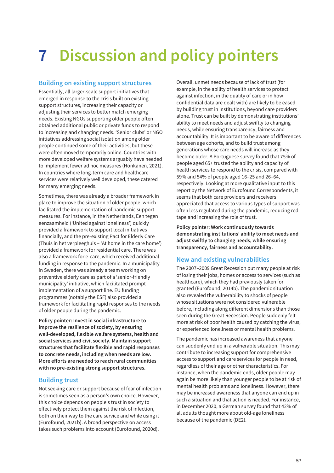# **7 Discussion and policy pointers**

### **Building on existing support structures**

Essentially, all larger-scale support initiatives that emerged in response to the crisis built on existing support structures, increasing their capacity or adjusting their services to better match emerging needs. Existing NGOs supporting older people often obtained additional public or private funds to respond to increasing and changing needs. 'Senior clubs' or NGO initiatives addressing social isolation among older people continued some of their activities, but these were often moved temporarily online. Countries with more developed welfare systems arguably have needed to implement fewer ad hoc measures (Honkanen, 2021). In countries where long-term care and healthcare services were relatively well developed, these catered for many emerging needs.

Sometimes, there was already a broader framework in place to improve the situation of older people, which facilitated the implementation of pandemic support measures. For instance, in the Netherlands, Een tegen eenzaamheid ('United against loneliness') quickly provided a framework to support local initiatives financially, and the pre-existing Pact for Elderly Care (Thuis in het verpleeghuis – 'At home in the care home') provided a framework for residential care. There was also a framework for e-care, which received additional funding in response to the pandemic. In a municipality in Sweden, there was already a team working on preventive elderly care as part of a 'senior-friendly municipality' initiative, which facilitated prompt implementation of a support line. EU funding programmes (notably the ESF) also provided a framework for facilitating rapid responses to the needs of older people during the pandemic.

**Policy pointer: Invest in social infrastructure to improve the resilience of society, by ensuring well-developed, flexible welfare systems, health and social services and civil society. Maintain support structures that facilitate flexible and rapid responses to concrete needs, including when needs are low. More efforts are needed to reach rural communities with no pre-existing strong support structures.**

### **Building trust**

Not seeking care or support because of fear of infection is sometimes seen as a person's own choice. However, this choice depends on people's trust in society to effectively protect them against the risk of infection, both on their way to the care service and while using it (Eurofound, 2021b). A broad perspective on access takes such problems into account (Eurofound, 2020d).

Overall, unmet needs because of lack of trust (for example, in the ability of health services to protect against infection, in the quality of care or in how confidential data are dealt with) are likely to be eased by building trust in institutions, beyond care providers alone. Trust can be built by demonstrating institutions' ability to meet needs and adjust swiftly to changing needs, while ensuring transparency, fairness and accountability. It is important to be aware of differences between age cohorts, and to build trust among generations whose care needs will increase as they become older. A Portuguese survey found that 75% of people aged 65+ trusted the ability and capacity of health services to respond to the crisis, compared with 59% and 54% of people aged 16–25 and 26–64, respectively. Looking at more qualitative input to this report by the Network of Eurofound Correspondents, it seems that both care providers and receivers appreciated that access to various types of support was often less regulated during the pandemic, reducing red tape and increasing the role of trust.

**Policy pointer: Work continuously towards demonstrating institutions' ability to meet needs and adjust swiftly to changing needs, while ensuring transparency, fairness and accountability.**

### **New and existing vulnerabilities**

The 2007–2009 Great Recession put many people at risk of losing their jobs, homes or access to services (such as healthcare), which they had previously taken for granted (Eurofound, 2014b). The pandemic situation also revealed the vulnerability to shocks of people whose situations were not considered vulnerable before, including along different dimensions than those seen during the Great Recession. People suddenly felt more at risk of poor health caused by catching the virus, or experienced loneliness or mental health problems.

The pandemic has increased awareness that anyone can suddenly end up in a vulnerable situation. This may contribute to increasing support for comprehensive access to support and care services for people in need, regardless of their age or other characteristics. For instance, when the pandemic ends, older people may again be more likely than younger people to be at risk of mental health problems and loneliness. However, there may be increased awareness that anyone can end up in such a situation and that action is needed. For instance, in December 2020, a German survey found that 42% of all adults thought more about old-age loneliness because of the pandemic (DE2).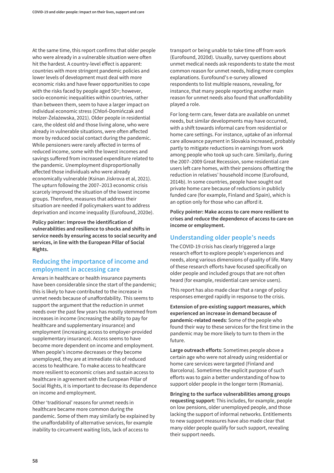At the same time, this report confirms that older people who were already in a vulnerable situation were often hit the hardest. A country-level effect is apparent: countries with more stringent pandemic policies and lower levels of development must deal with more economic risks and have fewer opportunities to cope with the risks faced by people aged 50+; however, socio-economic inequalities within countries, rather than between them, seem to have a larger impact on individual economic stress (Chłoń-Domińczak and Holzer-Żelażewska, 2021). Older people in residential care, the oldest old and those living alone, who were already in vulnerable situations, were often affected more by reduced social contact during the pandemic. While pensioners were rarely affected in terms of reduced income, some with the lowest incomes and savings suffered from increased expenditure related to the pandemic. Unemployment disproportionally affected those individuals who were already economically vulnerable (Ksinan Jiskrova et al, 2021). The upturn following the 2007–2013 economic crisis scarcely improved the situation of the lowest income groups. Therefore, measures that address their situation are needed if policymakers want to address deprivation and income inequality (Eurofound, 2020e).

**Policy pointer: Improve the identification of vulnerabilities and resilience to shocks and shifts in service needs by ensuring access to social security and services, in line with the European Pillar of Social Rights.**

# **Reducing the importance of income and employment in accessing care**

Arrears in healthcare or health insurance payments have been considerable since the start of the pandemic; this is likely to have contributed to the increase in unmet needs because of unaffordability. This seems to support the argument that the reduction in unmet needs over the past few years has mostly stemmed from increases in income (increasing the ability to pay for healthcare and supplementary insurance) and employment (increasing access to employer-provided supplementary insurance). Access seems to have become more dependent on income and employment. When people's income decreases or they become unemployed, they are at immediate risk of reduced access to healthcare. To make access to healthcare more resilient to economic crises and sustain access to healthcare in agreement with the European Pillar of Social Rights, it is important to decrease its dependence on income and employment.

Other 'traditional' reasons for unmet needs in healthcare became more common during the pandemic. Some of them may similarly be explained by the unaffordability of alternative services, for example inability to circumvent waiting lists, lack of access to

transport or being unable to take time off from work (Eurofound, 2020d). Usually, survey questions about unmet medical needs ask respondents to state the most common reason for unmet needs, hiding more complex explanations. Eurofound's e-survey allowed respondents to list multiple reasons, revealing, for instance, that many people reporting another main reason for unmet needs also found that unaffordability played a role.

For long-term care, fewer data are available on unmet needs, but similar developments may have occurred, with a shift towards informal care from residential or home care settings. For instance, uptake of an informal care allowance payment in Slovakia increased, probably partly to mitigate reductions in earnings from work among people who took up such care. Similarly, during the 2007–2009 Great Recession, some residential care users left care homes, with their pensions offsetting the reduction in relatives' household income (Eurofound, 2014b). In some countries, people have sought out private home care because of reductions in publicly funded care (for example, Finland and Spain), which is an option only for those who can afford it.

**Policy pointer: Make access to care more resilient to crises and reduce the dependence of access to care on income or employment.** 

# **Understanding older people's needs**

The COVID-19 crisis has clearly triggered a large research effort to explore people's experiences and needs, along various dimensions of quality of life. Many of these research efforts have focused specifically on older people and included groups that are not often heard (for example, residential care service users).

This report has also made clear that a range of policy responses emerged rapidly in response to the crisis.

**Extension of pre-existing support measures, which experienced an increase in demand because of pandemic-related needs**: Some of the people who found their way to these services for the first time in the pandemic may be more likely to turn to them in the future.

**Large outreach efforts**: Sometimes people above a certain age who were not already using residential or home care services were targeted (Finland and Barcelona). Sometimes the explicit purpose of such efforts was to gain a better understanding of how to support older people in the longer term (Romania).

**Bringing to the surface vulnerabilities among groups requesting support**: This includes, for example, people on low pensions, older unemployed people, and those lacking the support of informal networks. Entitlements to new support measures have also made clear that many older people qualify for such support, revealing their support needs.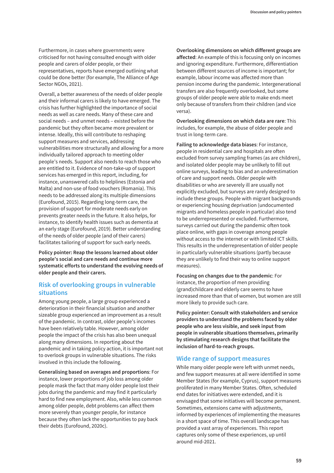Furthermore, in cases where governments were criticised for not having consulted enough with older people and carers of older people, or their representatives, reports have emerged outlining what could be done better (for example, The Alliance of Age Sector NGOs, 2021).

Overall, a better awareness of the needs of older people and their informal carers is likely to have emerged. The crisis has further highlighted the importance of social needs as well as care needs. Many of these care and social needs – and unmet needs – existed before the pandemic but they often became more prevalent or intense. Ideally, this will contribute to reshaping support measures and services, addressing vulnerabilities more structurally and allowing for a more individually tailored approach to meeting older people's needs. Support also needs to reach those who are entitled to it. Evidence of non-take-up of support services has emerged in this report, including, for instance, unanswered calls to helplines (Estonia and Malta) and non-use of food vouchers (Romania). This needs to be addressed along its multiple dimensions (Eurofound, 2015). Regarding long-term care, the provision of support for moderate needs early on prevents greater needs in the future. It also helps, for instance, to identify health issues such as dementia at an early stage (Eurofound, 2019). Better understanding of the needs of older people (and of their carers) facilitates tailoring of support for such early needs.

**Policy pointer: Reap the lessons learned about older people's social and care needs and continue more systematic efforts to understand the evolving needs of older people and their carers.**

### **Risk of overlooking groups in vulnerable situations**

Among young people, a large group experienced a deterioration in their financial situation and another sizeable group experienced an improvement as a result of the pandemic. In contrast, older people's incomes have been relatively table. However, among older people the impact of the crisis has also been unequal along many dimensions. In reporting about the pandemic and in taking policy action, it is important not to overlook groups in vulnerable situations. The risks involved in this include the following.

**Generalising based on averages and proportions**: For instance, lower proportions of job loss among older people mask the fact that many older people lost their jobs during the pandemic and may find it particularly hard to find new employment. Also, while less common among older people, debt problems can affect them more severely than younger people, for instance because they often lack the opportunities to pay back their debts (Eurofound, 2020c).

### **Overlooking dimensions on which different groups are**

**affected**: An example of this is focusing only on incomes and ignoring expenditure. Furthermore, differentiation between different sources of income is important; for example, labour income was affected more than pension income during the pandemic. Intergenerational transfers are also frequently overlooked, but some groups of older people were able to make ends meet only because of transfers from their children (and vice versa).

**Overlooking dimensions on which data are rare**: This includes, for example, the abuse of older people and trust in long-term care.

**Failing to acknowledge data biases**: For instance, people in residential care and hospitals are often excluded from survey sampling frames (as are children), and isolated older people may be unlikely to fill out online surveys, leading to bias and an underestimation of care and support needs. Older people with disabilities or who are severely ill are usually not explicitly excluded, but surveys are rarely designed to include these groups. People with migrant backgrounds or experiencing housing deprivation (undocumented migrants and homeless people in particular) also tend to be underrepresented or excluded. Furthermore, surveys carried out during the pandemic often took place online, with gaps in coverage among people without access to the internet or with limited ICT skills. This results in the underrepresentation of older people in particularly vulnerable situations (partly because they are unlikely to find their way to online support measures).

**Focusing on changes due to the pandemic**: For instance, the proportion of men providing (grand)childcare and elderly care seems to have increased more than that of women, but women are still more likely to provide such care.

**Policy pointer: Consult with stakeholders and service providers to understand the problems faced by older people who are less visible, and seek input from people in vulnerable situations themselves, primarily by stimulating research designs that facilitate the inclusion of hard-to-reach groups.**

### **Wide range of support measures**

While many older people were left with unmet needs, and few support measures at all were identified in some Member States (for example, Cyprus), support measures proliferated in many Member States. Often, scheduled end dates for initiatives were extended, and it is envisaged that some initiatives will become permanent. Sometimes, extensions came with adjustments, informed by experiences of implementing the measures in a short space of time. This overall landscape has provided a vast array of experiences. This report captures only some of these experiences, up until around mid-2021.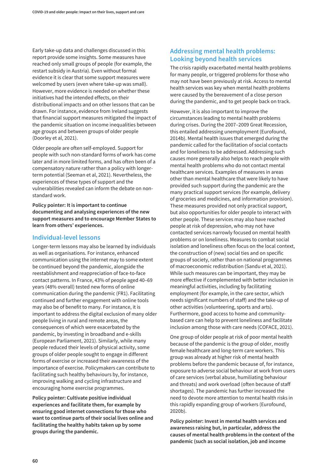Early take-up data and challenges discussed in this report provide some insights. Some measures have reached only small groups of people (for example, the restart subsidy in Austria). Even without formal evidence it is clear that some support measures were welcomed by users (even where take-up was small). However, more evidence is needed on whether these initiatives had the intended effects, on their distributional impacts and on other lessons that can be drawn. For instance, evidence from Ireland suggests that financial support measures mitigated the impact of the pandemic situation on income inequalities between age groups and between groups of older people (Doorley et al, 2021).

Older people are often self-employed. Support for people with such non-standard forms of work has come later and in more limited forms, and has often been of a compensatory nature rather than a policy with longerterm potential (Seeman et al, 2021). Nevertheless, the experiences of these types of support and the vulnerabilities revealed can inform the debate on nonstandard work.

**Policy pointer: It is important to continue documenting and analysing experiences of the new support measures and to encourage Member States to learn from others' experiences.**

### **Individual-level lessons**

Longer-term lessons may also be learned by individuals as well as organisations. For instance, enhanced communication using the internet may to some extent be continued beyond the pandemic, alongside the reestablishment and reappreciation of face-to-face contact patterns. In France, 43% of people aged 40–69 years (48% overall) tested new forms of online communication during the pandemic (FR1). Facilitating continued and further engagement with online tools may also be of benefit to many. For instance, it is important to address the digital exclusion of many older people living in rural and remote areas, the consequences of which were exacerbated by the pandemic, by investing in broadband and e-skills (European Parliament, 2021). Similarly, while many people reduced their levels of physical activity, some groups of older people sought to engage in different forms of exercise or increased their awareness of the importance of exercise. Policymakers can contribute to facilitating such healthy behaviours by, for instance, improving walking and cycling infrastructure and encouraging home exercise programmes.

**Policy pointer: Cultivate positive individual experiences and facilitate them, for example by ensuring good internet connections for those who want to continue parts of their social lives online and facilitating the healthy habits taken up by some groups during the pandemic.**

# **Addressing mental health problems: Looking beyond health services**

The crisis rapidly exacerbated mental health problems for many people, or triggered problems for those who may not have been previously at risk. Access to mental health services was key when mental health problems were caused by the bereavement of a close person during the pandemic, and to get people back on track.

However, it is also important to improve the circumstances leading to mental health problems during crises. During the 2007–2009 Great Recession, this entailed addressing unemployment (Eurofound, 2014b). Mental health issues that emerged during the pandemic called for the facilitation of social contacts and for loneliness to be addressed. Addressing such causes more generally also helps to reach people with mental health problems who do not contact mental healthcare services. Examples of measures in areas other than mental healthcare that were likely to have provided such support during the pandemic are the many practical support services (for example, delivery of groceries and medicines, and information provision). These measures provided not only practical support, but also opportunities for older people to interact with other people. These services may also have reached people at risk of depression, who may not have contacted services narrowly focused on mental health problems or on loneliness. Measures to combat social isolation and loneliness often focus on the local context, the construction of (new) social ties and on specific groups of society, rather than on national programmes of macroeconomic redistribution (Sandu et al, 2021). While such measures can be important, they may be more effective if complemented with better inclusion in meaningful activities, including by facilitating employment (for example, in the care sector, which needs significant numbers of staff) and the take-up of other activities (volunteering, sports and arts). Furthermore, good access to home and communitybased care can help to prevent loneliness and facilitate inclusion among those with care needs (COFACE, 2021).

One group of older people at risk of poor mental health because of the pandemic is the group of older, mostly female healthcare and long-term care workers. This group was already at higher risk of mental health problems before the pandemic because of, for instance, exposure to adverse social behaviour at work from users of care services (verbal abuse, humiliating behaviour and threats) and work overload (often because of staff shortages). The pandemic has further increased the need to devote more attention to mental health risks in this rapidly expanding group of workers (Eurofound, 2020b).

**Policy pointer: Invest in mental health services and awareness raising but, in particular, address the causes of mental health problems in the context of the pandemic (such as social isolation, job and income**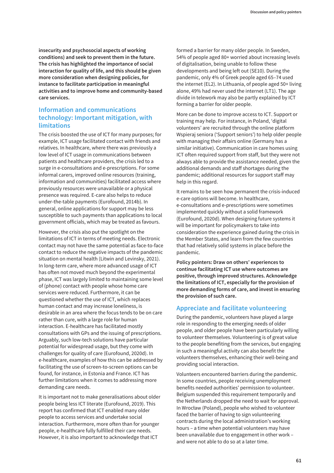**insecurity and psychosocial aspects of working conditions) and seek to prevent them in the future. The crisis has highlighted the importance of social interaction for quality of life, and this should be given more consideration when designing policies, for instance to facilitate participation in meaningful activities and to improve home and community-based care services.**

# **Information and communications technology: Important mitigation, with limitations**

The crisis boosted the use of ICT for many purposes; for example, ICT usage facilitated contact with friends and relatives. In healthcare, where there was previously a low level of ICT usage in communications between patients and healthcare providers, the crisis led to a surge in e-consultations and e-prescriptions. For some informal carers, improved online resources (training, information and communities) facilitated access where previously resources were unavailable or a physical presence was required. E-care also helps to reduce under-the-table payments (Eurofound, 2014b). In general, online applications for support may be less susceptible to such payments than applications to local government officials, which may be treated as favours.

However, the crisis also put the spotlight on the limitations of ICT in terms of meeting needs. Electronic contact may not have the same potential as face-to-face contact to reduce the negative impacts of the pandemic situation on mental health (Litwin and Levinsky, 2021). In long-term care, where more advanced usage of ICT has often not moved much beyond the experimental phase, ICT was largely limited to maintaining some level of (phone) contact with people whose home care services were reduced. Furthermore, it can be questioned whether the use of ICT, which replaces human contact and may increase loneliness, is desirable in an area where the focus tends to be on care rather than cure, with a large role for human interaction. E-healthcare has facilitated mostly consultations with GPs and the issuing of prescriptions. Arguably, such low-tech solutions have particular potential for widespread usage, but they come with challenges for quality of care (Eurofound, 2020d). In e-healthcare, examples of how this can be addressed by facilitating the use of screen-to-screen options can be found, for instance, in Estonia and France. ICT has further limitations when it comes to addressing more demanding care needs.

It is important not to make generalisations about older people being less ICT literate (Eurofound, 2019). This report has confirmed that ICT enabled many older people to access services and undertake social interaction. Furthermore, more often than for younger people, e-healthcare fully fulfilled their care needs. However, it is also important to acknowledge that ICT

formed a barrier for many older people. In Sweden, 54% of people aged 80+ worried about increasing levels of digitalisation, being unable to follow these developments and being left out (SE10). During the pandemic, only 4% of Greek people aged 65–74 used the internet (EL2). In Lithuania, of people aged 50+ living alone, 49% had never used the internet (LT1). The age divide in telework may also be partly explained by ICT forming a barrier for older people.

More can be done to improve access to ICT. Support or training may help. For instance, in Poland, 'digital volunteers' are recruited through the online platform Wspieraj seniora ('Support seniors') to help older people with managing their affairs online (Germany has a similar initiative). Communication in care homes using ICT often required support from staff, but they were not always able to provide the assistance needed, given the additional demands and staff shortages during the pandemic; additional resources for support staff may help in this regard.

It remains to be seen how permanent the crisis-induced e-care options will become. In healthcare, e-consultations and e-prescriptions were sometimes implemented quickly without a solid framework (Eurofound, 2020d). When designing future systems it will be important for policymakers to take into consideration the experience gained during the crisis in the Member States, and learn from the few countries that had relatively solid systems in place before the pandemic.

**Policy pointers: Draw on others' experiences to continue facilitating ICT use where outcomes are positive, through improved structures. Acknowledge the limitations of ICT, especially for the provision of more demanding forms of care, and invest in ensuring the provision of such care.**

### **Appreciate and facilitate volunteering**

During the pandemic, volunteers have played a large role in responding to the emerging needs of older people, and older people have been particularly willing to volunteer themselves. Volunteering is of great value to the people benefiting from the services, but engaging in such a meaningful activity can also benefit the volunteers themselves, enhancing their well-being and providing social interaction.

Volunteers encountered barriers during the pandemic. In some countries, people receiving unemployment benefits needed authorities' permission to volunteer. Belgium suspended this requirement temporarily and the Netherlands dropped the need to wait for approval. In Wrocław (Poland), people who wished to volunteer faced the barrier of having to sign volunteering contracts during the local administration's working hours – a time when potential volunteers may have been unavailable due to engagement in other work – and were not able to do so at a later time.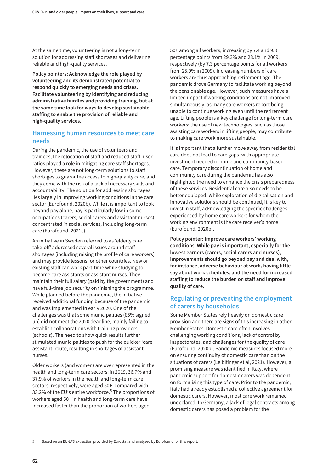At the same time, volunteering is not a long-term solution for addressing staff shortages and delivering reliable and high-quality services.

**Policy pointers: Acknowledge the role played by volunteering and its demonstrated potential to respond quickly to emerging needs and crises. Facilitate volunteering by identifying and reducing administrative hurdles and providing training, but at the same time look for ways to develop sustainable staffing to enable the provision of reliable and high-quality services.**

## **Harnessing human resources to meet care needs**

During the pandemic, the use of volunteers and trainees, the relocation of staff and reduced staff–user ratios played a role in mitigating care staff shortages. However, these are not long-term solutions to staff shortages to guarantee access to high-quality care, and they come with the risk of a lack of necessary skills and accountability. The solution for addressing shortages lies largely in improving working conditions in the care sector (Eurofound, 2020b). While it is important to look beyond pay alone, pay is particularly low in some occupations (carers, social carers and assistant nurses) concentrated in social services, including long-term care (Eurofound, 2021c).

An initiative in Sweden referred to as 'elderly care take-off' addressed several issues around staff shortages (including raising the profile of care workers) and may provide lessons for other countries. New or existing staff can work part-time while studying to become care assistants or assistant nurses. They maintain their full salary (paid by the government) and have full-time job security on finishing the programme. While planned before the pandemic, the initiative received additional funding because of the pandemic and was implemented in early 2020. One of the challenges was that some municipalities (85% signed up) did not meet the 2020 deadline, mainly failing to establish collaborations with training providers (schools). The need to show quick results further stimulated municipalities to push for the quicker 'care assistant' route, resulting in shortages of assistant nurses.

Older workers (and women) are overrepresented in the health and long-term care sectors: in 2019, 36.7% and 37.9% of workers in the health and long-term care sectors, respectively, were aged 50+, compared with 33.2% of the EU's entire workforce.<sup>5</sup> The proportions of workers aged 50+ in health and long-term care have increased faster than the proportion of workers aged

50+ among all workers, increasing by 7.4 and 9.8 percentage points from 29.3% and 28.1% in 2009, respectively (by 7.3 percentage points for all workers from 25.9% in 2009). Increasing numbers of care workers are thus approaching retirement age. The pandemic drove Germany to facilitate working beyond the pensionable age. However, such measures have a limited impact if working conditions are not improved simultaneously, as many care workers report being unable to continue working even until the retirement age. Lifting people is a key challenge for long-term care workers; the use of new technologies, such as those assisting care workers in lifting people, may contribute to making care work more sustainable.

It is important that a further move away from residential care does not lead to care gaps, with appropriate investment needed in home and community-based care. Temporary discontinuation of home and community care during the pandemic has also highlighted the need to enhance the crisis preparedness of these services. Residential care also needs to be better equipped. While exploration of digitalisation and innovative solutions should be continued, it is key to invest in staff, acknowledging the specific challenges experienced by home care workers for whom the working environment is the care receiver's home (Eurofound, 2020b).

**Policy pointer: Improve care workers' working conditions. While pay is important, especially for the lowest earners (carers, social carers and nurses), improvements should go beyond pay and deal with, for instance, adverse behaviour at work, having little say about work schedules, and the need for increased staffing to reduce the burden on staff and improve quality of care.**

## **Regulating or preventing the employment of carers by households**

Some Member States rely heavily on domestic care provision and there are signs of this increasing in other Member States. Domestic care often involves challenging working conditions, lack of control by inspectorates, and challenges for the quality of care (Eurofound, 2020b). Pandemic measures focused more on ensuring continuity of domestic care than on the situations of carers (Leiblfinger et al, 2021). However, a promising measure was identified in Italy, where pandemic support for domestic carers was dependent on formalising this type of care. Prior to the pandemic, Italy had already established a collective agreement for domestic carers. However, most care work remained undeclared. In Germany, a lack of legal contracts among domestic carers has posed a problem for the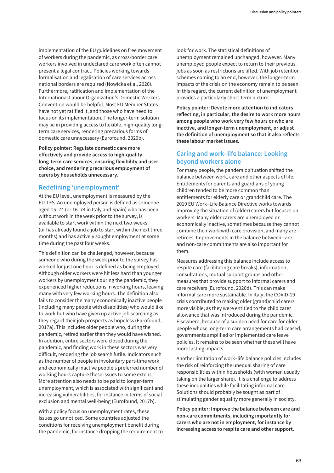implementation of the EU guidelines on free movement of workers during the pandemic, as cross-border care workers involved in undeclared care work often cannot present a legal contract. Policies working towards formalisation and legalisation of care services across national borders are required (Nowicka et al, 2020). Furthermore, ratification and implementation of the International Labour Organization's Domestic Workers Convention would be helpful. Most EU Member States have not yet ratified it, and those who have need to focus on its implementation. The longer-term solution may lie in providing access to flexible, high-quality longterm care services, rendering precarious forms of domestic care unnecessary (Eurofound, 2020b).

**Policy pointer: Regulate domestic care more effectively and provide access to high-quality long-term care services, ensuring flexibility and user choice, and rendering precarious employment of carers by households unnecessary.**

## **Redefining 'unemployment'**

At the EU level, unemployment is measured by the EU-LFS. An unemployed person is defined as someone aged 15–74 (or 16–74 in Italy and Spain) who has been without work in the week prior to the survey, is available to start work within the next two weeks (or has already found a job to start within the next three months) and has actively sought employment at some time during the past four weeks.

This definition can be challenged, however, because someone who during the week prior to the survey has worked for just one hour is defined as being employed. Although older workers were hit less hard than younger workers by unemployment during the pandemic, they experienced higher reductions in working hours, leaving many with very few working hours. The definition also fails to consider the many economically inactive people (including many people with disabilities) who would like to work but who have given up active job searching as they regard their job prospects as hopeless (Eurofound, 2017a). This includes older people who, during the pandemic, retired earlier than they would have wished. In addition, entire sectors were closed during the pandemic, and finding work in these sectors was very difficult, rendering the job search futile. Indicators such as the number of people in involuntary part-time work and economically inactive people's preferred number of working hours capture these issues to some extent. More attention also needs to be paid to longer-term unemployment, which is associated with significant and increasing vulnerabilities, for instance in terms of social exclusion and mental well-being (Eurofound, 2017b).

With a policy focus on unemployment rates, these issues go unnoticed. Some countries adjusted the conditions for receiving unemployment benefit during the pandemic, for instance dropping the requirement to look for work. The statistical definitions of unemployment remained unchanged, however. Many unemployed people expect to return to their previous jobs as soon as restrictions are lifted. With job retention schemes coming to an end, however, the longer-term impacts of the crisis on the economy remain to be seen. In this regard, the current definition of unemployment provides a particularly short-term picture.

**Policy pointer: Devote more attention to indicators reflecting, in particular, the desire to work more hours among people who work very few hours or who are inactive, and longer-term unemployment, or adjust the definition of unemployment so that it also reflects these labour market issues.**

# **Caring and work–life balance: Looking beyond workers alone**

For many people, the pandemic situation shifted the balance between work, care and other aspects of life. Entitlements for parents and guardians of young children tended to be more common than entitlements for elderly care or grandchild care. The 2019 EU Work–Life Balance Directive works towards improving the situation of (older) carers but focuses on workers. Many older carers are unemployed or economically inactive, sometimes because they cannot combine their work with care provision, and many are retirees. Improvements in the balance between care and non-care commitments are also important for them.

Measures addressing this balance include access to respite care (facilitating care breaks), information, consultations, mutual support groups and other measures that provide support to informal carers and care receivers (Eurofound, 2020d). This can make informal care more sustainable. In Italy, the COVID-19 crisis contributed to making older (grand)child carers more visible, as they were entitled to the child carer allowance that was introduced during the pandemic. Elsewhere, because of a sudden need for care for older people whose long-term care arrangements had ceased, governments amplified or implemented care leave policies. It remains to be seen whether these will have more lasting impacts.

Another limitation of work–life balance policies includes the risk of reinforcing the unequal sharing of care responsibilities within households (with women usually taking on the larger share). It is a challenge to address these inequalities while facilitating informal care. Solutions should probably be sought as part of stimulating gender equality more generally in society.

**Policy pointer: Improve the balance between care and non-care commitments, including importantly for carers who are not in employment, for instance by increasing access to respite care and other support.**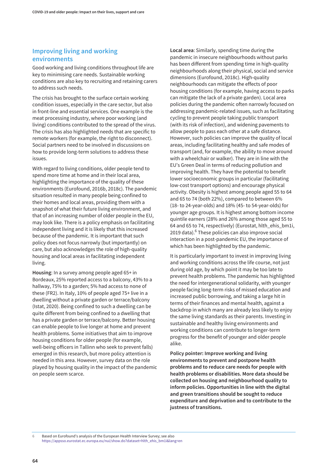### **Improving living and working environments**

Good working and living conditions throughout life are key to minimising care needs. Sustainable working conditions are also key to recruiting and retaining carers to address such needs.

The crisis has brought to the surface certain working condition issues, especially in the care sector, but also in front-line and essential services. One example is the meat processing industry, where poor working (and living) conditions contributed to the spread of the virus. The crisis has also highlighted needs that are specific to remote workers (for example, the right to disconnect). Social partners need to be involved in discussions on how to provide long-term solutions to address these issues.

With regard to living conditions, older people tend to spend more time at home and in their local area, highlighting the importance of the quality of these environments (Eurofound, 2016b, 2018c). The pandemic situation resulted in many people being confined to their homes and local areas, providing them with a snapshot of what their future living environment, and that of an increasing number of older people in the EU, may look like. There is a policy emphasis on facilitating independent living and it is likely that this increased because of the pandemic. It is important that such policy does not focus narrowly (but importantly) on care, but also acknowledges the role of high-quality housing and local areas in facilitating independent living.

**Housing**: In a survey among people aged 65+ in Bordeaux, 25% reported access to a balcony, 43% to a hallway, 75% to a garden; 5% had access to none of these (FR2). In Italy, 10% of people aged 75+ live in a dwelling without a private garden or terrace/balcony (Istat, 2020). Being confined to such a dwelling can be quite different from being confined to a dwelling that has a private garden or terrace/balcony. Better housing can enable people to live longer at home and prevent health problems. Some initiatives that aim to improve housing conditions for older people (for example, well-being officers in Tallinn who seek to prevent falls) emerged in this research, but more policy attention is needed in this area. However, survey data on the role played by housing quality in the impact of the pandemic on people seem scarce.

**Local area**: Similarly, spending time during the pandemic in insecure neighbourhoods without parks has been different from spending time in high-quality neighbourhoods along their physical, social and service dimensions (Eurofound, 2018c). High-quality neighbourhoods can mitigate the effects of poor housing conditions (for example, having access to parks can mitigate the lack of a private garden). Local area policies during the pandemic often narrowly focused on addressing pandemic-related issues, such as facilitating cycling to prevent people taking public transport (with its risk of infection), and widening pavements to allow people to pass each other at a safe distance. However, such policies can improve the quality of local areas, including facilitating healthy and safe modes of transport (and, for example, the ability to move around with a wheelchair or walker). They are in line with the EU's Green Deal in terms of reducing pollution and improving health. They have the potential to benefit lower socioeconomic groups in particular (facilitating low-cost transport options) and encourage physical activity. Obesity is highest among people aged 55 to 64 and 65 to 74 (both 22%), compared to between 6% (18- to 24-year-olds) and 18% (45- to 54-year-olds) for younger age groups. It is highest among bottom income quintile earners (28% and 26% among those aged 55 to 64 and 65 to 74, respectively) (Eurostat, hlth\_ehis\_bm1i, 2019 data).<sup>6</sup> These policies can also improve social interaction in a post-pandemic EU, the importance of which has been highlighted by the pandemic.

It is particularly important to invest in improving living and working conditions across the life course, not just during old age, by which point it may be too late to prevent health problems. The pandemic has highlighted the need for intergenerational solidarity, with younger people facing long-term risks of missed education and increased public borrowing, and taking a large hit in terms of their finances and mental health, against a backdrop in which many are already less likely to enjoy the same living standards as their parents. Investing in sustainable and healthy living environments and working conditions can contribute to longer-term progress for the benefit of younger and older people alike.

**Policy pointer: Improve working and living environments to prevent and postpone health problems and to reduce care needs for people with health problems or disabilities. More data should be collected on housing and neighbourhood quality to inform policies. Opportunities in line with the digital and green transitions should be sought to reduce expenditure and deprivation and to contribute to the justness of transitions.**

**6** Based on Eurofound's analysis of the European Health Interview Survey; see also [https://appsso.eurostat.ec.europa.eu/nui/show.do?dataset=hlth\\_ehis\\_bm1i&lang=en](https://appsso.eurostat.ec.europa.eu/nui/show.do?dataset=hlth_ehis_bm1i&lang=en)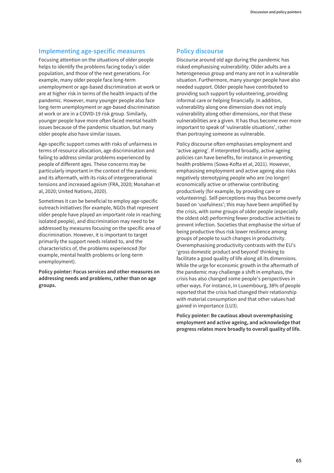### **Implementing age-specific measures**

Focusing attention on the situations of older people helps to identify the problems facing today's older population, and those of the next generations. For example, many older people face long-term unemployment or age-based discrimination at work or are at higher risk in terms of the health impacts of the pandemic. However, many younger people also face long-term unemployment or age-based discrimination at work or are in a COVID-19 risk group. Similarly, younger people have more often faced mental health issues because of the pandemic situation, but many older people also have similar issues.

Age-specific support comes with risks of unfairness in terms of resource allocation, age discrimination and failing to address similar problems experienced by people of different ages. These concerns may be particularly important in the context of the pandemic and its aftermath, with its risks of intergenerational tensions and increased ageism (FRA, 2020; Monahan et al, 2020; United Nations, 2020).

Sometimes it can be beneficial to employ age-specific outreach initiatives (for example, NGOs that represent older people have played an important role in reaching isolated people), and discrimination may need to be addressed by measures focusing on the specific area of discrimination. However, it is important to target primarily the support needs related to, and the characteristics of, the problems experienced (for example, mental health problems or long-term unemployment).

**Policy pointer: Focus services and other measures on addressing needs and problems, rather than on age groups.**

### **Policy discourse**

Discourse around old age during the pandemic has risked emphasising vulnerability. Older adults are a heterogeneous group and many are not in a vulnerable situation. Furthermore, many younger people have also needed support. Older people have contributed to providing such support by volunteering, providing informal care or helping financially. In addition, vulnerability along one dimension does not imply vulnerability along other dimensions, nor that these vulnerabilities are a given. It has thus become ever more important to speak of 'vulnerable situations', rather than portraying someone as vulnerable.

Policy discourse often emphasises employment and 'active ageing'. If interpreted broadly, active ageing policies can have benefits, for instance in preventing health problems (Sowa-Kofta et al, 2021). However, emphasising employment and active ageing also risks negatively stereotyping people who are (no longer) economically active or otherwise contributing productively (for example, by providing care or volunteering). Self-perceptions may thus become overly based on 'usefulness'; this may have been amplified by the crisis, with some groups of older people (especially the oldest old) performing fewer productive activities to prevent infection. Societies that emphasise the virtue of being productive thus risk lower resilience among groups of people to such changes in productivity. Overemphasising productivity contrasts with the EU's 'gross domestic product and beyond' thinking to facilitate a good quality of life along all its dimensions. While the urge for economic growth in the aftermath of the pandemic may challenge a shift in emphasis, the crisis has also changed some people's perspectives in other ways. For instance, in Luxembourg, 38% of people reported that the crisis had changed their relationship with material consumption and that other values had gained in importance (LU3).

**Policy pointer: Be cautious about overemphasising employment and active ageing, and acknowledge that progress relates more broadly to overall quality of life.**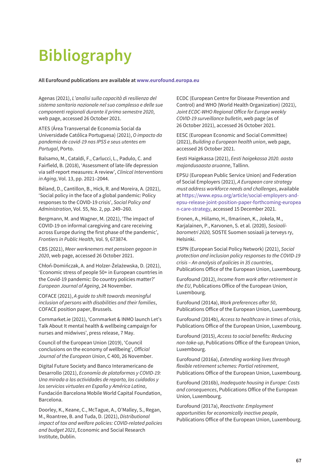# **Bibliography**

#### **All Eurofound publications are available at www.eurofound.europa.eu**

Agenas (2021), *L'analisi sulla capacità di resilienza del sistema sanitario nazionale nel suo complesso e delle sue componenti regionali durante il primo semestre 2020*, web page, accessed 26 October 2021.

ATES (Área Transversal de Economia Social da Universidade Católica Portuguesa) (2021), *O impacto da pandemia de covid-19 nas IPSS e seus utentes em Portugal*, Porto.

Balsamo, M., Cataldi, F., Carlucci, L., Padulo, C. and Fairfield, B. (2018), 'Assessment of late-life depression via self-report measures: A review', *Clinical Interventions in Aging*, Vol. 13, pp. 2021–2044.

Béland, D., Cantillon, B., Hick, R. and Moreira, A. (2021), 'Social policy in the face of a global pandemic: Policy responses to the COVID-19 crisis', *Social Policy and Administration*, Vol. 55, No. 2, pp. 249–260.

Bergmann, M. and Wagner, M. (2021), 'The impact of COVID-19 on informal caregiving and care receiving across Europe during the first phase of the pandemic', *Frontiers in Public Health*, Vol. 9, 673874.

CBS (2021), *Meer werknemers met pensioen gegaan in 2020*, web page, accessed 26 October 2021.

Chłoń-Domińczak, A. and Holzer-Żelażewska, D. (2021), 'Economic stress of people 50+ in European countries in the Covid-19 pandemic: Do country policies matter?' *European Journal of Ageing*, 24 November.

COFACE (2021), *A guide to shift towards meaningful inclusion of persons with disabilities and their families*, COFACE position paper, Brussels.

Cornmarket.ie (2021), 'Cornmarket & INMO launch Let's Talk About It mental health & wellbeing campaign for nurses and midwives', press release, 7 May.

Council of the European Union (2019), 'Council conclusions on the economy of wellbeing', *Official Journal of the European Union*, C 400, 26 November.

Digital Future Society and Banco Interamericano de Desarrollo (2021), *Economía de plataformas y COVID-19: Una mirada a las actividades de reparto, los cuidados y los servicios virtuales en España y América Latina*, Fundación Barcelona Mobile World Capital Foundation, Barcelona.

Doorley, K., Keane, C., McTague, A., O'Malley, S., Regan, M., Roantree, B. and Tuda, D. (2021), *Distributional impact of tax and welfare policies: COVID-related policies and budget 2021*, Economic and Social Research Institute, Dublin.

ECDC (European Centre for Disease Prevention and Control) and WHO (World Health Organization) (2021), *Joint ECDC-WHO Regional Office for Europe weekly COVID-19 surveillance bulletin*, web page (as of 26 October 2021), accessed 26 October 2021.

EESC (European Economic and Social Committee) (2021), *Building a European health union*, web page, accessed 26 October 2021.

Eesti Haigekassa (2021), *Eesti haigekassa 2020. aasta majandusaasta aruanne*, Tallinn.

EPSU (European Public Service Union) and Federation of Social Employers (2021), *A European care strategy must address workforce needs and challenges*, available at https://www.epsu.org/article/social-employers-and[epsu-release-joint-position-paper-forthcoming-europea](https://www.epsu.org/article/social-employers-and-epsu-release-joint-position-paper-forthcoming-european-care-strategy) n-care-strategy, accessed 15 December 2021.

Eronen, A., Hiilamo, H., Ilmarinen, K., Jokela, M., Karjalainen, P., Karvonen, S. et al. (2020), *Sosiaalibarometri 2020,* SOSTE Suomen sosiaali ja terveys ry, Helsinki.

ESPN (European Social Policy Network) (2021), *Social protection and inclusion policy responses to the COVID-19 crisis – An analysis of policies in 35 countries*, Publications Office of the European Union, Luxembourg.

Eurofound (2012), *Income from work after retirement in the EU*, Publications Office of the European Union, Luxembourg.

Eurofound (2014a), *Work preferences after 50*, Publications Office of the European Union, Luxembourg.

Eurofound (2014b), *Access to healthcare in times of crisis*, Publications Office of the European Union, Luxembourg.

Eurofound (2015), *Access to social benefits: Reducing non-take-up*, Publications Office of the European Union, Luxembourg.

Eurofound (2016a), *Extending working lives through flexible retirement schemes: Partial retirement*, Publications Office of the European Union, Luxembourg.

Eurofound (2016b), *Inadequate housing in Europe: Costs and consequences*, Publications Office of the European Union, Luxembourg.

Eurofound (2017a), *Reactivate: Employment opportunities for economically inactive people*, Publications Office of the European Union, Luxembourg.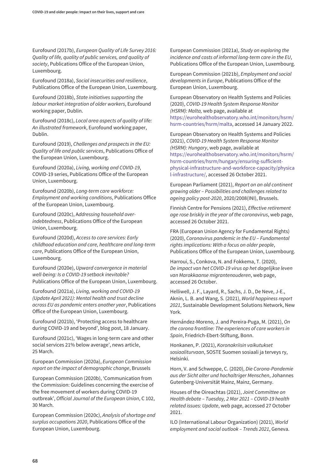Eurofound (2017b), *European Quality of Life Survey 2016: Quality of life, quality of public services, and quality of society*, Publications Office of the European Union, Luxembourg.

Eurofound (2018a), *Social insecurities and resilience*, Publications Office of the European Union, Luxembourg.

Eurofound (2018b), *State initiatives supporting the labour market integration of older workers*, Eurofound working paper, Dublin.

Eurofound (2018c), *Local area aspects of quality of life: An illustrated framework*, Eurofound working paper, Dublin.

Eurofound (2019), *Challenges and prospects in the EU: Quality of life and public services*, Publications Office of the European Union, Luxembourg.

Eurofound (2020a), *Living, working and COVID-19*, COVID-19 series, Publications Office of the European Union, Luxembourg.

Eurofound (2020b), *Long-term care workforce: Employment and working conditions*, Publications Office of the European Union, Luxembourg.

Eurofound (2020c), A*ddressing household overindebtedness*, Publications Office of the European Union, Luxembourg.

Eurofound (2020d), *Access to care services: Early childhood education and care, healthcare and long-term care*, Publications Office of the European Union, Luxembourg.

Eurofound (2020e), *Upward convergence in material well-being: Is a COVID-19 setback inevitable?* Publications Office of the European Union, Luxembourg.

Eurofound (2021a), *Living, working and COVID-19 (Update April 2021): Mental health and trust decline across EU as pandemic enters another year*, Publications Office of the European Union, Luxembourg.

Eurofound (2021b), 'Protecting access to healthcare during COVID-19 and beyond', blog post, 18 January.

Eurofound (2021c), 'Wages in long-term care and other social services 21% below average', news article, 25 March.

European Commission (2020a), *European Commission report on the impact of demographic change*, Brussels

European Commission (2020b), 'Communication from the Commission: Guidelines concerning the exercise of the free movement of workers during COVID-19 outbreak', *Official Journal of the European Union*, C 102, 30 March.

European Commission (2020c), *Analysis of shortage and surplus occupations 2020*, Publications Office of the European Union, Luxembourg.

European Commission (2021a), *Study on exploring the incidence and costs of informal long-term care in the EU*, Publications Office of the European Union, Luxembourg.

European Commission (2021b), *Employment and social developments in Europe*, Publications Office of the European Union, Luxembourg.

European Observatory on Health Systems and Policies (2020), *COVID-19 Health System Response Monitor (HSRM): Malta,* web page, available at [https://eurohealthobservatory.who.int/monitors/hsrm/](https://eurohealthobservatory.who.int/monitors/hsrm/hsrm-countries/hsrm/malta) hsrm-countries/hsrm/malta, accessed 14 January 2022.

European Observatory on Health Systems and Policies (2021), *COVID-19 Health System Response Monitor (HSRM): Hungary*, web page, available at https://eurohealthobservatory.who.int/monitors/hsrm/ hsrm-countries/hsrm/hungary/ensuring-sufficient[physical-infrastructure-and-workforce-capacity/physica](https://eurohealthobservatory.who.int/monitors/hsrm/hsrm-countries/hsrm/hungary/ensuring-sufficient-physical-infrastructure-and-workforce-capacity/physical-infrastructure/) l-infrastructure/, accessed 26 October 2021.

European Parliament (2021), *Report on an old continent growing older – Possibilities and challenges related to ageing policy post-2020*, 2020/2008(INI), Brussels.

Finnish Centre for Pensions (2021), *Effective retirement age rose briskly in the year of the coronavirus*, web page, accessed 26 October 2021.

FRA (European Union Agency for Fundamental Rights) (2020), *Coronavirus pandemic in the EU – Fundamental rights implications: With a focus on older people*, Publications Office of the European Union, Luxembourg.

Harroui, S., Conkova, N. and Fokkema, T. (2020), *De impact van het COVID-19 virus op het dagelijkse leven van Marokkaanse migrantenouderen*, web page, accessed 26 October.

Helliwell, J. F., Layard, R., Sachs, J. D., De Neve, J-E., Aknin, L. B. and Wang, S. (2021), *World happiness report 2021*, Sustainable Development Solutions Network, New York.

Hernández-Moreno, J. and Pereira-Puga, M. (2021), *On the corona frontline: The experiences of care workers in Spain*, Friedrich-Ebert-Stiftung, Bonn.

Honkanen, P. (2021), *Koronakriisin vaikutukset sosiaaliturvaan*, SOSTE Suomen sosiaali ja terveys ry, Helsinki.

Horn, V. and Schweppe, C. (2020), *Die Corona-Pandemie aus der Sicht alter und hochaltriger Menschen*, Johannes Gutenberg-Universität Mainz, Mainz, Germany.

Houses of the Oireachtas (2021), *Joint Committee on Health debate – Tuesday, 2 Mar 2021 – COVID-19 health related issues: Update*, web page, accessed 27 October 2021.

ILO (International Labour Organization) (2021), *World employment and social outlook – Trends 2021*, Geneva.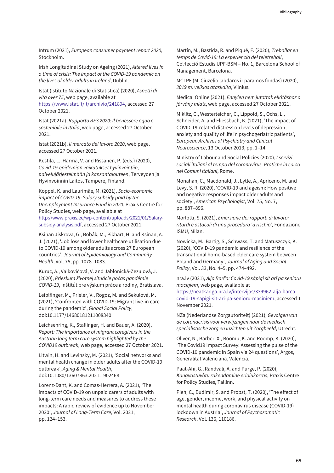Intrum (2021), *European consumer payment report 2020*, Stockholm.

Irish Longitudinal Study on Ageing (2021), *Altered lives in a time of crisis: The impact of the COVID-19 pandemic on the lives of older adults in Ireland*, Dublin.

Istat (Istituto Nazionale di Statistica) (2020), *Aspetti di vita over 75*, web page, available at [https://www.istat.it/it/archivio/241894, ac](https://www.istat.it/it/archivio/241894)cessed 27 October 2021.

Istat (2021a), *Rapporto BES 2020: Il benessere equo e sostenibile in Italia*, web page, accessed 27 October 2021.

Istat (2021b), *Il mercato del lavoro 2020*, web page, accessed 27 October 2021.

Kestilä, L., Härmä, V. and Rissanen, P. (eds.) (2020), *Covid-19-epidemian vaikutukset hyvinvointiin, palvelujärjestelmään ja kansantalouteen*, Terveyden ja Hyvinvoinnin Laitos, Tampere, Finland.

Koppel, K. and Laurimäe, M. (2021), *Socio-economic impact of COVID-19: Salary subsidy paid by the Unemployment Insurance Fund in 2020*, Praxis Centre for Policy Studies, web page, available at [http://www.praxis.ee/wp-content/uploads/2021/01/Salary](http://www.praxis.ee/wp-content/uploads/2021/01/Salary-subsidy-analysis.pdf)subsidy-analysis.pdf, accessed 27 October 2021.

Ksinan Jiskrova, G., Bobák, M., Pikhart, H. and Ksinan, A. J. (2021), 'Job loss and lower healthcare utilisation due to COVID-19 among older adults across 27 European countries', *Journal of Epidemiology and Community Health*, Vol. 75, pp. 1078–1083.

Kuruc, A., Valkovičová, V. and Jablonická-Zezulová, J. (2020), *Prieskum životnej situácie počas pandémie COVID-19*, Inštitút pre výskum práce a rodiny, Bratislava.

Leiblfinger, M., Prieler, V., Rogoz, M. and Sekulová, M. (2021), 'Confronted with COVID-19: Migrant live-in care during the pandemic', *Global Social Policy*, doi:10.1177/14680181211008340

Leichsenring, K., Staflinger, H. and Bauer, A. (2020), *Report: The importance of migrant caregivers in the Austrian long term care system highlighted by the COVID19 outbreak*, web page, accessed 27 October 2021.

Litwin, H. and Levinsky, M. (2021), 'Social networks and mental health change in older adults after the COVID-19 outbreak', *Aging & Mental Health*, doi:10.1080/13607863.2021.1902468

Lorenz-Dant, K. and Comas-Herrera, A. (2021), 'The impacts of COVID-19 on unpaid carers of adults with long-term care needs and measures to address these impacts: A rapid review of evidence up to November 2020', *Journal of Long-Term Care*, Vol. 2021, pp. 124–153.

Martín, M., Bastida, R. and Piqué, F. (2020), *Treballar en temps de Covid-19: La experiencia del teletreball*, Col·lecció Estudis UPF-BSM – No. 1, Barcelona School of Management, Barcelona.

MCLPF (M. Ciuzelio labdaros ir paramos fondas) (2020), *2019 m. veiklos ataskaita*, Vilnius.

Medical Online (2021), *Ennyien nem jutottak ellátáshoz a járvány miatt*, web page, accessed 27 October 2021.

Miklitz, C., Westerteicher, C., Lippold, S., Ochs, L., Schneider, A. and Fliessbach, K. (2021), 'The impact of COVID-19-related distress on levels of depression, anxiety and quality of life in psychogeriatric patients', *European Archives of Psychiatry and Clinical Neuroscience*, 13 October 2013, pp. 1–14.

Ministry of Labour and Social Policies (2020), *I servizi sociali italiani al tempo del coronavirus. Pratiche in corso nei Comuni italiani*, Rome.

Monahan, C., Macdonald, J., Lytle, A., Apriceno, M. and Levy, S. R. (2020), 'COVID-19 and ageism: How positive and negative responses impact older adults and society', *American Psychologist*, Vol. 75, No. 7, pp. 887–896.

Morlotti, S. (2021), *Emersione dei rapporti di lavoro: ritardi e ostacoli di una procedura 'a rischio',* Fondazione ISMU, Milan.

Nowicka, M., Bartig, S., Schwass, T. and Matuszczyk, K. (2020), 'COVID-19 pandemic and resilience of the transnational home-based elder care system between Poland and Germany', *Journal of Aging and Social Policy*, Vol. 33, No. 4–5, pp. 474–492.

nra.lv (2021), *Aija Barča: Covid-19 sāpīgi sit arī pa senioru maciņiem*, web page, available at https://neatkariga.nra.lv/intervijas/339962-aija-barca[covid-19-sapigi-sit-ari-pa-senioru-maciniem, accessed 1](https://neatkariga.nra.lv/intervijas/339962-aija-barca-covid-19-sapigi-sit-ari-pa-senioru-maciniem) November 2021.

NZa (Nederlandse Zorgautoriteit) (2021), *Gevolgen van de coronacrisis voor verwijzingen naar de medisch specialistische zorg en inzichten uit Zorgbeeld*, Utrecht.

Oliver, N., Barber, X., Roomp, K. and Roomp, K. (2020), 'The Covid19 Impact Survey: Assessing the pulse of the COVID-19 pandemic in Spain via 24 questions', Argos, Generalitat Valenciana, Valencia.

Paat-Ahi, G., Randväli, A. and Purge, P. (2020), *Kaugvastuvõtu rakendamine eriolukorras*, Praxis Centre for Policy Studies, Tallinn.

Pieh, C., Budimir, S. and Probst, T. (2020), 'The effect of age, gender, income, work, and physical activity on mental health during coronavirus disease (COVID-19) lockdown in Austria', *Journal of Psychosomatic Research*, Vol. 136, 110186.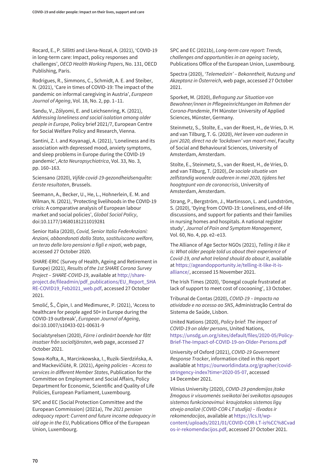Rocard, E., P. Sillitti and Llena-Nozal, A. (2021), 'COVID-19 in long-term care: Impact, policy responses and challenges', *OECD Health Working Papers*, No. 131, OECD Publishing, Paris.

Rodrigues, R., Simmons, C., Schmidt, A. E. and Steiber, N. (2021), 'Care in times of COVID-19: The impact of the pandemic on informal caregiving in Austria', *European Journal of Ageing*, Vol. 18, No. 2, pp. 1–11.

Sandu, V., Zólyomi, E. and Leichsenring, K. (2021), *Addressing loneliness and social isolation among older people in Europe*, Policy brief 2021/7, European Centre for Social Welfare Policy and Research, Vienna.

Santini, Z. I. and Koyanagi, A. (2021), 'Loneliness and its association with depressed mood, anxiety symptoms, and sleep problems in Europe during the COVID-19 pandemic', *Acta Neuropsychiatrica*, Vol. 33, No. 3, pp. 160–163.

Sciensano (2020), *Vijfde covid-19-gezondheidsenquête: Eerste resultaten*, Brussels.

Seemann, A., Becker, U., He, L., Hohnerlein, E. M. and Wilman, N. (2021), 'Protecting livelihoods in the COVID-19 crisis: A comparative analysis of European labour market and social policies', *Global Social Policy*, doi:10.1177/14680181211019281

Senior Italia (2020), *Covid, Senior Italia FederAnziani: Anziani, abbandonati dallo Stato, sostituiscono welfare, un terzo delle loro pensioni a figli e nipoti*, web page, accessed 27 October 2020.

SHARE-ERIC (Survey of Health, Ageing and Retirement in Europe) (2021), *Results of the 1st SHARE Corona Survey Project – SHARE-COVID-19*, available at http://share[project.de/fileadmin/pdf\\_publications/EU\\_Report\\_SHA](http://share-project.de/fileadmin/pdf_publications/EU_Report_SHARE-COVID19_Feb2021_web.pdf) RE-COVID19\_Feb2021\_web.pdf, accessed 27 October 2021.

Smolić, Š., Čipin, I. and Međimurec, P. (2021), 'Access to healthcare for people aged 50+ in Europe during the COVID-19 outbreak', *European Journal of Ageing*, doi:10.1007/s10433-021-00631-9

Socialstyrelsen (2020), *Färre i ordinärt boende har fått insatser från socialtjänsten*, web page, accessed 27 October 2021.

Sowa-Kofta, A., Marcinkowska, I., Ruzik-Sierdzińska, A. and Mackevičiūtė, R. (2021), *Ageing policies – Access to services in different Member States*, Publication for the Committee on Employment and Social Affairs, Policy Department for Economic, Scientific and Quality of Life Policies, European Parliament, Luxembourg.

SPC and EC (Social Protection Committee and the European Commission) (2021a), *The 2021 pension adequacy report: Current and future income adequacy in old age in the EU*, Publications Office of the European Union, Luxembourg.

SPC and EC (2021b), *Long-term care report: Trends, challenges and opportunities in an ageing society*, Publications Office of the European Union, Luxembourg.

Spectra (2020), *'Telemedizin' – Bekanntheit, Nutzung und Akzeptanz in Österreich*, web page, accessed 27 October 2021.

Sporket, M. (2020), *Befragung zur Situation von Bewohner/innen in Pflegeeinrichtungen im Rahmen der Corona-Pandemie*, FH Münster University of Applied Sciences, Münster, Germany.

Steinmetz, S., Stolte, E., van der Roest, H., de Vries, D. H. and van Tilburg, T. G. (2020), *Het leven van ouderen in juni 2020, direct na de 'lockdown' van maart-mei*, Faculty of Social and Behavioural Sciences, University of Amsterdam, Amsterdam.

Stolte, E., Steinmetz, S., van der Roest, H., de Vries, D. and van Tilburg, T. (2020), *De sociale situatie van zelfstandig wonende ouderen in mei 2020, tijdens het hoogtepunt van de coronacrisis*, University of Amsterdam, Amsterdam.

Strang, P., Bergström, J., Martinsson, L. and Lundström, S. (2020), 'Dying from COVID-19: Loneliness, end-of-life discussions, and support for patients and their families in nursing homes and hospitals. A national register study', *Journal of Pain and Symptom Management*, Vol. 60, No. 4, pp. e2–e13.

The Alliance of Age Sector NGOs (2021), *Telling it like it is: What older people told us about their experience of Covid-19, and what Ireland should do about it*, available [at https://ageandopportunity.ie/telling-it-like-it-is](https://ageandopportunity.ie/telling-it-like-it-is-alliance/)alliance/, accessed 15 November 2021.

The Irish Times (2020), 'Donegal couple frustrated at lack of support to meet cost of cocooning', 13 October.

Tribunal de Contas (2020), *COVID-19 – Impacto na atividade e no acesso ao SNS*, Administração Central do Sistema de Saúde, Lisbon.

United Nations (2020), *Policy brief: The impact of COVID-19 on older persons*, United Nations, [https://unsdg.un.org/sites/default/files/2020-05/Policy-](https://unsdg.un.org/sites/default/files/2020-05/Policy-Brief-The-Impact-of-COVID-19-on-Older-Persons.pdf)Brief-The-Impact-of-COVID-19-on-Older-Persons.pdf

University of Oxford (2021), *COVID-19 Government Response Tracker*, information cited in this report [available at https://ourworldindata.org/grapher/covid](https://ourworldindata.org/grapher/covid-stringency-index?time=2020-05-07)stringency-index?time=2020-05-07, accessed 14 December 2021.

Vilnius University (2020), *COVID-19 pandemijos įtaka žmogaus ir visuomenės sveikatai bei sveikatos apsaugos sistemos funkcionavimui: kraujotakos sistemos ligų atvejo analizė (COVID-COR-LT studija) – Išvados ir rekomendacijos*, available at https://lcs.lt/wp[content/uploads/2021/01/COVID-COR-LT-is%CC%8Cvad](https://lcs.lt/wp-content/uploads/2021/01/COVID-COR-LT-is%CC%8Cvados-ir-rekomendacijos.pdf) os-ir-rekomendacijos.pdf, accessed 27 October 2021.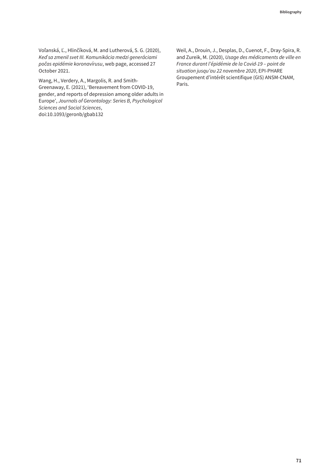Voľanská, Ľ., Hlinčíková, M. and Lutherová, S. G. (2020), *Keď sa zmenil svet III. Komunikácia medzi generáciami počas epidémie koronavírusu*, web page, accessed 27 October 2021.

Wang, H., Verdery, A., Margolis, R. and Smith-Greenaway, E. (2021), 'Bereavement from COVID-19, gender, and reports of depression among older adults in Europe', *Journals of Gerontology: Series B, Psychological Sciences and Social Sciences*, doi:10.1093/geronb/gbab132

Weil, A., Drouin, J., Desplas, D., Cuenot, F., Dray-Spira, R. and Zureik, M. (2020), *Usage des médicaments de ville en France durant l'épidémie de la Covid-19 – point de situation jusqu'au 22 novembre 2020*, EPI-PHARE Groupement d'intérêt scientifique (GIS) ANSM-CNAM, Paris.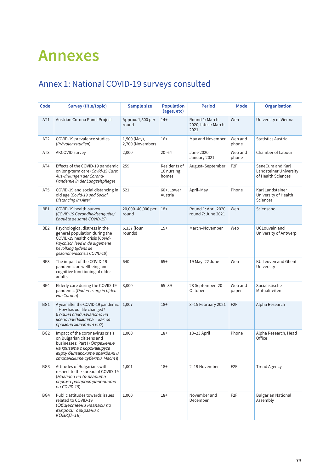# **Annexes**

# Annex 1: National COVID-19 surveys consulted

| Code            | Survey (title/topic)                                                                                                                                                                        | <b>Sample size</b>               | <b>Population</b><br>(ages, etc)    | <b>Period</b>                                 | Mode             | Organisation                                                      |
|-----------------|---------------------------------------------------------------------------------------------------------------------------------------------------------------------------------------------|----------------------------------|-------------------------------------|-----------------------------------------------|------------------|-------------------------------------------------------------------|
| AT1             | Austrian Corona Panel Project                                                                                                                                                               | Approx. 1,500 per<br>round       | $14+$                               | Round 1: March<br>2020; latest: March<br>2021 | Web              | University of Vienna                                              |
| AT <sub>2</sub> | COVID-19 prevalence studies<br>(Prävalenzstudien)                                                                                                                                           | 1,500 (May),<br>2,700 (November) | $16+$                               | May and November                              | Web and<br>phone | Statistics Austria                                                |
| AT <sub>3</sub> | AKCOVID survey                                                                                                                                                                              | 2,000                            | $20 - 64$                           | June 2020,<br>January 2021                    | Web and<br>phone | Chamber of Labour                                                 |
| AT4             | Effects of the COVID-19 pandemic<br>on long-term care (Covid-19 Care:<br>Auswirkungen der Corona-<br>Pandemie in der Langzeitpflege)                                                        | 259                              | Residents of<br>16 nursing<br>homes | August-September                              | F <sub>2</sub> F | SeneCura and Karl<br>Landsteiner University<br>of Health Sciences |
| AT5             | COVID-19 and social distancing in<br>old age (Covid-19 und Social<br>Distancing im Alter)                                                                                                   | 521                              | 60+, Lower<br>Austria               | April-May                                     | Phone            | Karl Landsteiner<br>University of Health<br><b>Sciences</b>       |
| BE1             | COVID-19 health-survey<br>(COVID-19 Gezondheidsenquête/<br>Enquête de santé COVID-19)                                                                                                       | 20,000-40,000 per<br>round       | $18+$                               | Round 1: April 2020;<br>round 7: June 2021    | Web              | Sciensano                                                         |
| BE <sub>2</sub> | Psychological distress in the<br>general population during the<br>COVID-19 health crisis (Covid-<br>Psychisch leed in de algemene<br>bevolking tijdens de<br>qezondheidscrisis COVID-19)    | 6,337 (four<br>rounds)           | $15+$                               | March-November                                | Web              | <b>UCLouvain and</b><br>University of Antwerp                     |
| BE3             | The impact of the COVID-19<br>pandemic on wellbeing and<br>cognitive functioning of older<br>adults                                                                                         | 640                              | $65+$                               | 19 May-22 June                                | Web              | KU Leuven and Ghent<br>University                                 |
| BE4             | Elderly care during the COVID-19<br>pandemic (Ouderenzorg in tijden<br>van Corona)                                                                                                          | 8,000                            | $65 - 89$                           | 28 September-20<br>October                    | Web and<br>paper | Socialistische<br>Mutualiteiten                                   |
| BG1             | A year after the COVID-19 pandemic<br>- How has our life changed?<br>(Година след началото на<br>ковид пандемията - как се<br>промени животът ни?)                                          | 1,007                            | $18+$                               | 8-15 February 2021                            | F <sub>2</sub> F | Alpha Research                                                    |
| BG <sub>2</sub> | Impact of the coronavirus crisis<br>on Bulgarian citizens and<br>businesses: Part I (Отражение<br>на кризата с коронавируса<br>върху българските граждани и<br>стопанските субекти. Част і) | 1,000                            | $18+$                               | 13-23 April                                   | Phone            | Alpha Research, Head<br>Office                                    |
| BG3             | Attitudes of Bulgarians with<br>respect to the spread of COVID-19<br>(Нагласи на българите<br>спрямо разпространението<br>на COVID-19)                                                      | 1,001                            | $18+$                               | 2-19 November                                 | F <sub>2</sub> F | <b>Trend Agency</b>                                               |
| BG4             | Public attitudes towards issues<br>related to COVID-19<br>(Обществени нагласи по<br>въпроси, свързани с<br>КОВИД-19)                                                                        | 1,000                            | $18+$                               | November and<br>December                      | F <sub>2</sub> F | <b>Bulgarian National</b><br>Assembly                             |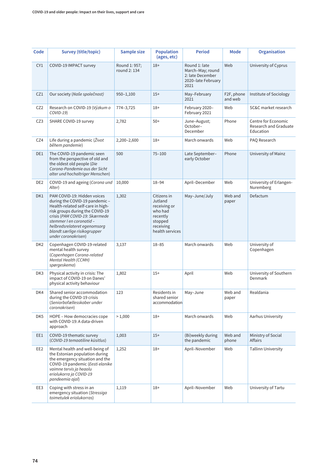| Code            | Survey (title/topic)                                                                                                                                                                                                                                                                       | Sample size                   | <b>Population</b><br>(ages, etc)                                                                         | <b>Period</b>                                                                       | Mode                               | Organisation                                              |
|-----------------|--------------------------------------------------------------------------------------------------------------------------------------------------------------------------------------------------------------------------------------------------------------------------------------------|-------------------------------|----------------------------------------------------------------------------------------------------------|-------------------------------------------------------------------------------------|------------------------------------|-----------------------------------------------------------|
| CY1             | COVID-19 IMPACT survey                                                                                                                                                                                                                                                                     | Round 1: 957;<br>round 2: 134 | $18+$                                                                                                    | Round 1: late<br>March-May; round<br>2: late December<br>2020-late February<br>2021 | Web                                | University of Cyprus                                      |
| CZ1             | Our society (Naše společnost)                                                                                                                                                                                                                                                              | $950 - 1,100$                 | $15+$                                                                                                    | May-February<br>2021                                                                | F <sub>2</sub> F, phone<br>and web | Institute of Sociology                                    |
| CZ <sub>2</sub> | Research on COVID-19 (Výzkum o<br>$COVID-19$                                                                                                                                                                                                                                               | 774-3,725                     | $18+$                                                                                                    | February 2020-<br>February 2021                                                     | Web                                | SC&C market research                                      |
| CZ3             | SHARE COVID-19 survey                                                                                                                                                                                                                                                                      | 2,782                         | $50+$                                                                                                    | June-August;<br>October-<br>December                                                | Phone                              | Centre for Economic<br>Research and Graduate<br>Education |
| CZ4             | Life during a pandemic (Život<br>během pandemie)                                                                                                                                                                                                                                           | 2,200-2,600                   | $18+$                                                                                                    | March onwards                                                                       | Web                                | PAQ Research                                              |
| DE1             | The COVID-19 pandemic seen<br>from the perspective of old and<br>the oldest old people (Die<br>Corona-Pandemie aus der Sicht<br>alter und hochaltriger Menschen)                                                                                                                           | 500                           | $75 - 100$                                                                                               | Late September-<br>early October                                                    | Phone                              | University of Mainz                                       |
| DE <sub>2</sub> | COVID-19 and ageing (Corona und<br>Alter)                                                                                                                                                                                                                                                  | 10,000                        | $18 - 94$                                                                                                | April-December                                                                      | Web                                | University of Erlangen-<br>Nuremberg                      |
| DK1             | PAM COVID-19: Hidden voices<br>during the COVID-19 pandemic -<br>Health-related self-care in high-<br>risk groups during the COVID-19<br>crisis (PAM COVID-19: Skærmede<br>stemmer I en coronatid -<br>helbredsrelateret egenomsorg<br>blandt særlige risikogrupper<br>under coronakrisen) | 1,302                         | Citizens in<br>Jutland<br>receiving or<br>who had<br>recently<br>stopped<br>receiving<br>health services | May-June/July                                                                       | Web and<br>paper                   | Defactum                                                  |
| DK <sub>2</sub> | Copenhagen COVID-19-related<br>mental health survey<br>(Copenhagen Corona-related<br>Mental Health (CCMH)<br>spørgeskema)                                                                                                                                                                  | 3,137                         | $18 - 85$                                                                                                | March onwards                                                                       | Web                                | University of<br>Copenhagen                               |
| DK <sub>3</sub> | Physical activity in crisis: The<br>impact of COVID-19 on Danes'<br>physical activity behaviour                                                                                                                                                                                            | 1,802                         | $15+$                                                                                                    | April                                                                               | Web                                | University of Southern<br>Denmark                         |
| DK4             | Shared senior accommodation<br>during the COVID-19 crisis<br>(Seniorbofællesskaber under<br>coronakrisen)                                                                                                                                                                                  | 123                           | Residents in<br>shared senior<br>accommodation                                                           | May-June                                                                            | Web and<br>paper                   | Realdania                                                 |
| DK <sub>5</sub> | HOPE - How democracies cope<br>with COVID-19: A data-driven<br>approach                                                                                                                                                                                                                    | >1,000                        | $18+$                                                                                                    | March onwards                                                                       | Web                                | Aarhus University                                         |
| EE1             | COVID-19 thematic survey<br>(COVID-19 temaatiline küsitlus)                                                                                                                                                                                                                                | 1,003                         | $15+$                                                                                                    | (Bi) weekly during<br>the pandemic                                                  | Web and<br>phone                   | Ministry of Social<br>Affairs                             |
| EE2             | Mental health and well-being of<br>the Estonian population during<br>the emergency situation and the<br>COVID-19 pandemic (Eesti elanike<br>vaimne tervis ja heaolu<br>eriolukorra ja COVID-19<br>pandeemia ajal)                                                                          | 1,252                         | $18+$                                                                                                    | April-November                                                                      | Web                                | <b>Tallinn University</b>                                 |
| EE3             | Coping with stress in an<br>emergency situation (Stressiga<br>toimetulek eriolukorras)                                                                                                                                                                                                     | 1,119                         | $18+$                                                                                                    | April-November                                                                      | Web                                | University of Tartu                                       |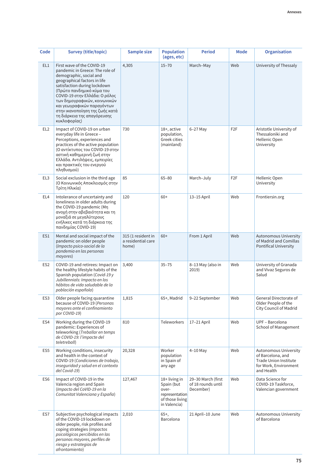| Code            | <b>Survey (title/topic)</b>                                                                                                                                                                                                                                                                                                                                           | Sample size                                       | <b>Population</b><br>(ages, etc)                                                          | <b>Period</b>                                         | Mode             | Organisation                                                                                               |
|-----------------|-----------------------------------------------------------------------------------------------------------------------------------------------------------------------------------------------------------------------------------------------------------------------------------------------------------------------------------------------------------------------|---------------------------------------------------|-------------------------------------------------------------------------------------------|-------------------------------------------------------|------------------|------------------------------------------------------------------------------------------------------------|
| EL1             | First wave of the COVID-19<br>pandemic in Greece: The role of<br>demographic, social and<br>geographical factors in life<br>satisfaction during lockdown<br>(Πρώτο πανδημικό κύμα του<br>COVID-19 στην Ελλάδα: Ο ρόλος<br>των δημογραφικών, κοινωνικών<br>και γεωγραφικών παραγόντων<br>στην ικανοποίηση της ζωής κατά<br>τη διάρκεια της απαγόρευσης<br>κυκλοφορίας) | 4,305                                             | $15 - 70$                                                                                 | March-May                                             | Web              | University of Thessaly                                                                                     |
| EL <sub>2</sub> | Impact of COVID-19 on urban<br>everyday life in Greece -<br>Perceptions, experiences and<br>practices of the active population<br>(Ο αντίκτυπος του COVID-19 στην<br>αστική καθημερινή ζωή στην<br>Ελλάδα. Αντιλήψεις, εμπειρίες<br>και πρακτικές του ενεργού<br>πληθυσμού)                                                                                           | 730                                               | 18+, active<br>population,<br>Greek cities<br>(mainland)                                  | $6-27$ May                                            | F <sub>2</sub> F | Aristotle University of<br>Thessaloniki and<br>Hellenic Open<br>University                                 |
| EL <sub>3</sub> | Social exclusion in the third age<br>(Ο Κοινωνικός Αποκλεισμός στην<br>Τρίτη Ηλικία)                                                                                                                                                                                                                                                                                  | 85                                                | $65 - 80$                                                                                 | March-July                                            | F <sub>2</sub> F | Hellenic Open<br>University                                                                                |
| EL <sub>4</sub> | Intolerance of uncertainty and<br>loneliness in older adults during<br>the COVID-19 pandemic (Mn<br>ανοχή στην αβεβαιότητα και τη<br>μοναξιά σε μεγαλύτερους<br>ενήλικες κατά τη διάρκεια της<br>πανδημίας COVID-19)                                                                                                                                                  | 120                                               | $60+$                                                                                     | 13-15 April                                           | Web              | Frontiersin.org                                                                                            |
| ES1             | Mental and social impact of the<br>pandemic on older people<br>(Impacto psico-social de la<br>pandemia en las personas<br>mayores)                                                                                                                                                                                                                                    | 315 (1 resident in<br>a residential care<br>home) | $60+$                                                                                     | From 1 April                                          | Web              | <b>Autonomous University</b><br>of Madrid and Comillas<br>Pontifical University                            |
| ES <sub>2</sub> | COVID-19 and retirees: Impact on<br>the healthy lifestyle habits of the<br>Spanish population (Covid-19 y<br>Jubillennials: Impacto en los<br>hábitos de vida saludable de la<br>población española)                                                                                                                                                                  | 3,400                                             | $35 - 75$                                                                                 | 8-13 May (also in<br>2019)                            | Web              | University of Granada<br>and Vivaz Seguros de<br>Salud                                                     |
| ES <sub>3</sub> | Older people facing quarantine<br>because of COVID-19 (Personas<br>mayores ante el confinamiento<br>por COVID-19)                                                                                                                                                                                                                                                     | 1,815                                             | 65+, Madrid                                                                               | 9-22 September                                        | Web              | General Directorate of<br>Older People of the<br>City Council of Madrid                                    |
| ES4             | Working during the COVID-19<br>pandemic: Experiences of<br>teleworking (Treballar en temps<br>de COVID-19: l'impacte del<br>teletreball)                                                                                                                                                                                                                              | 810                                               | <b>Teleworkers</b>                                                                        | 17-21 April                                           | Web              | UPF - Barcelona<br>School of Management                                                                    |
| ES <sub>5</sub> | Working conditions, insecurity<br>and health in the context of<br>COVID-19 (Condiciones de trabajo,<br>inseguridad y salud en el contexto<br>del Covid-19)                                                                                                                                                                                                            | 20,328                                            | Worker<br>population<br>in Spain of<br>any age                                            | $4-10$ May                                            | Web              | Autonomous University<br>of Barcelona, and<br>Trade Union Institute<br>for Work, Environment<br>and Health |
| ES <sub>6</sub> | Impact of COVID-19 in the<br>Valencia region and Spain<br>(Impacto del CoVID-19 en la<br>Comunitat Valenciana y España)                                                                                                                                                                                                                                               | 127,467                                           | 18+ living in<br>Spain (but<br>over-<br>representation<br>of those living<br>in Valencia) | 29-30 March (first<br>of 18 rounds until<br>December) | Web              | Data Science for<br>COVID-19 Taskforce,<br>Valencian government                                            |
| ES7             | Subjective psychological impacts<br>of the COVID-19 lockdown on<br>older people, risk profiles and<br>coping strategies (Impactos<br>psicológicos percibidos en las<br>personas mayores, perfiles de<br>riesgo y estrategias de<br>afrontamiento)                                                                                                                     | 2,010                                             | $65+,$<br>Barcelona                                                                       | 21 April-10 June                                      | Web              | Autonomous University<br>of Barcelona                                                                      |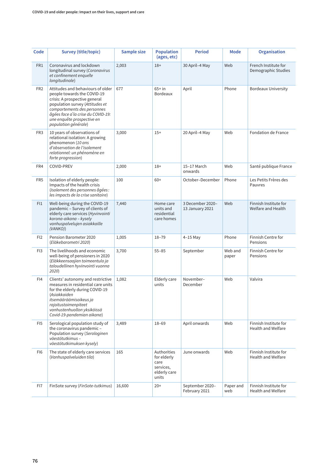| Code            | Survey (title/topic)                                                                                                                                                                                                                                            | Sample size | <b>Population</b><br>(ages, etc)                                         | <b>Period</b>                       | Mode             | <b>Organisation</b>                         |
|-----------------|-----------------------------------------------------------------------------------------------------------------------------------------------------------------------------------------------------------------------------------------------------------------|-------------|--------------------------------------------------------------------------|-------------------------------------|------------------|---------------------------------------------|
| FR1             | Coronavirus and lockdown<br>longitudinal survey (Coronavirus<br>et confinement enquete<br>longitudinale)                                                                                                                                                        | 2,003       | $18+$                                                                    | 30 April-4 May                      | Web              | French Institute for<br>Demographic Studies |
| FR <sub>2</sub> | Attitudes and behaviours of older<br>people towards the COVID-19<br>crisis: A prospective general<br>population survey (Attitudes et<br>comportements des personnes<br>âgées face a'la crise du COVID-19:<br>une enquête prospective en<br>population générale) | 677         | $65+$ in<br><b>Bordeaux</b>                                              | April                               | Phone            | <b>Bordeaux University</b>                  |
| FR <sub>3</sub> | 10 years of observations of<br>relational isolation: A growing<br>phenomenon (10 ans<br>d'observation de l'isolement<br>relationnel: un phénomène en<br>forte progression)                                                                                      | 3,000       | $15+$                                                                    | 20 April-4 May                      | Web              | Fondation de France                         |
| FR4             | COVID-PREV                                                                                                                                                                                                                                                      | 2,000       | $18+$                                                                    | 15-17 March<br>onwards              | Web              | Santé publique France                       |
| FR <sub>5</sub> | Isolation of elderly people:<br>Impacts of the health crisis<br>(Isolement des personnes âgées:<br>les impacts de la crise sanitaire)                                                                                                                           | 100         | $60+$                                                                    | October-December                    | Phone            | Les Petits Frères des<br>Pauvres            |
| F11             | Well-being during the COVID-19<br>pandemic - Survey of clients of<br>elderly care services (Hyvinvointi<br>korona-aikana - kysely<br>vanhuspalvelujen asiakkaille<br>(VANKO))                                                                                   | 7,440       | Home care<br>units and<br>residential<br>care homes                      | 3 December 2020-<br>13 January 2021 | Web              | Finnish Institute for<br>Welfare and Health |
| FI <sub>2</sub> | Pension Barometer 2020<br>(Eläkebarometri 2020)                                                                                                                                                                                                                 | 1,005       | $18 - 79$                                                                | $4-15$ May                          | Phone            | Finnish Centre for<br>Pensions              |
| FI3             | The livelihoods and economic<br>well-being of pensioners in 2020<br>(Eläkkeensaajien toimeentulo ja<br>taloudellinen hyvinvointi vuonna<br>2020)                                                                                                                | 3,700       | $55 - 85$                                                                | September                           | Web and<br>paper | Finnish Centre for<br>Pensions              |
| FI4             | Clients' autonomy and restrictive<br>measures in residential care units<br>for the elderly during COVID-19<br>(Asiakkaiden<br>itsemääräämisoikeus ja<br>rajoitustoimenpiteet<br>vanhustenhuollon yksiköissä<br>Covid-19-pandemian aikana)                       | 1,082       | Elderly care<br>units                                                    | November-<br>December               | Web              | Valvira                                     |
| FI <sub>5</sub> | Serological population study of<br>the coronavirus pandemic -<br>Population survey (Serologinen<br>väestötutkimus -<br>väestötutkimuksen kysely)                                                                                                                | 3,489       | $18 - 69$                                                                | April onwards                       | Web              | Finnish Institute for<br>Health and Welfare |
| FI <sub>6</sub> | The state of elderly care services<br>(Vanhuspalveluiden tila)                                                                                                                                                                                                  | 165         | Authorities<br>for elderly<br>care<br>services,<br>elderly care<br>units | June onwards                        | Web              | Finnish Institute for<br>Health and Welfare |
| FI7             | FinSote survey (FinSote-tutkimus)                                                                                                                                                                                                                               | 16,600      | $20+$                                                                    | September 2020-<br>February 2021    | Paper and<br>web | Finnish Institute for<br>Health and Welfare |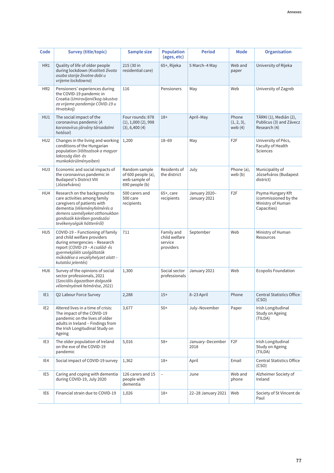| Code            | Survey (title/topic)                                                                                                                                                                                                         | Sample size                                                            | <b>Population</b><br>(ages, etc)                    | <b>Period</b>                 | Mode                                | Organisation                                                                  |
|-----------------|------------------------------------------------------------------------------------------------------------------------------------------------------------------------------------------------------------------------------|------------------------------------------------------------------------|-----------------------------------------------------|-------------------------------|-------------------------------------|-------------------------------------------------------------------------------|
| HR1             | Quality of life of older people<br>during lockdown (Kvaliteti života<br>osoba starije životne dobi u<br>vrijeme lockdowna)                                                                                                   | 215 (30 in<br>residential care)                                        | 65+, Rijeka                                         | 5 March-4 May                 | Web and<br>paper                    | University of Rijeka                                                          |
| HR <sub>2</sub> | Pensioners' experiences during<br>the COVID-19 pandemic in<br>Croatia (Umirovljeničkog iskustva<br>za vrijeme pandemije COVID-19 u<br>Hrvatskoj)                                                                             | 116                                                                    | Pensioners                                          | May                           | Web                                 | University of Zagreb                                                          |
| HU1             | The social impact of the<br>coronavirus pandemic (A<br>koronavírus-járvány társadalmi<br>hatásai)                                                                                                                            | Four rounds: 878<br>(1), 1,000(2), 998<br>(3), 6,400 (4)               | $18+$                                               | April-May                     | Phone<br>$(1, 2, 3)$ ,<br>web $(4)$ | TÁRKI (1), Medián (2),<br>Publicus (3) and Závecz<br>Research (4)             |
| HU <sub>2</sub> | Changes in the living and working<br>conditions of the Hungarian<br>population (Változások a magyar<br>lakosság élet-és<br>munkakörülményeiben)                                                                              | 1,200                                                                  | $18 - 69$                                           | May                           | F <sub>2</sub> F                    | University of Pécs,<br>Faculty of Health<br><b>Sciences</b>                   |
| HU <sub>3</sub> | Economic and social impacts of<br>the coronavirus pandemic in<br><b>Budapest's District VIII</b><br>(Józsefváros)                                                                                                            | Random sample<br>of 600 people (a),<br>web sample of<br>690 people (b) | Residents of<br>the district                        | July                          | Phone (a),<br>web(b)                | Municipality of<br>Józsefváros (Budapest<br>district)                         |
| HU4             | Research on the background to<br>care activities among family<br>caregivers of patients with<br>dementia (Véleményfelmérés a<br>demens személyeket otthonukban<br>gondozók körében gondozási<br>tevékenységük hátteréről)    | 500 carers and<br>500 care<br>recipients                               | $65+$ , care<br>recipients                          | January 2020-<br>January 2021 | F <sub>2F</sub>                     | Psyma Hungary Kft<br>(commissioned by the<br>Ministry of Human<br>Capacities) |
| HU <sub>5</sub> | COVID-19 - Functioning of family<br>and child welfare providers<br>during emergencies - Research<br>report (COVID-19 - A család- és<br>gyermekjóléti szolgáltatók<br>működése a veszélyhelyzet alatt -<br>kutatási jelentés) | 711                                                                    | Family and<br>child welfare<br>service<br>providers | September                     | Web                                 | Ministry of Human<br>Resources                                                |
| HU <sub>6</sub> | Survey of the opinions of social<br>sector professionals, 2021<br>(Szociális ágazatban dolgozók<br>véleményének felmérése, 2021)                                                                                             | 1,300                                                                  | Social sector<br>professionals                      | January 2021                  | Web                                 | Ecopolis Foundation                                                           |
| IE1             | <b>Q2 Labour Force Survey</b>                                                                                                                                                                                                | 2,288                                                                  | $15+$                                               | 8-23 April                    | Phone                               | <b>Central Statistics Office</b><br>(CSO)                                     |
| IE <sub>2</sub> | Altered lives in a time of crisis:<br>The impact of the COVID-19<br>pandemic on the lives of older<br>adults in Ireland - Findings from<br>the Irish Longitudinal Study on<br>Ageing                                         | 3,677                                                                  | $50+$                                               | July-November                 | Paper                               | Irish Longitudinal<br>Study on Ageing<br>(TILDA)                              |
| IE <sub>3</sub> | The older population of Ireland<br>on the eve of the COVID-19<br>pandemic                                                                                                                                                    | 5,016                                                                  | $58+$                                               | January-December<br>2018      | F <sub>2F</sub>                     | Irish Longitudinal<br>Study on Ageing<br>(TILDA)                              |
| IE4             | Social impact of COVID-19 survey                                                                                                                                                                                             | 1,362                                                                  | $18+$                                               | April                         | Email                               | <b>Central Statistics Office</b><br>(CSO)                                     |
| IE <sub>5</sub> | Caring and coping with dementia<br>during COVID-19, July 2020                                                                                                                                                                | 126 carers and 15<br>people with<br>dementia                           | $\equiv$                                            | June                          | Web and<br>phone                    | Alzheimer Society of<br>Ireland                                               |
| IE6             | Financial strain due to COVID-19                                                                                                                                                                                             | 1,026                                                                  | $18+$                                               | 22-28 January 2021            | Web                                 | Society of St Vincent de<br>Paul                                              |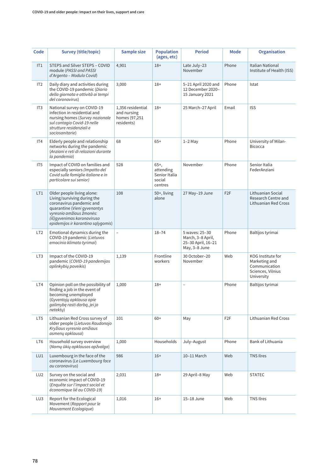| Code            | Survey (title/topic)                                                                                                                                                                                                   | Sample size                                                     | <b>Population</b><br>(ages, etc)                          | <b>Period</b>                                                              | Mode             | Organisation                                                                           |
|-----------------|------------------------------------------------------------------------------------------------------------------------------------------------------------------------------------------------------------------------|-----------------------------------------------------------------|-----------------------------------------------------------|----------------------------------------------------------------------------|------------------|----------------------------------------------------------------------------------------|
| IT1             | STEPS and Silver STEPS - COVID<br>module (PASSI and PASSI<br>d'Argento - Modulo Covid)                                                                                                                                 | 4,901                                                           | $18+$                                                     | Late July-23<br>November                                                   | Phone            | <b>Italian National</b><br>Institute of Health (ISS)                                   |
| IT <sub>2</sub> | Daily diary and activities during<br>the COVID-19 pandemic (Diario<br>della giornata e attività ai tempi<br>del coronavirus)                                                                                           | 3,000                                                           | $18+$                                                     | 5-21 April 2020 and<br>12 December 2020-<br>15 January 2021                | Phone            | Istat                                                                                  |
| IT <sub>3</sub> | National survey on COVID-19<br>infection in residential and<br>nursing homes (Survey nazionale<br>sul contagio Covid-19 nelle<br>strutture residenziali e<br>sociosanitarie)                                           | 1,356 residential<br>and nursing<br>homes (97,251<br>residents) | $18+$                                                     | 25 March-27 April                                                          | Email            | <b>ISS</b>                                                                             |
| IT4             | Elderly people and relationship<br>networks during the pandemic<br>(Anziani e reti di relazioni durante<br>la pandemia)                                                                                                | 68                                                              | $65+$                                                     | $1-2$ May                                                                  | Phone            | University of Milan-<br><b>Bicocca</b>                                                 |
| IT <sub>5</sub> | Impact of COVID on families and<br>especially seniors (Impatto del<br>Covid sulle famiglie italiane e in<br>particolare sui senior)                                                                                    | 528                                                             | $65+,$<br>attending<br>Senior Italia<br>social<br>centres | November                                                                   | Phone            | Senior Italia<br>FederAnziani                                                          |
| LT1             | Older people living alone:<br>Living/surviving during the<br>coronavirus pandemic and<br>quarantine (Vieni gyvenantys<br>vyresnio amžiaus žmonės:<br>(iš) gyvenimas koronaviruso<br>epidemijos ir karantino sąlygomis) | 108                                                             | 50+, living<br>alone                                      | 27 May-19 June                                                             | F <sub>2</sub> F | Lithuanian Social<br>Research Centre and<br>Lithuanian Red Cross                       |
| LT <sub>2</sub> | Emotional dynamics during the<br>COVID-19 pandemic (Lietuvos<br>emocinio klimato tyrimai)                                                                                                                              | $\overline{a}$                                                  | $18 - 74$                                                 | 5 waves: 25-30<br>March, 3-8 April,<br>25-30 April, 16-21<br>May, 3-8 June | Phone            | Baltijos tyrimai                                                                       |
| LT <sub>3</sub> | Impact of the COVID-19<br>pandemic (COVID-19 pandemijos<br>aplinkybių poveikis)                                                                                                                                        | 1,139                                                           | Frontline<br>workers                                      | 30 October-20<br>November                                                  | Web              | KOG Institute for<br>Marketing and<br>Communication<br>Sciences, Vilnius<br>University |
| LT4             | Opinion poll on the possibility of<br>finding a job in the event of<br>becoming unemployed<br>(Gyventojų apklausa apie<br>galimybę rasti darbą, jei jo<br>netektu)                                                     | 1,000                                                           | $18+$                                                     | $\overline{a}$                                                             | Phone            | Baltijos tyrimai                                                                       |
| LT5             | Lithuanian Red Cross survey of<br>older people (Lietuvos Raudonojo<br>Kryžiaus vyresnio amžiaus<br>asmenų apklausa)                                                                                                    | 101                                                             | $60+$                                                     | May                                                                        | F <sub>2</sub> F | Lithuanian Red Cross                                                                   |
| LT <sub>6</sub> | Household survey overview<br>(Namų ūkių apklausos apžvalga)                                                                                                                                                            | 1,000                                                           | Households                                                | July-August                                                                | Phone            | Bank of Lithuania                                                                      |
| LU1             | Luxembourg in the face of the<br>coronavirus (Le Luxembourg face<br>au coronavirus)                                                                                                                                    | 986                                                             | $16+$                                                     | 10-11 March                                                                | Web              | <b>TNS Ilres</b>                                                                       |
| LU <sub>2</sub> | Survey on the social and<br>economic impact of COVID-19<br>(Enquête sur l'impact social et<br>économique lié au COVID-19)                                                                                              | 2,031                                                           | $18+$                                                     | 29 April-8 May                                                             | Web              | <b>STATEC</b>                                                                          |
| LU3             | Report for the Ecological<br>Movement (Rapport pour le<br>Mouvement Ecologique)                                                                                                                                        | 1,016                                                           | $16+$                                                     | 15-18 June                                                                 | Web              | <b>TNS Ilres</b>                                                                       |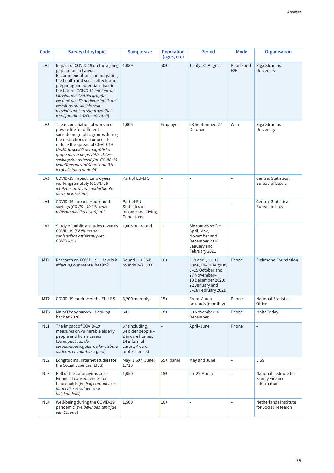| Code            | Survey (title/topic)                                                                                                                                                                                                                                                                                                                                                   | Sample size                                                                                               | <b>Population</b><br>(ages, etc) | <b>Period</b>                                                                                                                            | Mode                          | <b>Organisation</b>                                            |
|-----------------|------------------------------------------------------------------------------------------------------------------------------------------------------------------------------------------------------------------------------------------------------------------------------------------------------------------------------------------------------------------------|-----------------------------------------------------------------------------------------------------------|----------------------------------|------------------------------------------------------------------------------------------------------------------------------------------|-------------------------------|----------------------------------------------------------------|
| LV1             | Impact of COVID-19 on the ageing<br>population in Latvia:<br>Recommendations for mitigating<br>the health and social effects and<br>preparing for potential crises in<br>the future (COVID-19 ietekme uz<br>Latvijas iedzīvotāju grupām<br>vecumā virs 50 gadiem: ieteikumi<br>veselības un sociālo seku<br>mazināšanai un sagatavotībai<br>iespējamām krīzēm nākotnē) | 1,089                                                                                                     | $50+$                            | 1 July-31 August                                                                                                                         | Phone and<br>F <sub>2</sub> F | <b>Riga Stradins</b><br>University                             |
| LV <sub>2</sub> | The reconciliation of work and<br>private life for different<br>sociodemographic groups during<br>the restrictions introduced to<br>reduce the spread of COVID-19<br>(Dažādu sociāli demogrāfisko<br>grupu darba un privātās dzīves<br>saskaņošanas iespējām COVID-19<br>izplatības mazināšanai noteikto<br>ierobežojumu periodā)                                      | 1,006                                                                                                     | Employed                         | 28 September-27<br>October                                                                                                               | Web                           | Riga Stradins<br>University                                    |
| LV <sub>3</sub> | COVID-19 impact: Employees<br>working remotely (COVID-19<br>ietekme: attālināti nodarbināto<br>darbinieku skaits)                                                                                                                                                                                                                                                      | Part of EU-LFS                                                                                            | $\overline{\phantom{0}}$         | $\overline{a}$                                                                                                                           | $\overline{\phantom{0}}$      | Central Statistical<br>Bureau of Latvia                        |
| LV4             | COVID-19 impact: Household<br>savings (COVID-19 ietekme:<br>mājsaimniecību uzkrājumi)                                                                                                                                                                                                                                                                                  | Part of EU<br>Statistics on<br>Income and Living<br>Conditions                                            | $\equiv$                         | $\overline{a}$                                                                                                                           |                               | <b>Central Statistical</b><br>Bureau of Latvia                 |
| LV <sub>5</sub> | Study of public attitudes towards<br>COVID-19 (Pētījums par<br>sabiedrības attieksmi pret<br>$COVID -19$                                                                                                                                                                                                                                                               | 1,005 per round                                                                                           | $\overline{\phantom{0}}$         | Six rounds so far:<br>April, May,<br>November and<br>December 2020;<br>January and<br>February 2021                                      | $\overline{\phantom{0}}$      | $\equiv$                                                       |
| MT <sub>1</sub> | Research on COVID-19 - How is it<br>affecting our mental health?                                                                                                                                                                                                                                                                                                       | Round 1: 1,064;<br>rounds 2-7:500                                                                         | $16+$                            | 2-9 April, 11-17<br>June, 19-31 August,<br>5-15 October and<br>27 November-<br>10 December 2020;<br>22 January and<br>3-18 February 2021 | Phone                         | <b>Richmond Foundation</b>                                     |
| MT <sub>2</sub> | COVID-19 module of the EU-LFS                                                                                                                                                                                                                                                                                                                                          | 3,200 monthly                                                                                             | $15+$                            | From March<br>onwards (monthly)                                                                                                          | Phone                         | <b>National Statistics</b><br>Office                           |
| MT3             | MaltaToday survey - Looking<br>back at 2020                                                                                                                                                                                                                                                                                                                            | 641                                                                                                       | $18+$                            | 30 November-4<br>December                                                                                                                | Phone                         | MaltaToday                                                     |
| NL1             | The impact of COVID-19<br>measures on vulnerable elderly<br>people and home carers<br>(De impact van de<br>coronamaatregelen op kwetsbare<br>ouderen en mantelzorgers)                                                                                                                                                                                                 | 57 (including<br>34 older people -<br>2 in care homes;<br>14 informal<br>carers; 4 care<br>professionals) |                                  | April-June                                                                                                                               | Phone                         |                                                                |
| NL <sub>2</sub> | Longitudinal Internet studies for<br>the Social Sciences (LISS)                                                                                                                                                                                                                                                                                                        | May: 1,697; June:<br>1,716                                                                                | 65+, panel                       | May and June                                                                                                                             | $\overline{\phantom{m}}$      | <b>LISS</b>                                                    |
| NL3             | Poll of the coronavirus crisis:<br>Financial consequences for<br>households (Peiling coronacrisis:<br>financiële gevolgen voor<br>huishoudens)                                                                                                                                                                                                                         | 1,050                                                                                                     | $18+$                            | 25-29 March                                                                                                                              | $\overline{a}$                | National Institute for<br><b>Family Finance</b><br>Information |
| NL4             | Well-being during the COVID-19<br>pandemic (Welbevinden ten tijde<br>van Corona)                                                                                                                                                                                                                                                                                       | 1,500                                                                                                     | $16+$                            | $\overline{a}$                                                                                                                           | $\overline{a}$                | Netherlands Institute<br>for Social Research                   |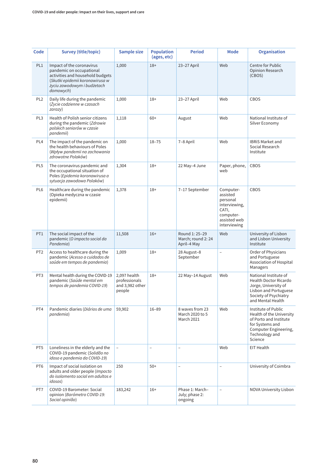| Code            | Survey (title/topic)                                                                                                                                                     | Sample size                                                | <b>Population</b><br>(ages, etc) | <b>Period</b>                                       | Mode                                                                                                     | <b>Organisation</b>                                                                                                                                  |
|-----------------|--------------------------------------------------------------------------------------------------------------------------------------------------------------------------|------------------------------------------------------------|----------------------------------|-----------------------------------------------------|----------------------------------------------------------------------------------------------------------|------------------------------------------------------------------------------------------------------------------------------------------------------|
| PL1             | Impact of the coronavirus<br>pandemic on occupational<br>activities and household budgets<br>(Skutki epidemii koronawirusa w<br>życiu zawodowym i budżetach<br>domowych) | 1,000                                                      | $18+$                            | 23-27 April                                         | Web                                                                                                      | Centre for Public<br>Opinion Research<br>(CBOS)                                                                                                      |
| PL <sub>2</sub> | Daily life during the pandemic<br>(Życie codzienne w czasach<br>zarazy)                                                                                                  | 1,000                                                      | $18+$                            | 23-27 April                                         | Web                                                                                                      | <b>CBOS</b>                                                                                                                                          |
| PL3             | Health of Polish senior citizens<br>during the pandemic (Zdrowie<br>polskich seniorów w czasie<br>pandemii)                                                              | 1,118                                                      | $60+$                            | August                                              | Web                                                                                                      | National Institute of<br>Silver Economy                                                                                                              |
| PL <sub>4</sub> | The impact of the pandemic on<br>the health behaviours of Poles<br>(Wpływ pandemii na zachowania<br>zdrowotne Polaków)                                                   | 1,000                                                      | $18 - 75$                        | 7-8 April                                           | Web                                                                                                      | <b>IBRIS Market and</b><br>Social Research<br>Institute                                                                                              |
| PL <sub>5</sub> | The coronavirus pandemic and<br>the occupational situation of<br>Poles (Epidemia koronawirusa a<br>sytuacja zawodowa Polaków)                                            | 1,304                                                      | $18+$                            | 22 May-4 June                                       | Paper, phone,<br>web                                                                                     | CBOS                                                                                                                                                 |
| PL <sub>6</sub> | Healthcare during the pandemic<br>(Opieka medyczna w czasie<br>epidemii)                                                                                                 | 1,378                                                      | $18+$                            | 7-17 September                                      | Computer-<br>assisted<br>personal<br>interviewing,<br>CATI,<br>computer-<br>assisted web<br>interviewing | CBOS                                                                                                                                                 |
| PT <sub>1</sub> | The social impact of the<br>pandemic (O impacto social da<br>Pandemia)                                                                                                   | 11,508                                                     | $16+$                            | Round 1: 25-29<br>March; round 2: 24<br>April-4 May | Web                                                                                                      | University of Lisbon<br>and Lisbon University<br>Institute                                                                                           |
| PT <sub>2</sub> | Access to healthcare during the<br>pandemic (Acesso a cuidados de<br>saúde em tempos de pandemia)                                                                        | 1,009                                                      | $18+$                            | 28 August-8<br>September                            | $\overline{\phantom{0}}$                                                                                 | Order of Physicians<br>and Portuguese<br>Association of Hospital<br>Managers                                                                         |
| PT3             | Mental health during the COVID-19<br>pandemic (Saúde mental em<br>tempos de pandemia COVID-19)                                                                           | 2,097 health<br>professionals<br>and 3,982 other<br>people | $18+$                            | 22 May-14 August                                    | Web                                                                                                      | National Institute of<br><b>Health Doctor Ricardo</b><br>Jorge, University of<br>Lisbon and Portuguese<br>Society of Psychiatry<br>and Mental Health |
| PT4             | Pandemic diaries (Diários de uma<br>pandemia)                                                                                                                            | 59,902                                                     | $16 - 89$                        | 8 waves from 23<br>March 2020 to 5<br>March 2021    | Web                                                                                                      | Institute of Public<br>Health of the University<br>of Porto and Institute<br>for Systems and<br>Computer Engineering,<br>Technology and<br>Science   |
| PT <sub>5</sub> | Loneliness in the elderly and the<br>COVID-19 pandemic (Solidão no<br>idoso e pandemia da COVID-19)                                                                      | $\equiv$                                                   | $\equiv$                         | $\overline{a}$                                      | Web                                                                                                      | EIT Health                                                                                                                                           |
| PT <sub>6</sub> | Impact of social isolation on<br>adults and older people (Impacto<br>do isolamento social em adultos e<br><i>idosos</i> )                                                | 250                                                        | $50+$                            | $\overline{a}$                                      | $\qquad \qquad -$                                                                                        | University of Coimbra                                                                                                                                |
| PT7             | COVID-19 Barometer: Social<br>opinion (Barómetro COVID-19:<br>Social opinião)                                                                                            | 183,242                                                    | $16+$                            | Phase 1: March-<br>July; phase 2:<br>ongoing        |                                                                                                          | NOVA University Lisbon                                                                                                                               |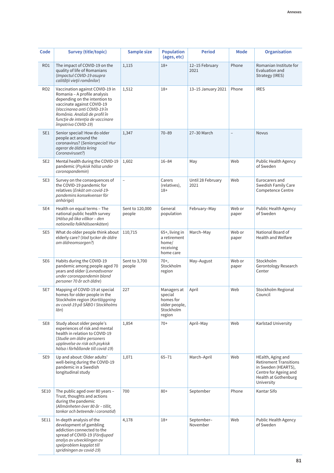| Code            | Survey (title/topic)                                                                                                                                                                                                                                       | Sample size               | <b>Population</b><br>(ages, etc)                                            | <b>Period</b>             | Mode            | Organisation                                                                                                                             |
|-----------------|------------------------------------------------------------------------------------------------------------------------------------------------------------------------------------------------------------------------------------------------------------|---------------------------|-----------------------------------------------------------------------------|---------------------------|-----------------|------------------------------------------------------------------------------------------------------------------------------------------|
| RO1             | The impact of COVID-19 on the<br>quality of life of Romanians<br>(Impactul COVID-19 asupra<br>calității vieții românilor)                                                                                                                                  | 1,115                     | $18+$                                                                       | 12-15 February<br>2021    | Phone           | Romanian Institute for<br>Evaluation and<br>Strategy (IRES)                                                                              |
| RO <sub>2</sub> | Vaccination against COVID-19 in<br>Romania - A profile analysis<br>depending on the intention to<br>vaccinate against COVID-19<br>(Vaccinarea anti COVID-19 în<br>România. Analiză de profil în<br>funcție de intenția de vaccinare<br>împotriva COVID-19) | 1,512                     | $18+$                                                                       | 13-15 January 2021        | Phone           | <b>IRES</b>                                                                                                                              |
| SE1             | Senior special! How do older<br>people act around the<br>coronavirus? (Seniorspecial! Hur<br>agerar de äldsta kring<br>Coronaviruset?)                                                                                                                     | 1,347                     | $70 - 89$                                                                   | 27-30 March               | L               | <b>Novus</b>                                                                                                                             |
| SE <sub>2</sub> | Mental health during the COVID-19<br>pandemic (Psykisk hälsa under<br>coronapandemin)                                                                                                                                                                      | 1,602                     | $16 - 84$                                                                   | May                       | Web             | Public Health Agency<br>of Sweden                                                                                                        |
| SE3             | Survey on the consequences of<br>the COVID-19 pandemic for<br>relatives (Enkät om covid-19-<br>pandemins konsekvenser för<br>anhöriga)                                                                                                                     | $\overline{a}$            | Carers<br>(relatives),<br>$18+$                                             | Until 28 February<br>2021 | Web             | Eurocarers and<br>Swedish Family Care<br>Competence Centre                                                                               |
| SE4             | Health on equal terms - The<br>national public health survey<br>(Hälsa på lika villkor - den<br>nationella folkhälsoenkäten)                                                                                                                               | Sent to 120,000<br>people | General<br>population                                                       | February-May              | Web or<br>paper | Public Health Agency<br>of Sweden                                                                                                        |
| SE <sub>5</sub> | What do older people think about<br>elderly care? (Vad tycker de äldre<br>om äldreomsorgen?)                                                                                                                                                               | 110,715                   | 65+, living in<br>a retirement<br>home/<br>receiving<br>home care           | March-May                 | Web or<br>paper | National Board of<br>Health and Welfare                                                                                                  |
| SE <sub>6</sub> | Habits during the COVID-19<br>pandemic among people aged 70<br>years and older (Levnadsvanor<br>under coronapandemin bland<br>personer 70 år och äldre)                                                                                                    | Sent to 3,700<br>people   | $70+,$<br>Stockholm<br>region                                               | May-August                | Web or<br>paper | Stockholm<br>Gerontology Research<br>Center                                                                                              |
| SE7             | Mapping of COVID-19 at special<br>homes for older people in the<br>Stockholm region (Kartläggning<br>av covid-19 på SÄBO I Stockholms<br>län)                                                                                                              | 227                       | Managers at<br>special<br>homes for<br>older people,<br>Stockholm<br>region | April                     | Web             | Stockholm Regional<br>Council                                                                                                            |
| SE8             | Study about older people's<br>experiences of risk and mental<br>health in relation to COVID-19<br>(Studie om äldre personers<br>upplevelse av risk och psykisk<br>hälsa i förhållande till covid-19)                                                       | 1,854                     | $70+$                                                                       | April-May                 | Web             | Karlstad University                                                                                                                      |
| SE9             | Up and about: Older adults'<br>well-being during the COVID-19<br>pandemic in a Swedish<br>longitudinal study                                                                                                                                               | 1,071                     | $65 - 71$                                                                   | March-April               | Web             | HEalth, Aging and<br><b>Retirement Transitions</b><br>in Sweden (HEARTS),<br>Centre for Ageing and<br>Health at Gothenburg<br>University |
| SE10            | The public aged over 80 years -<br>Trust, thoughts and actions<br>during the pandemic<br>(Allmänheten över 80 år - tillit,<br>tankar och beteende i coronatid)                                                                                             | 700                       | $80+$                                                                       | September                 | Phone           | Kantar Sifo                                                                                                                              |
| SE11            | In-depth analysis of the<br>development of gambling<br>addiction connected to the<br>spread of COVID-19 (Fördjupad<br>analys av utvecklingen av<br>spelproblem kopplat till<br>spridningen av covid-19)                                                    | 4,178                     | $18+$                                                                       | September-<br>November    | Web             | Public Health Agency<br>of Sweden                                                                                                        |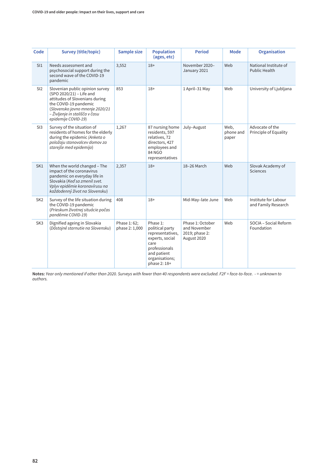| Code            | Survey (title/topic)                                                                                                                                                                                               | Sample size                   | <b>Population</b><br>(ages, etc)                                                                                                             | <b>Period</b>                                                     | Mode                       | <b>Organisation</b>                           |
|-----------------|--------------------------------------------------------------------------------------------------------------------------------------------------------------------------------------------------------------------|-------------------------------|----------------------------------------------------------------------------------------------------------------------------------------------|-------------------------------------------------------------------|----------------------------|-----------------------------------------------|
| S11             | Needs assessment and<br>psychosocial support during the<br>second wave of the COVID-19<br>pandemic                                                                                                                 | 3,552                         | $18+$                                                                                                                                        | November 2020-<br>January 2021                                    | Web                        | National Institute of<br><b>Public Health</b> |
| SI2             | Slovenian public opinion survey<br>(SPO 2020/21) - Life and<br>attitudes of Slovenians during<br>the COVID-19 pandemic<br>(Slovensko javno mnenje 2020/21<br>– Življenje in stališča v času<br>epidemije COVID-19) | 853                           | $18+$                                                                                                                                        | 1 April-31 May                                                    | Web                        | University of Ljubljana                       |
| SI3             | Survey of the situation of<br>residents of homes for the elderly<br>during the epidemic (Anketa o<br>položaju stanovalcev domov za<br>starejše med epidemijo)                                                      | 1,267                         | 87 nursing home<br>residents, 597<br>relatives, 72<br>directors, 427<br>employees and<br>84 NGO<br>representatives                           | July-August                                                       | Web,<br>phone and<br>paper | Advocate of the<br>Principle of Equality      |
| SK1             | When the world changed - The<br>impact of the coronavirus<br>pandemic on everyday life in<br>Slovakia (Keď sa zmenil svet.<br>Vplyv epidémie koronavírusu na<br>každodenný život na Slovensku)                     | 2,357                         | $18+$                                                                                                                                        | 18-26 March                                                       | Web                        | Slovak Academy of<br>Sciences                 |
| SK <sub>2</sub> | Survey of the life situation during<br>the COVID-19 pandemic<br>(Prieskum životnej situácie počas<br>pandémie COVID-19)                                                                                            | 408                           | $18+$                                                                                                                                        | Mid-May-late June                                                 | Web                        | Institute for Labour<br>and Family Research   |
| SK <sub>3</sub> | Dignified ageing in Slovakia<br>(Dôstojné starnutie na Slovensku)                                                                                                                                                  | Phase 1:62;<br>phase 2: 1,000 | Phase 1:<br>political party<br>representatives,<br>experts, social<br>care<br>professionals<br>and patient<br>organisations;<br>phase 2: 18+ | Phase 1: October<br>and November<br>2019; phase 2:<br>August 2020 | Web                        | SOCIA - Social Reform<br>Foundation           |

**Notes:** *Year only mentioned if other than 2020. Surveys with fewer than 40 respondents were excluded. F2F = face-to-face. - = unknown to authors.*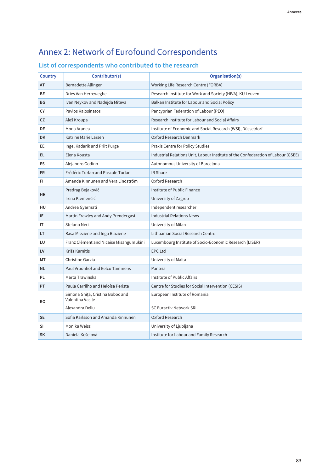## Annex 2: Network of Eurofound Correspondents

## **List of correspondents who contributed to the research**

| <b>Country</b> | Contributor(s)                                       | Organisation(s)                                                                   |
|----------------|------------------------------------------------------|-----------------------------------------------------------------------------------|
| AT             | Bernadette Allinger                                  | Working Life Research Centre (FORBA)                                              |
| BЕ             | Dries Van Herreweghe                                 | Research Institute for Work and Society (HIVA), KU Leuven                         |
| BG             | Ivan Neykov and Nadejda Miteva                       | Balkan Institute for Labour and Social Policy                                     |
| СY             | Pavlos Kalosinatos                                   | Pancyprian Federation of Labour (PEO)                                             |
| CZ             | Aleš Kroupa                                          | Research Institute for Labour and Social Affairs                                  |
| DE             | Mona Aranea                                          | Institute of Economic and Social Research (WSI), Düsseldorf                       |
| <b>DK</b>      | Katrine Marie Larsen                                 | Oxford Research Denmark                                                           |
| EE             | Ingel Kadarik and Priit Purge                        | Praxis Centre for Policy Studies                                                  |
| EL             | Elena Kousta                                         | Industrial Relations Unit, Labour Institute of the Confederation of Labour (GSEE) |
| ES             | Alejandro Godino                                     | Autonomous University of Barcelona                                                |
| <b>FR</b>      | Frédéric Turlan and Pascale Turlan                   | <b>IR Share</b>                                                                   |
| FI             | Amanda Kinnunen and Vera Lindström                   | Oxford Research                                                                   |
| <b>HR</b>      | Predrag Bejaković                                    | Institute of Public Finance                                                       |
|                | Irena Klemenčić                                      | University of Zagreb                                                              |
| HU             | Andrea Gyarmati                                      | Independent researcher                                                            |
| IE             | Martin Frawley and Andy Prendergast                  | <b>Industrial Relations News</b>                                                  |
| IΤ             | Stefano Neri                                         | University of Milan                                                               |
| LT             | Rasa Mieziene and Inga Blaziene                      | Lithuanian Social Research Centre                                                 |
| LU             | Franz Clément and Nicaise Misangumukini              | Luxembourg Institute of Socio-Economic Research (LISER)                           |
| LV             | Krišs Karnitis                                       | <b>EPC Ltd</b>                                                                    |
| МΤ             | Christine Garzia                                     | University of Malta                                                               |
| NL             | Paul Vroonhof and Eelco Tammens                      | Panteia                                                                           |
| PL             | Marta Trawinska                                      | Institute of Public Affairs                                                       |
| PT             | Paula Carrilho and Heloísa Perista                   | Centre for Studies for Social Intervention (CESIS)                                |
| RO             | Simona Ghiță, Cristina Boboc and<br>Valentina Vasile | European Institute of Romania                                                     |
|                | Alexandra Deliu                                      | <b>SC Euractiv Network SRL</b>                                                    |
| <b>SE</b>      | Sofia Karlsson and Amanda Kinnunen                   | Oxford Research                                                                   |
| SI             | Monika Weiss                                         | University of Ljubljana                                                           |
| <b>SK</b>      | Daniela Kešelová                                     | Institute for Labour and Family Research                                          |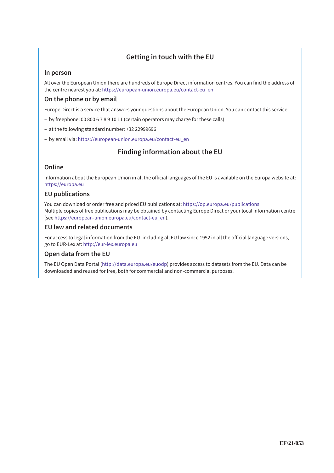### **Getting in touch with the EU**

#### **In person**

All over the European Union there are hundreds of Europe Direct information centres. You can find the address of the centre nearest you at: [https://european-union.europa.eu/contact-eu\\_en](https://european-union.europa.eu/contact-eu_en)

#### **On the phone or by email**

Europe Direct is a service that answers your questions about the European Union. You can contact this service:

- by freephone: 00 800 6 7 8 9 10 11 (certain operators may charge for these calls)
- at the following standard number: +32 22999696
- by email via: [https://european-union.europa.eu/contact-eu\\_en](https://european-union.europa.eu/contact-eu_en)

### **Finding information about the EU**

#### **Online**

Information about the European Union in all the official languages of the EU is available on the Europa website at: <https://europa.eu>

#### **EU publications**

You can download or order free and priced EU publications at:<https://op.europa.eu/publications> Multiple copies of free publications may be obtained by contacting Europe Direct or your local information centre (see [https://european-union.europa.eu/contact-eu\\_en\).](https://european-union.europa.eu/contact-eu_en)

#### **EU law and related documents**

For access to legal information from the EU, including all EU law since 1952 in all the official language versions, go to EUR-Lex at:<http://eur-lex.europa.eu>

#### **Open data from the EU**

The EU Open Data Portal ([http://data.europa.eu/euodp\) pr](http://data.europa.eu/euodp)ovides access to datasets from the EU. Data can be downloaded and reused for free, both for commercial and non-commercial purposes.